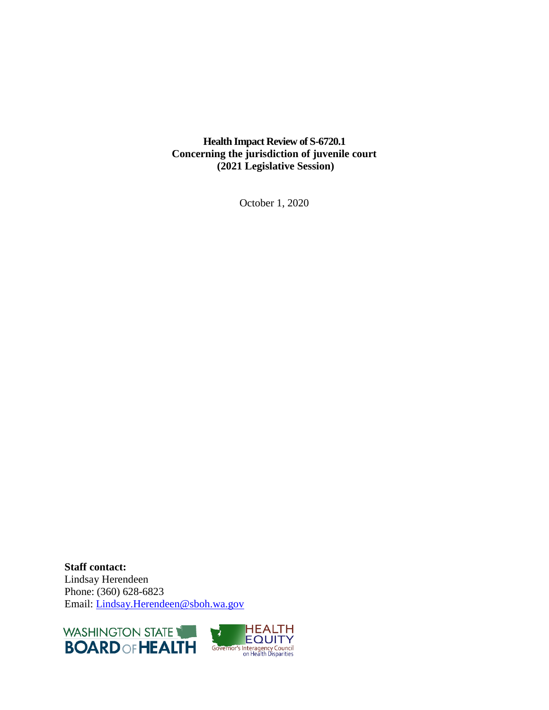**Health Impact Review of S-6720.1 Concerning the jurisdiction of juvenile court (2021 Legislative Session)**

October 1, 2020

**Staff contact:** Lindsay Herendeen Phone: (360) 628-6823 Email: [Lindsay.](mailto:Caitlin.Lang@sboh.wa.gov)Herendeen@sboh.wa.gov



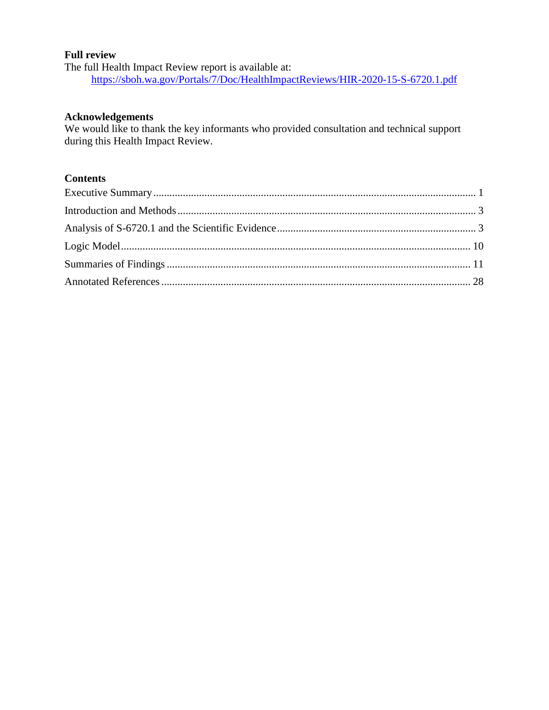#### **Full review**

The full Health Impact Review report is available at: <https://sboh.wa.gov/Portals/7/Doc/HealthImpactReviews/HIR-2020-15-S-6720.1.pdf>

#### **Acknowledgements**

We would like to thank the key informants who provided consultation and technical support during this Health Impact Review.

## **Contents**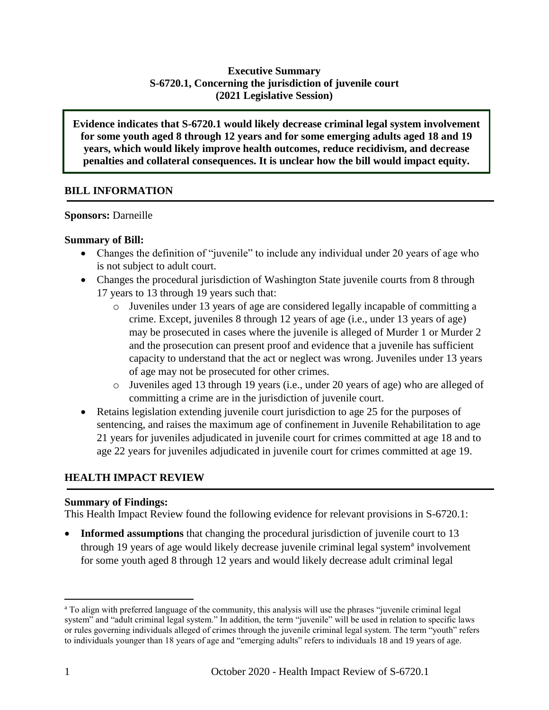## **Executive Summary S-6720.1, Concerning the jurisdiction of juvenile court (2021 Legislative Session)**

**Evidence indicates that S-6720.1 would likely decrease criminal legal system involvement for some youth aged 8 through 12 years and for some emerging adults aged 18 and 19 years, which would likely improve health outcomes, reduce recidivism, and decrease penalties and collateral consequences. It is unclear how the bill would impact equity.**

## **BILL INFORMATION**

#### **Sponsors:** Darneille

## **Summary of Bill:**

- Changes the definition of "juvenile" to include any individual under 20 years of age who is not subject to adult court.
- Changes the procedural jurisdiction of Washington State juvenile courts from 8 through 17 years to 13 through 19 years such that:
	- o Juveniles under 13 years of age are considered legally incapable of committing a crime. Except, juveniles 8 through 12 years of age (i.e., under 13 years of age) may be prosecuted in cases where the juvenile is alleged of Murder 1 or Murder 2 and the prosecution can present proof and evidence that a juvenile has sufficient capacity to understand that the act or neglect was wrong. Juveniles under 13 years of age may not be prosecuted for other crimes.
	- o Juveniles aged 13 through 19 years (i.e., under 20 years of age) who are alleged of committing a crime are in the jurisdiction of juvenile court.
- Retains legislation extending juvenile court jurisdiction to age 25 for the purposes of sentencing, and raises the maximum age of confinement in Juvenile Rehabilitation to age 21 years for juveniles adjudicated in juvenile court for crimes committed at age 18 and to age 22 years for juveniles adjudicated in juvenile court for crimes committed at age 19.

# **HEALTH IMPACT REVIEW**

## **Summary of Findings:**

This Health Impact Review found the following evidence for relevant provisions in S-6720.1:

• **Informed assumptions** that changing the procedural jurisdiction of juvenile court to 13 through 19 years of age would likely decrease juvenile criminal legal system<sup>a</sup> involvement for some youth aged 8 through 12 years and would likely decrease adult criminal legal

 $\overline{a}$ 

<sup>a</sup> To align with preferred language of the community, this analysis will use the phrases "juvenile criminal legal system" and "adult criminal legal system." In addition, the term "juvenile" will be used in relation to specific laws or rules governing individuals alleged of crimes through the juvenile criminal legal system. The term "youth" refers to individuals younger than 18 years of age and "emerging adults" refers to individuals 18 and 19 years of age.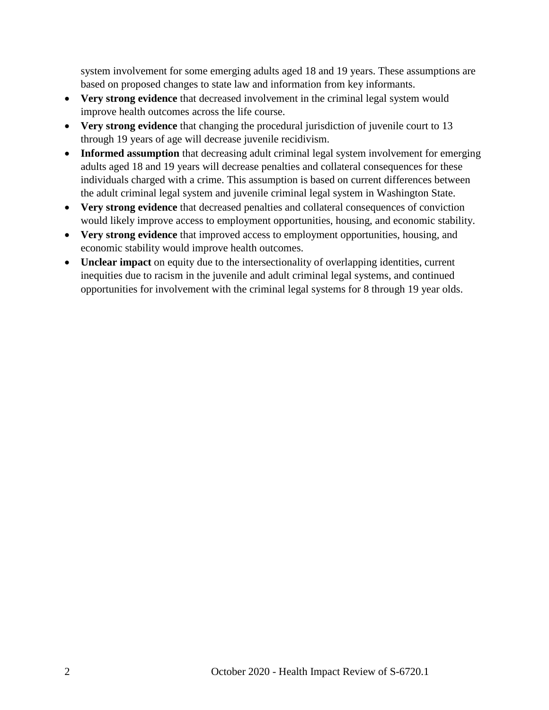system involvement for some emerging adults aged 18 and 19 years. These assumptions are based on proposed changes to state law and information from key informants.

- **Very strong evidence** that decreased involvement in the criminal legal system would improve health outcomes across the life course.
- **Very strong evidence** that changing the procedural jurisdiction of juvenile court to 13 through 19 years of age will decrease juvenile recidivism.
- Informed assumption that decreasing adult criminal legal system involvement for emerging adults aged 18 and 19 years will decrease penalties and collateral consequences for these individuals charged with a crime. This assumption is based on current differences between the adult criminal legal system and juvenile criminal legal system in Washington State.
- **Very strong evidence** that decreased penalties and collateral consequences of conviction would likely improve access to employment opportunities, housing, and economic stability.
- **Very strong evidence** that improved access to employment opportunities, housing, and economic stability would improve health outcomes.
- <span id="page-3-0"></span> **Unclear impact** on equity due to the intersectionality of overlapping identities, current inequities due to racism in the juvenile and adult criminal legal systems, and continued opportunities for involvement with the criminal legal systems for 8 through 19 year olds.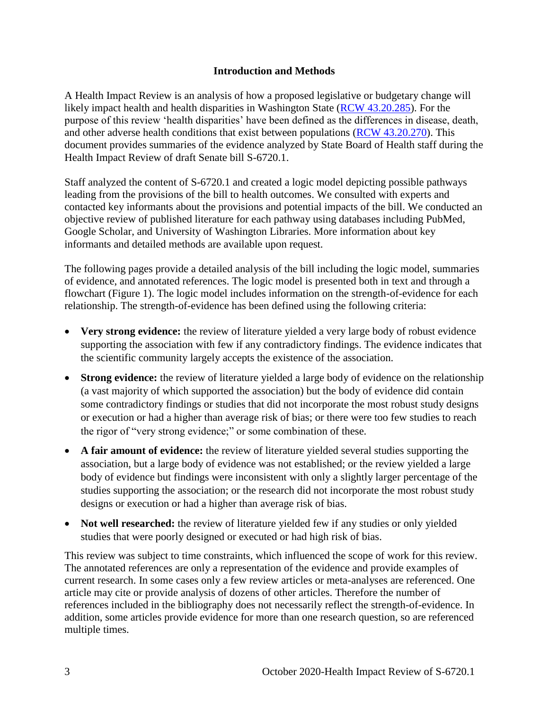#### **Introduction and Methods**

A Health Impact Review is an analysis of how a proposed legislative or budgetary change will likely impact health and health disparities in Washington State [\(RCW 43.20.285\)](https://apps.leg.wa.gov/rcw/default.aspx?cite=43.20.285). For the purpose of this review 'health disparities' have been defined as the differences in disease, death, and other adverse health conditions that exist between populations [\(RCW 43.20.270\)](http://apps.leg.wa.gov/rcw/default.aspx?cite=43.20.270). This document provides summaries of the evidence analyzed by State Board of Health staff during the Health Impact Review of draft Senate bill S-6720.1.

Staff analyzed the content of S-6720.1 and created a logic model depicting possible pathways leading from the provisions of the bill to health outcomes. We consulted with experts and contacted key informants about the provisions and potential impacts of the bill. We conducted an objective review of published literature for each pathway using databases including PubMed, Google Scholar, and University of Washington Libraries. More information about key informants and detailed methods are available upon request.

The following pages provide a detailed analysis of the bill including the logic model, summaries of evidence, and annotated references. The logic model is presented both in text and through a flowchart (Figure 1). The logic model includes information on the strength-of-evidence for each relationship. The strength-of-evidence has been defined using the following criteria:

- **Very strong evidence:** the review of literature yielded a very large body of robust evidence supporting the association with few if any contradictory findings. The evidence indicates that the scientific community largely accepts the existence of the association.
- **Strong evidence:** the review of literature yielded a large body of evidence on the relationship (a vast majority of which supported the association) but the body of evidence did contain some contradictory findings or studies that did not incorporate the most robust study designs or execution or had a higher than average risk of bias; or there were too few studies to reach the rigor of "very strong evidence;" or some combination of these.
- **A fair amount of evidence:** the review of literature yielded several studies supporting the association, but a large body of evidence was not established; or the review yielded a large body of evidence but findings were inconsistent with only a slightly larger percentage of the studies supporting the association; or the research did not incorporate the most robust study designs or execution or had a higher than average risk of bias.
- **Not well researched:** the review of literature yielded few if any studies or only yielded studies that were poorly designed or executed or had high risk of bias.

<span id="page-4-0"></span>This review was subject to time constraints, which influenced the scope of work for this review. The annotated references are only a representation of the evidence and provide examples of current research. In some cases only a few review articles or meta-analyses are referenced. One article may cite or provide analysis of dozens of other articles. Therefore the number of references included in the bibliography does not necessarily reflect the strength-of-evidence. In addition, some articles provide evidence for more than one research question, so are referenced multiple times.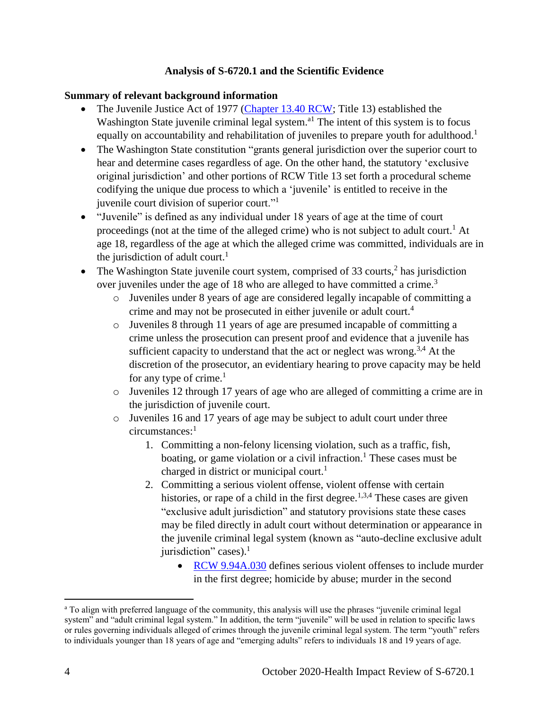#### **Analysis of S-6720.1 and the Scientific Evidence**

#### **Summary of relevant background information**

- The Juvenile Justice Act of 1977 [\(Chapter 13.40 RCW;](https://app.leg.wa.gov/RCW/default.aspx?cite=13.40) Title 13) established the Washington State juvenile criminal legal system.<sup>a1</sup> The intent of this system is to focus equally on accountability and rehabilitation of juveniles to prepare youth for adulthood.<sup>1</sup>
- The Washington State constitution "grants general jurisdiction over the superior court to hear and determine cases regardless of age. On the other hand, the statutory 'exclusive original jurisdiction' and other portions of RCW Title 13 set forth a procedural scheme codifying the unique due process to which a 'juvenile' is entitled to receive in the juvenile court division of superior court."<sup>1</sup>
- "Juvenile" is defined as any individual under 18 years of age at the time of court proceedings (not at the time of the alleged crime) who is not subject to adult court.<sup>1</sup> At age 18, regardless of the age at which the alleged crime was committed, individuals are in the jurisdiction of adult court.<sup>1</sup>
- The Washington State juvenile court system, comprised of 33 courts, $2$  has jurisdiction over juveniles under the age of 18 who are alleged to have committed a crime.<sup>3</sup>
	- o Juveniles under 8 years of age are considered legally incapable of committing a crime and may not be prosecuted in either juvenile or adult court.<sup>4</sup>
	- o Juveniles 8 through 11 years of age are presumed incapable of committing a crime unless the prosecution can present proof and evidence that a juvenile has sufficient capacity to understand that the act or neglect was wrong.<sup>3,4</sup> At the discretion of the prosecutor, an evidentiary hearing to prove capacity may be held for any type of crime. $<sup>1</sup>$ </sup>
	- o Juveniles 12 through 17 years of age who are alleged of committing a crime are in the jurisdiction of juvenile court.
	- o Juveniles 16 and 17 years of age may be subject to adult court under three circumstances:<sup>1</sup>
		- 1. Committing a non-felony licensing violation, such as a traffic, fish, boating, or game violation or a civil infraction.<sup>1</sup> These cases must be charged in district or municipal court.<sup>1</sup>
		- 2. Committing a serious violent offense, violent offense with certain histories, or rape of a child in the first degree.<sup>1,3,4</sup> These cases are given "exclusive adult jurisdiction" and statutory provisions state these cases may be filed directly in adult court without determination or appearance in the juvenile criminal legal system (known as "auto-decline exclusive adult jurisdiction" cases).<sup>1</sup>
			- [RCW 9.94A.030](https://apps.leg.wa.gov/rcw/default.aspx?cite=9.94A.030) defines serious violent offenses to include murder in the first degree; homicide by abuse; murder in the second

 $\overline{a}$ 

<sup>&</sup>lt;sup>a</sup> To align with preferred language of the community, this analysis will use the phrases "juvenile criminal legal system" and "adult criminal legal system." In addition, the term "juvenile" will be used in relation to specific laws or rules governing individuals alleged of crimes through the juvenile criminal legal system. The term "youth" refers to individuals younger than 18 years of age and "emerging adults" refers to individuals 18 and 19 years of age.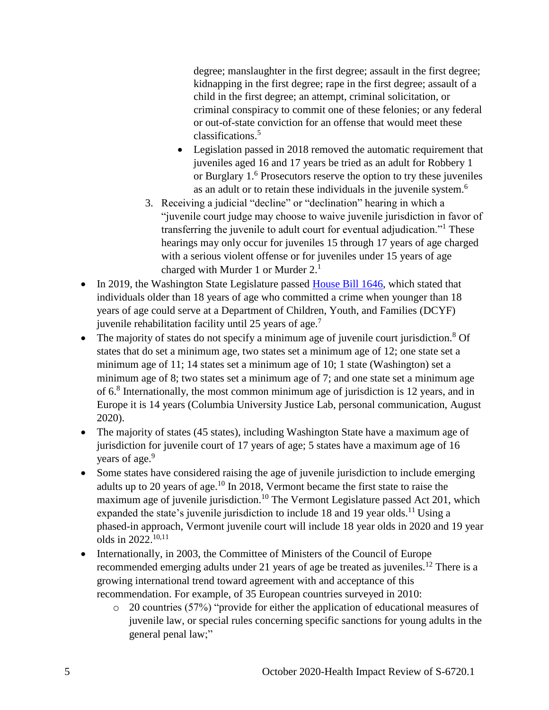degree; manslaughter in the first degree; assault in the first degree; kidnapping in the first degree; rape in the first degree; assault of a child in the first degree; an attempt, criminal solicitation, or criminal conspiracy to commit one of these felonies; or any federal or out-of-state conviction for an offense that would meet these classifications.<sup>5</sup>

- Legislation passed in 2018 removed the automatic requirement that juveniles aged 16 and 17 years be tried as an adult for Robbery 1 or Burglary 1. <sup>6</sup> Prosecutors reserve the option to try these juveniles as an adult or to retain these individuals in the juvenile system.<sup>6</sup>
- 3. Receiving a judicial "decline" or "declination" hearing in which a "juvenile court judge may choose to waive juvenile jurisdiction in favor of transferring the juvenile to adult court for eventual adjudication."<sup>1</sup> These hearings may only occur for juveniles 15 through 17 years of age charged with a serious violent offense or for juveniles under 15 years of age charged with Murder 1 or Murder 2.<sup>1</sup>
- In 2019, the Washington State Legislature passed [House Bill 1646,](https://app.leg.wa.gov/billsummary?BillNumber=1646&Year=2019&Initiative=false) which stated that individuals older than 18 years of age who committed a crime when younger than 18 years of age could serve at a Department of Children, Youth, and Families (DCYF) juvenile rehabilitation facility until 25 years of age.<sup>7</sup>
- The majority of states do not specify a minimum age of juvenile court jurisdiction.<sup>8</sup> Of states that do set a minimum age, two states set a minimum age of 12; one state set a minimum age of 11; 14 states set a minimum age of 10; 1 state (Washington) set a minimum age of 8; two states set a minimum age of 7; and one state set a minimum age of 6.<sup>8</sup> Internationally, the most common minimum age of jurisdiction is 12 years, and in Europe it is 14 years (Columbia University Justice Lab, personal communication, August 2020).
- The majority of states (45 states), including Washington State have a maximum age of jurisdiction for juvenile court of 17 years of age; 5 states have a maximum age of 16 years of age.<sup>9</sup>
- Some states have considered raising the age of juvenile jurisdiction to include emerging adults up to 20 years of age.<sup>10</sup> In 2018, Vermont became the first state to raise the maximum age of juvenile jurisdiction.<sup>10</sup> The Vermont Legislature passed Act 201, which expanded the state's juvenile jurisdiction to include 18 and 19 year olds.<sup>11</sup> Using a phased-in approach, Vermont juvenile court will include 18 year olds in 2020 and 19 year olds in 2022.10,11
- Internationally, in 2003, the Committee of Ministers of the Council of Europe recommended emerging adults under 21 years of age be treated as juveniles.<sup>12</sup> There is a growing international trend toward agreement with and acceptance of this recommendation. For example, of 35 European countries surveyed in 2010:
	- o 20 countries (57%) "provide for either the application of educational measures of juvenile law, or special rules concerning specific sanctions for young adults in the general penal law;"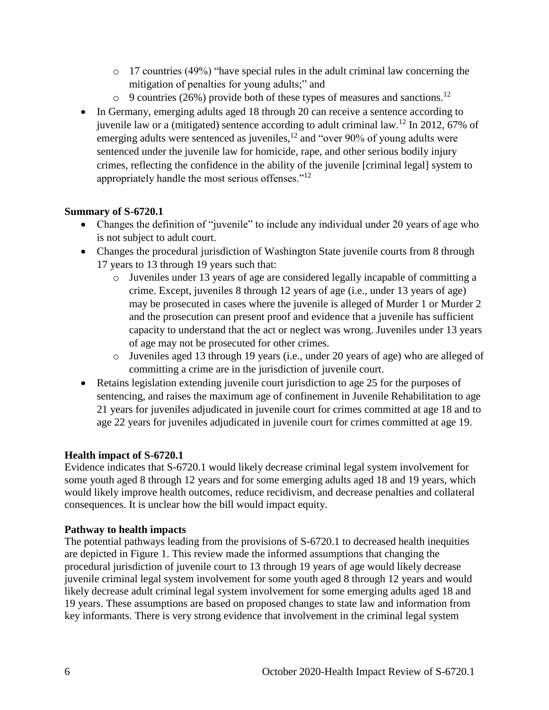- o 17 countries (49%) "have special rules in the adult criminal law concerning the mitigation of penalties for young adults;" and
- $\circ$  9 countries (26%) provide both of these types of measures and sanctions.<sup>12</sup>
- In Germany, emerging adults aged 18 through 20 can receive a sentence according to juvenile law or a (mitigated) sentence according to adult criminal law.<sup>12</sup> In 2012, 67% of emerging adults were sentenced as juveniles,<sup>12</sup> and "over 90% of young adults were sentenced under the juvenile law for homicide, rape, and other serious bodily injury crimes, reflecting the confidence in the ability of the juvenile [criminal legal] system to appropriately handle the most serious offenses."<sup>12</sup>

## **Summary of S-6720.1**

- Changes the definition of "juvenile" to include any individual under 20 years of age who is not subject to adult court.
- Changes the procedural jurisdiction of Washington State juvenile courts from 8 through 17 years to 13 through 19 years such that:
	- o Juveniles under 13 years of age are considered legally incapable of committing a crime. Except, juveniles 8 through 12 years of age (i.e., under 13 years of age) may be prosecuted in cases where the juvenile is alleged of Murder 1 or Murder 2 and the prosecution can present proof and evidence that a juvenile has sufficient capacity to understand that the act or neglect was wrong. Juveniles under 13 years of age may not be prosecuted for other crimes.
	- o Juveniles aged 13 through 19 years (i.e., under 20 years of age) who are alleged of committing a crime are in the jurisdiction of juvenile court.
- Retains legislation extending juvenile court jurisdiction to age 25 for the purposes of sentencing, and raises the maximum age of confinement in Juvenile Rehabilitation to age 21 years for juveniles adjudicated in juvenile court for crimes committed at age 18 and to age 22 years for juveniles adjudicated in juvenile court for crimes committed at age 19.

## **Health impact of S-6720.1**

Evidence indicates that S-6720.1 would likely decrease criminal legal system involvement for some youth aged 8 through 12 years and for some emerging adults aged 18 and 19 years, which would likely improve health outcomes, reduce recidivism, and decrease penalties and collateral consequences. It is unclear how the bill would impact equity.

#### **Pathway to health impacts**

The potential pathways leading from the provisions of S-6720.1 to decreased health inequities are depicted in Figure 1. This review made the informed assumptions that changing the procedural jurisdiction of juvenile court to 13 through 19 years of age would likely decrease juvenile criminal legal system involvement for some youth aged 8 through 12 years and would likely decrease adult criminal legal system involvement for some emerging adults aged 18 and 19 years. These assumptions are based on proposed changes to state law and information from key informants. There is very strong evidence that involvement in the criminal legal system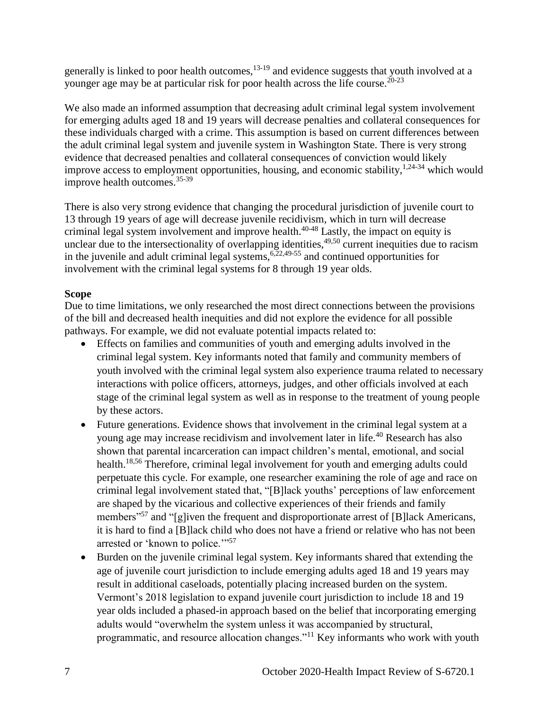generally is linked to poor health outcomes,<sup>13-19</sup> and evidence suggests that youth involved at a younger age may be at particular risk for poor health across the life course.<sup>20-23</sup>

We also made an informed assumption that decreasing adult criminal legal system involvement for emerging adults aged 18 and 19 years will decrease penalties and collateral consequences for these individuals charged with a crime. This assumption is based on current differences between the adult criminal legal system and juvenile system in Washington State. There is very strong evidence that decreased penalties and collateral consequences of conviction would likely improve access to employment opportunities, housing, and economic stability,  $1,24-34$  which would improve health outcomes.35-39

There is also very strong evidence that changing the procedural jurisdiction of juvenile court to 13 through 19 years of age will decrease juvenile recidivism, which in turn will decrease criminal legal system involvement and improve health.<sup>40-48</sup> Lastly, the impact on equity is unclear due to the intersectionality of overlapping identities,<sup>49,50</sup> current inequities due to racism in the juvenile and adult criminal legal systems,  $6,22,49-55$  and continued opportunities for involvement with the criminal legal systems for 8 through 19 year olds.

## **Scope**

Due to time limitations, we only researched the most direct connections between the provisions of the bill and decreased health inequities and did not explore the evidence for all possible pathways. For example, we did not evaluate potential impacts related to:

- Effects on families and communities of youth and emerging adults involved in the criminal legal system. Key informants noted that family and community members of youth involved with the criminal legal system also experience trauma related to necessary interactions with police officers, attorneys, judges, and other officials involved at each stage of the criminal legal system as well as in response to the treatment of young people by these actors.
- Future generations. Evidence shows that involvement in the criminal legal system at a young age may increase recidivism and involvement later in life.<sup>40</sup> Research has also shown that parental incarceration can impact children's mental, emotional, and social health.<sup>18,56</sup> Therefore, criminal legal involvement for youth and emerging adults could perpetuate this cycle. For example, one researcher examining the role of age and race on criminal legal involvement stated that, "[B]lack youths' perceptions of law enforcement are shaped by the vicarious and collective experiences of their friends and family members<sup>"57</sup> and "[g]iven the frequent and disproportionate arrest of [B]lack Americans, it is hard to find a [B]lack child who does not have a friend or relative who has not been arrested or 'known to police."<sup>57</sup>
- Burden on the juvenile criminal legal system. Key informants shared that extending the age of juvenile court jurisdiction to include emerging adults aged 18 and 19 years may result in additional caseloads, potentially placing increased burden on the system. Vermont's 2018 legislation to expand juvenile court jurisdiction to include 18 and 19 year olds included a phased-in approach based on the belief that incorporating emerging adults would "overwhelm the system unless it was accompanied by structural, programmatic, and resource allocation changes."<sup>11</sup> Key informants who work with youth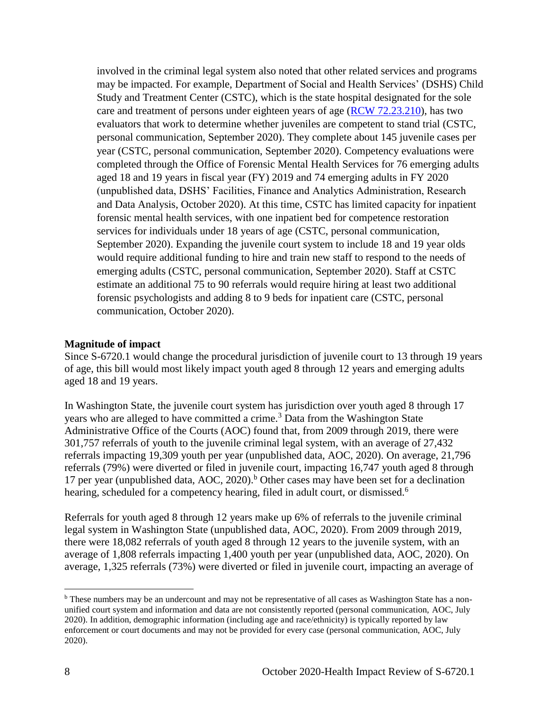involved in the criminal legal system also noted that other related services and programs may be impacted. For example, Department of Social and Health Services' (DSHS) Child Study and Treatment Center (CSTC), which is the state hospital designated for the sole care and treatment of persons under eighteen years of age [\(RCW 72.23.210\)](https://app.leg.wa.gov/rcw/default.aspx?cite=72.23.210), has two evaluators that work to determine whether juveniles are competent to stand trial (CSTC, personal communication, September 2020). They complete about 145 juvenile cases per year (CSTC, personal communication, September 2020). Competency evaluations were completed through the Office of Forensic Mental Health Services for 76 emerging adults aged 18 and 19 years in fiscal year (FY) 2019 and 74 emerging adults in FY 2020 (unpublished data, DSHS' Facilities, Finance and Analytics Administration, Research and Data Analysis, October 2020). At this time, CSTC has limited capacity for inpatient forensic mental health services, with one inpatient bed for competence restoration services for individuals under 18 years of age (CSTC, personal communication, September 2020). Expanding the juvenile court system to include 18 and 19 year olds would require additional funding to hire and train new staff to respond to the needs of emerging adults (CSTC, personal communication, September 2020). Staff at CSTC estimate an additional 75 to 90 referrals would require hiring at least two additional forensic psychologists and adding 8 to 9 beds for inpatient care (CSTC, personal communication, October 2020).

#### **Magnitude of impact**

Since S-6720.1 would change the procedural jurisdiction of juvenile court to 13 through 19 years of age, this bill would most likely impact youth aged 8 through 12 years and emerging adults aged 18 and 19 years.

In Washington State, the juvenile court system has jurisdiction over youth aged 8 through 17 years who are alleged to have committed a crime.<sup>3</sup> Data from the Washington State Administrative Office of the Courts (AOC) found that, from 2009 through 2019, there were 301,757 referrals of youth to the juvenile criminal legal system, with an average of 27,432 referrals impacting 19,309 youth per year (unpublished data, AOC, 2020). On average, 21,796 referrals (79%) were diverted or filed in juvenile court, impacting 16,747 youth aged 8 through 17 per year (unpublished data, AOC, 2020).<sup>b</sup> Other cases may have been set for a declination hearing, scheduled for a competency hearing, filed in adult court, or dismissed.<sup>6</sup>

Referrals for youth aged 8 through 12 years make up 6% of referrals to the juvenile criminal legal system in Washington State (unpublished data, AOC, 2020). From 2009 through 2019, there were 18,082 referrals of youth aged 8 through 12 years to the juvenile system, with an average of 1,808 referrals impacting 1,400 youth per year (unpublished data, AOC, 2020). On average, 1,325 referrals (73%) were diverted or filed in juvenile court, impacting an average of

 $\overline{a}$ 

<sup>b</sup> These numbers may be an undercount and may not be representative of all cases as Washington State has a nonunified court system and information and data are not consistently reported (personal communication, AOC, July 2020). In addition, demographic information (including age and race/ethnicity) is typically reported by law enforcement or court documents and may not be provided for every case (personal communication, AOC, July 2020).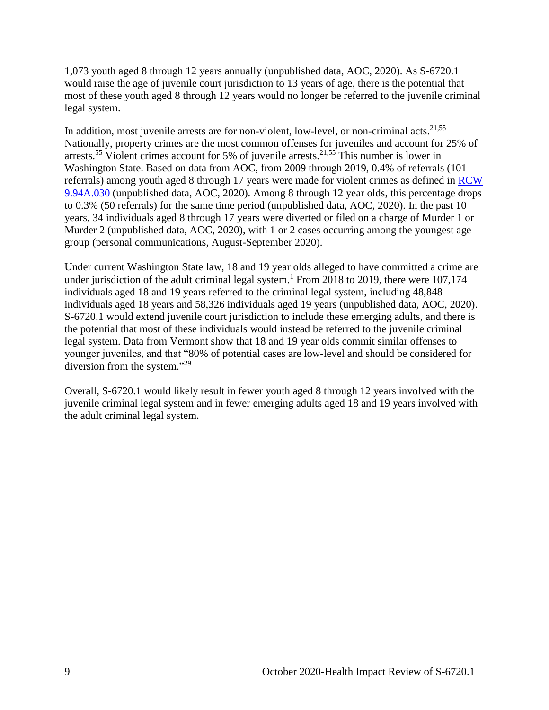1,073 youth aged 8 through 12 years annually (unpublished data, AOC, 2020). As S-6720.1 would raise the age of juvenile court jurisdiction to 13 years of age, there is the potential that most of these youth aged 8 through 12 years would no longer be referred to the juvenile criminal legal system.

In addition, most juvenile arrests are for non-violent, low-level, or non-criminal acts. $21,55$ Nationally, property crimes are the most common offenses for juveniles and account for 25% of arrests.<sup>55</sup> Violent crimes account for 5% of juvenile arrests.<sup>21,55</sup> This number is lower in Washington State. Based on data from AOC, from 2009 through 2019, 0.4% of referrals (101 referrals) among youth aged 8 through 17 years were made for violent crimes as defined in [RCW](https://apps.leg.wa.gov/rcw/default.aspx?cite=9.94A.030)  [9.94A.030](https://apps.leg.wa.gov/rcw/default.aspx?cite=9.94A.030) (unpublished data, AOC, 2020). Among 8 through 12 year olds, this percentage drops to 0.3% (50 referrals) for the same time period (unpublished data, AOC, 2020). In the past 10 years, 34 individuals aged 8 through 17 years were diverted or filed on a charge of Murder 1 or Murder 2 (unpublished data, AOC, 2020), with 1 or 2 cases occurring among the youngest age group (personal communications, August-September 2020).

Under current Washington State law, 18 and 19 year olds alleged to have committed a crime are under jurisdiction of the adult criminal legal system.<sup>1</sup> From 2018 to 2019, there were 107,174 individuals aged 18 and 19 years referred to the criminal legal system, including 48,848 individuals aged 18 years and 58,326 individuals aged 19 years (unpublished data, AOC, 2020). S-6720.1 would extend juvenile court jurisdiction to include these emerging adults, and there is the potential that most of these individuals would instead be referred to the juvenile criminal legal system. Data from Vermont show that 18 and 19 year olds commit similar offenses to younger juveniles, and that "80% of potential cases are low-level and should be considered for diversion from the system."<sup>29</sup>

Overall, S-6720.1 would likely result in fewer youth aged 8 through 12 years involved with the juvenile criminal legal system and in fewer emerging adults aged 18 and 19 years involved with the adult criminal legal system.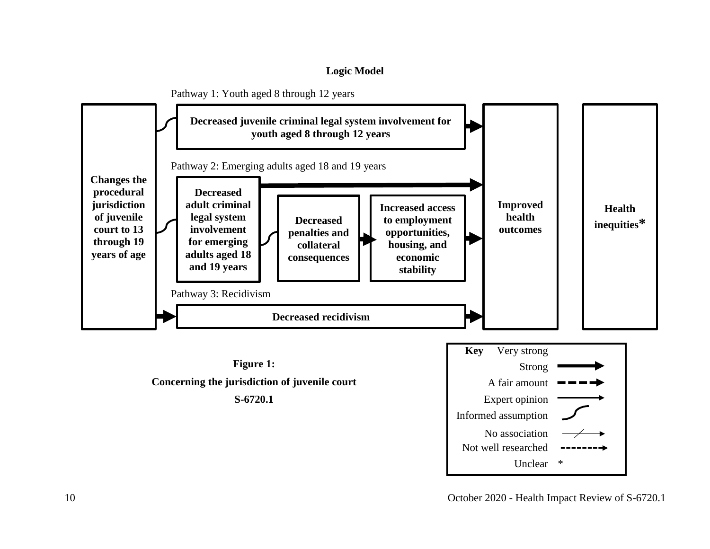#### **Logic Model**

<span id="page-11-0"></span>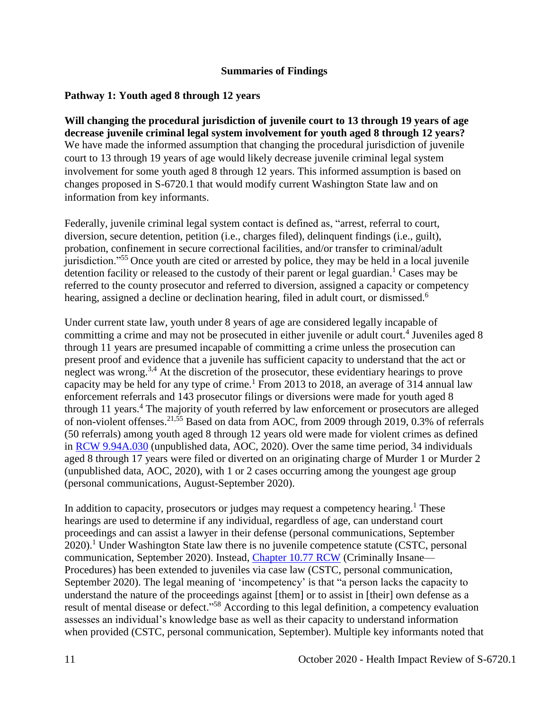#### **Summaries of Findings**

## <span id="page-12-0"></span>**Pathway 1: Youth aged 8 through 12 years**

**Will changing the procedural jurisdiction of juvenile court to 13 through 19 years of age decrease juvenile criminal legal system involvement for youth aged 8 through 12 years?** We have made the informed assumption that changing the procedural jurisdiction of juvenile court to 13 through 19 years of age would likely decrease juvenile criminal legal system involvement for some youth aged 8 through 12 years. This informed assumption is based on changes proposed in S-6720.1 that would modify current Washington State law and on information from key informants.

Federally, juvenile criminal legal system contact is defined as, "arrest, referral to court, diversion, secure detention, petition (i.e., charges filed), delinquent findings (i.e., guilt), probation, confinement in secure correctional facilities, and/or transfer to criminal/adult jurisdiction."<sup>55</sup> Once youth are cited or arrested by police, they may be held in a local juvenile detention facility or released to the custody of their parent or legal guardian.<sup>1</sup> Cases may be referred to the county prosecutor and referred to diversion, assigned a capacity or competency hearing, assigned a decline or declination hearing, filed in adult court, or dismissed.<sup>6</sup>

Under current state law, youth under 8 years of age are considered legally incapable of committing a crime and may not be prosecuted in either juvenile or adult court.<sup>4</sup> Juveniles aged 8 through 11 years are presumed incapable of committing a crime unless the prosecution can present proof and evidence that a juvenile has sufficient capacity to understand that the act or neglect was wrong.<sup>3,4</sup> At the discretion of the prosecutor, these evidentiary hearings to prove capacity may be held for any type of crime.<sup>1</sup> From 2013 to 2018, an average of 314 annual law enforcement referrals and 143 prosecutor filings or diversions were made for youth aged 8 through 11 years.<sup>4</sup> The majority of youth referred by law enforcement or prosecutors are alleged of non-violent offenses.<sup>21,55</sup> Based on data from AOC, from 2009 through 2019, 0.3% of referrals (50 referrals) among youth aged 8 through 12 years old were made for violent crimes as defined in [RCW 9.94A.030](https://apps.leg.wa.gov/rcw/default.aspx?cite=9.94A.030) (unpublished data, AOC, 2020). Over the same time period, 34 individuals aged 8 through 17 years were filed or diverted on an originating charge of Murder 1 or Murder 2 (unpublished data, AOC, 2020), with 1 or 2 cases occurring among the youngest age group (personal communications, August-September 2020).

In addition to capacity, prosecutors or judges may request a competency hearing.<sup>1</sup> These hearings are used to determine if any individual, regardless of age, can understand court proceedings and can assist a lawyer in their defense (personal communications, September  $2020$ .<sup>1</sup> Under Washington State law there is no juvenile competence statute (CSTC, personal communication, September 2020). Instead, [Chapter 10.77 RCW](https://apps.leg.wa.gov/rcw/default.aspx?cite=10.77) (Criminally Insane— Procedures) has been extended to juveniles via case law (CSTC, personal communication, September 2020). The legal meaning of 'incompetency' is that "a person lacks the capacity to understand the nature of the proceedings against [them] or to assist in [their] own defense as a result of mental disease or defect."<sup>58</sup> According to this legal definition, a competency evaluation assesses an individual's knowledge base as well as their capacity to understand information when provided (CSTC, personal communication, September). Multiple key informants noted that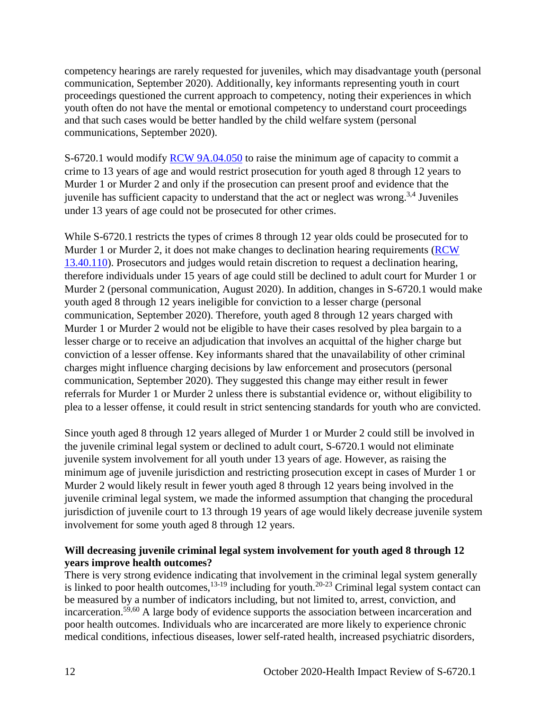competency hearings are rarely requested for juveniles, which may disadvantage youth (personal communication, September 2020). Additionally, key informants representing youth in court proceedings questioned the current approach to competency, noting their experiences in which youth often do not have the mental or emotional competency to understand court proceedings and that such cases would be better handled by the child welfare system (personal communications, September 2020).

S-6720.1 would modify [RCW 9A.04.050](https://apps.leg.wa.gov/rcw/default.aspx?cite=9a.04.050) to raise the minimum age of capacity to commit a crime to 13 years of age and would restrict prosecution for youth aged 8 through 12 years to Murder 1 or Murder 2 and only if the prosecution can present proof and evidence that the juvenile has sufficient capacity to understand that the act or neglect was wrong.<sup>3,4</sup> Juveniles under 13 years of age could not be prosecuted for other crimes.

While S-6720.1 restricts the types of crimes 8 through 12 year olds could be prosecuted for to Murder 1 or Murder 2, it does not make changes to declination hearing requirements [\(RCW](https://app.leg.wa.gov/rcw/default.aspx?cite=13.40.110)  [13.40.110\)](https://app.leg.wa.gov/rcw/default.aspx?cite=13.40.110). Prosecutors and judges would retain discretion to request a declination hearing, therefore individuals under 15 years of age could still be declined to adult court for Murder 1 or Murder 2 (personal communication, August 2020). In addition, changes in S-6720.1 would make youth aged 8 through 12 years ineligible for conviction to a lesser charge (personal communication, September 2020). Therefore, youth aged 8 through 12 years charged with Murder 1 or Murder 2 would not be eligible to have their cases resolved by plea bargain to a lesser charge or to receive an adjudication that involves an acquittal of the higher charge but conviction of a lesser offense. Key informants shared that the unavailability of other criminal charges might influence charging decisions by law enforcement and prosecutors (personal communication, September 2020). They suggested this change may either result in fewer referrals for Murder 1 or Murder 2 unless there is substantial evidence or, without eligibility to plea to a lesser offense, it could result in strict sentencing standards for youth who are convicted.

Since youth aged 8 through 12 years alleged of Murder 1 or Murder 2 could still be involved in the juvenile criminal legal system or declined to adult court, S-6720.1 would not eliminate juvenile system involvement for all youth under 13 years of age. However, as raising the minimum age of juvenile jurisdiction and restricting prosecution except in cases of Murder 1 or Murder 2 would likely result in fewer youth aged 8 through 12 years being involved in the juvenile criminal legal system, we made the informed assumption that changing the procedural jurisdiction of juvenile court to 13 through 19 years of age would likely decrease juvenile system involvement for some youth aged 8 through 12 years.

## **Will decreasing juvenile criminal legal system involvement for youth aged 8 through 12 years improve health outcomes?**

There is very strong evidence indicating that involvement in the criminal legal system generally is linked to poor health outcomes,  $13-19$  including for youth.<sup>20-23</sup> Criminal legal system contact can be measured by a number of indicators including, but not limited to, arrest, conviction, and incarceration.<sup>59,60</sup> A large body of evidence supports the association between incarceration and poor health outcomes. Individuals who are incarcerated are more likely to experience chronic medical conditions, infectious diseases, lower self-rated health, increased psychiatric disorders,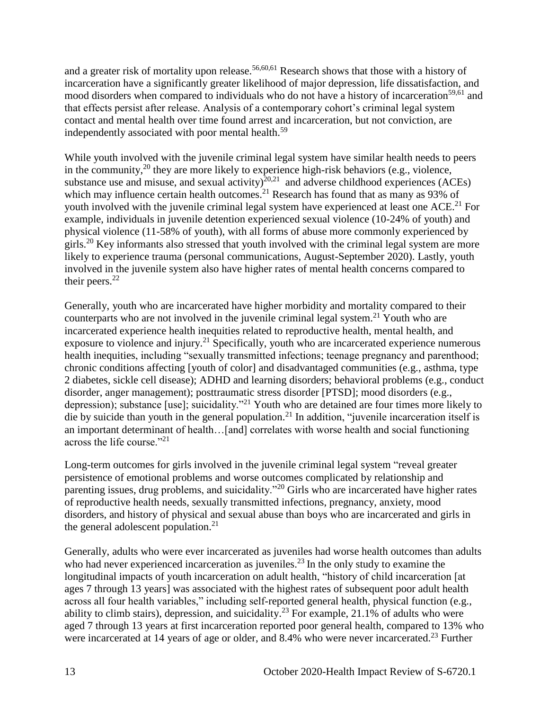and a greater risk of mortality upon release.<sup>56,60,61</sup> Research shows that those with a history of incarceration have a significantly greater likelihood of major depression, life dissatisfaction, and mood disorders when compared to individuals who do not have a history of incarceration<sup>59,61</sup> and that effects persist after release. Analysis of a contemporary cohort's criminal legal system contact and mental health over time found arrest and incarceration, but not conviction, are independently associated with poor mental health.<sup>59</sup>

While youth involved with the juvenile criminal legal system have similar health needs to peers in the community,<sup>20</sup> they are more likely to experience high-risk behaviors (e.g., violence, substance use and misuse, and sexual activity) $^{20,21}$  and adverse childhood experiences (ACEs) which may influence certain health outcomes.<sup>21</sup> Research has found that as many as 93% of youth involved with the juvenile criminal legal system have experienced at least one ACE.<sup>21</sup> For example, individuals in juvenile detention experienced sexual violence (10-24% of youth) and physical violence (11-58% of youth), with all forms of abuse more commonly experienced by girls.<sup>20</sup> Key informants also stressed that youth involved with the criminal legal system are more likely to experience trauma (personal communications, August-September 2020). Lastly, youth involved in the juvenile system also have higher rates of mental health concerns compared to their peers. $^{22}$ 

Generally, youth who are incarcerated have higher morbidity and mortality compared to their counterparts who are not involved in the juvenile criminal legal system.<sup>21</sup> Youth who are incarcerated experience health inequities related to reproductive health, mental health, and exposure to violence and injury.<sup>21</sup> Specifically, youth who are incarcerated experience numerous health inequities, including "sexually transmitted infections; teenage pregnancy and parenthood; chronic conditions affecting [youth of color] and disadvantaged communities (e.g., asthma, type 2 diabetes, sickle cell disease); ADHD and learning disorders; behavioral problems (e.g., conduct disorder, anger management); posttraumatic stress disorder [PTSD]; mood disorders (e.g., depression); substance [use]; suicidality."<sup>21</sup> Youth who are detained are four times more likely to die by suicide than youth in the general population.<sup>21</sup> In addition, "juvenile incarceration itself is an important determinant of health…[and] correlates with worse health and social functioning across the life course."<sup>21</sup>

Long-term outcomes for girls involved in the juvenile criminal legal system "reveal greater persistence of emotional problems and worse outcomes complicated by relationship and parenting issues, drug problems, and suicidality."<sup>20</sup> Girls who are incarcerated have higher rates of reproductive health needs, sexually transmitted infections, pregnancy, anxiety, mood disorders, and history of physical and sexual abuse than boys who are incarcerated and girls in the general adolescent population. $^{21}$ 

Generally, adults who were ever incarcerated as juveniles had worse health outcomes than adults who had never experienced incarceration as juveniles.<sup>23</sup> In the only study to examine the longitudinal impacts of youth incarceration on adult health, "history of child incarceration [at ages 7 through 13 years] was associated with the highest rates of subsequent poor adult health across all four health variables," including self-reported general health, physical function (e.g., ability to climb stairs), depression, and suicidality.<sup>23</sup> For example, 21.1% of adults who were aged 7 through 13 years at first incarceration reported poor general health, compared to 13% who were incarcerated at 14 years of age or older, and 8.4% who were never incarcerated.<sup>23</sup> Further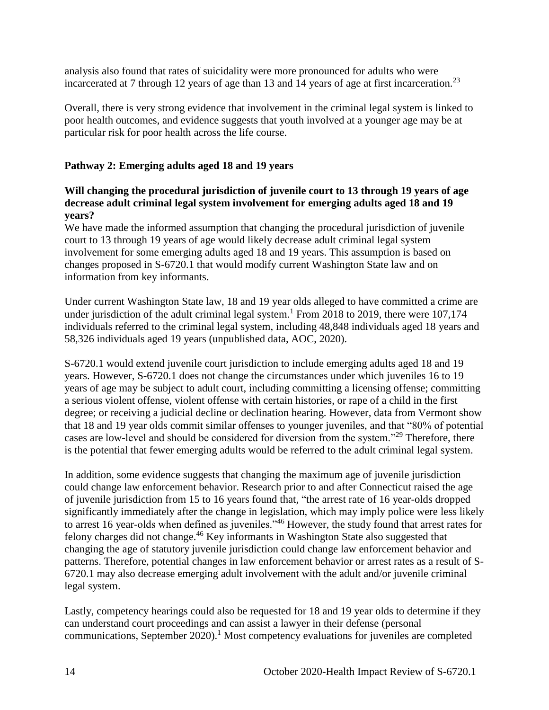analysis also found that rates of suicidality were more pronounced for adults who were incarcerated at 7 through 12 years of age than 13 and 14 years of age at first incarceration.<sup>23</sup>

Overall, there is very strong evidence that involvement in the criminal legal system is linked to poor health outcomes, and evidence suggests that youth involved at a younger age may be at particular risk for poor health across the life course.

## **Pathway 2: Emerging adults aged 18 and 19 years**

## **Will changing the procedural jurisdiction of juvenile court to 13 through 19 years of age decrease adult criminal legal system involvement for emerging adults aged 18 and 19 years?**

We have made the informed assumption that changing the procedural jurisdiction of juvenile court to 13 through 19 years of age would likely decrease adult criminal legal system involvement for some emerging adults aged 18 and 19 years. This assumption is based on changes proposed in S-6720.1 that would modify current Washington State law and on information from key informants.

Under current Washington State law, 18 and 19 year olds alleged to have committed a crime are under jurisdiction of the adult criminal legal system.<sup>1</sup> From 2018 to 2019, there were  $107,174$ individuals referred to the criminal legal system, including 48,848 individuals aged 18 years and 58,326 individuals aged 19 years (unpublished data, AOC, 2020).

S-6720.1 would extend juvenile court jurisdiction to include emerging adults aged 18 and 19 years. However, S-6720.1 does not change the circumstances under which juveniles 16 to 19 years of age may be subject to adult court, including committing a licensing offense; committing a serious violent offense, violent offense with certain histories, or rape of a child in the first degree; or receiving a judicial decline or declination hearing. However, data from Vermont show that 18 and 19 year olds commit similar offenses to younger juveniles, and that "80% of potential cases are low-level and should be considered for diversion from the system."<sup>29</sup> Therefore, there is the potential that fewer emerging adults would be referred to the adult criminal legal system.

In addition, some evidence suggests that changing the maximum age of juvenile jurisdiction could change law enforcement behavior. Research prior to and after Connecticut raised the age of juvenile jurisdiction from 15 to 16 years found that, "the arrest rate of 16 year-olds dropped significantly immediately after the change in legislation, which may imply police were less likely to arrest 16 year-olds when defined as juveniles."<sup>46</sup> However, the study found that arrest rates for felony charges did not change.<sup>46</sup> Key informants in Washington State also suggested that changing the age of statutory juvenile jurisdiction could change law enforcement behavior and patterns. Therefore, potential changes in law enforcement behavior or arrest rates as a result of S-6720.1 may also decrease emerging adult involvement with the adult and/or juvenile criminal legal system.

Lastly, competency hearings could also be requested for 18 and 19 year olds to determine if they can understand court proceedings and can assist a lawyer in their defense (personal communications, September  $2020$ .<sup>1</sup> Most competency evaluations for juveniles are completed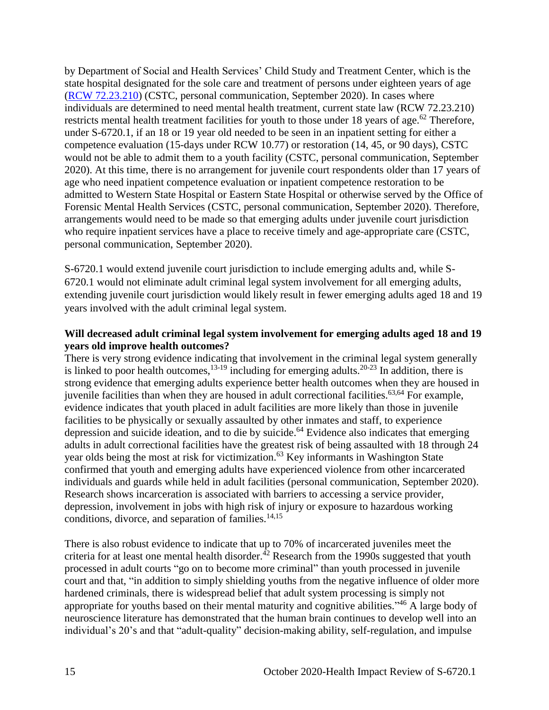by Department of Social and Health Services' Child Study and Treatment Center, which is the state hospital designated for the sole care and treatment of persons under eighteen years of age [\(RCW 72.23.210\)](https://app.leg.wa.gov/rcw/default.aspx?cite=72.23.210) (CSTC, personal communication, September 2020). In cases where individuals are determined to need mental health treatment, current state law (RCW 72.23.210) restricts mental health treatment facilities for youth to those under 18 years of age.<sup>62</sup> Therefore, under S-6720.1, if an 18 or 19 year old needed to be seen in an inpatient setting for either a competence evaluation (15-days under RCW 10.77) or restoration (14, 45, or 90 days), CSTC would not be able to admit them to a youth facility (CSTC, personal communication, September 2020). At this time, there is no arrangement for juvenile court respondents older than 17 years of age who need inpatient competence evaluation or inpatient competence restoration to be admitted to Western State Hospital or Eastern State Hospital or otherwise served by the Office of Forensic Mental Health Services (CSTC, personal communication, September 2020). Therefore, arrangements would need to be made so that emerging adults under juvenile court jurisdiction who require inpatient services have a place to receive timely and age-appropriate care (CSTC, personal communication, September 2020).

S-6720.1 would extend juvenile court jurisdiction to include emerging adults and, while S-6720.1 would not eliminate adult criminal legal system involvement for all emerging adults, extending juvenile court jurisdiction would likely result in fewer emerging adults aged 18 and 19 years involved with the adult criminal legal system.

## **Will decreased adult criminal legal system involvement for emerging adults aged 18 and 19 years old improve health outcomes?**

There is very strong evidence indicating that involvement in the criminal legal system generally is linked to poor health outcomes,  $13-19$  including for emerging adults.  $20-23$  In addition, there is strong evidence that emerging adults experience better health outcomes when they are housed in juvenile facilities than when they are housed in adult correctional facilities.<sup>63,64</sup> For example, evidence indicates that youth placed in adult facilities are more likely than those in juvenile facilities to be physically or sexually assaulted by other inmates and staff, to experience depression and suicide ideation, and to die by suicide. $64$  Evidence also indicates that emerging adults in adult correctional facilities have the greatest risk of being assaulted with 18 through 24 year olds being the most at risk for victimization.<sup>63</sup> Key informants in Washington State confirmed that youth and emerging adults have experienced violence from other incarcerated individuals and guards while held in adult facilities (personal communication, September 2020). Research shows incarceration is associated with barriers to accessing a service provider, depression, involvement in jobs with high risk of injury or exposure to hazardous working conditions, divorce, and separation of families. $14,15$ 

There is also robust evidence to indicate that up to 70% of incarcerated juveniles meet the criteria for at least one mental health disorder.<sup>42</sup> Research from the 1990s suggested that youth processed in adult courts "go on to become more criminal" than youth processed in juvenile court and that, "in addition to simply shielding youths from the negative influence of older more hardened criminals, there is widespread belief that adult system processing is simply not appropriate for youths based on their mental maturity and cognitive abilities."<sup>46</sup> A large body of neuroscience literature has demonstrated that the human brain continues to develop well into an individual's 20's and that "adult-quality" decision-making ability, self-regulation, and impulse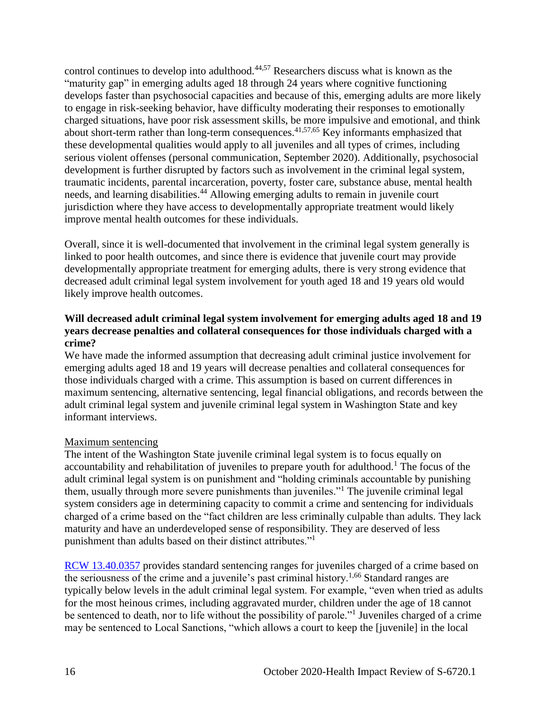control continues to develop into adulthood.44,57 Researchers discuss what is known as the "maturity gap" in emerging adults aged 18 through 24 years where cognitive functioning develops faster than psychosocial capacities and because of this, emerging adults are more likely to engage in risk-seeking behavior, have difficulty moderating their responses to emotionally charged situations, have poor risk assessment skills, be more impulsive and emotional, and think about short-term rather than long-term consequences.<sup>41,57,65</sup> Key informants emphasized that these developmental qualities would apply to all juveniles and all types of crimes, including serious violent offenses (personal communication, September 2020). Additionally, psychosocial development is further disrupted by factors such as involvement in the criminal legal system, traumatic incidents, parental incarceration, poverty, foster care, substance abuse, mental health needs, and learning disabilities.<sup>44</sup> Allowing emerging adults to remain in juvenile court jurisdiction where they have access to developmentally appropriate treatment would likely improve mental health outcomes for these individuals.

Overall, since it is well-documented that involvement in the criminal legal system generally is linked to poor health outcomes, and since there is evidence that juvenile court may provide developmentally appropriate treatment for emerging adults, there is very strong evidence that decreased adult criminal legal system involvement for youth aged 18 and 19 years old would likely improve health outcomes.

## **Will decreased adult criminal legal system involvement for emerging adults aged 18 and 19 years decrease penalties and collateral consequences for those individuals charged with a crime?**

We have made the informed assumption that decreasing adult criminal justice involvement for emerging adults aged 18 and 19 years will decrease penalties and collateral consequences for those individuals charged with a crime. This assumption is based on current differences in maximum sentencing, alternative sentencing, legal financial obligations, and records between the adult criminal legal system and juvenile criminal legal system in Washington State and key informant interviews.

## Maximum sentencing

The intent of the Washington State juvenile criminal legal system is to focus equally on accountability and rehabilitation of juveniles to prepare youth for adulthood.<sup>1</sup> The focus of the adult criminal legal system is on punishment and "holding criminals accountable by punishing them, usually through more severe punishments than juveniles."<sup>1</sup> The juvenile criminal legal system considers age in determining capacity to commit a crime and sentencing for individuals charged of a crime based on the "fact children are less criminally culpable than adults. They lack maturity and have an underdeveloped sense of responsibility. They are deserved of less punishment than adults based on their distinct attributes."<sup>1</sup>

[RCW 13.40.0357](https://app.leg.wa.gov/rcw/default.aspx?cite=13.40.0357) provides standard sentencing ranges for juveniles charged of a crime based on the seriousness of the crime and a juvenile's past criminal history.1,66 Standard ranges are typically below levels in the adult criminal legal system. For example, "even when tried as adults for the most heinous crimes, including aggravated murder, children under the age of 18 cannot be sentenced to death, nor to life without the possibility of parole."<sup>1</sup> Juveniles charged of a crime may be sentenced to Local Sanctions, "which allows a court to keep the [juvenile] in the local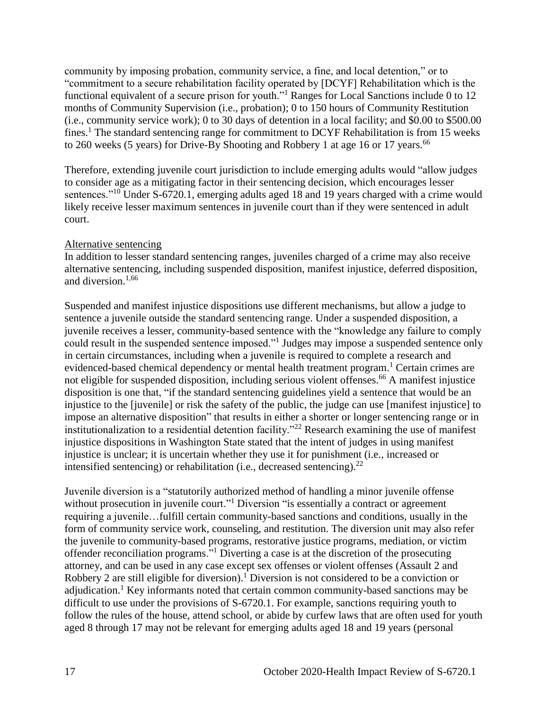community by imposing probation, community service, a fine, and local detention," or to "commitment to a secure rehabilitation facility operated by [DCYF] Rehabilitation which is the functional equivalent of a secure prison for youth."<sup>1</sup> Ranges for Local Sanctions include 0 to 12 months of Community Supervision (i.e., probation); 0 to 150 hours of Community Restitution (i.e., community service work); 0 to 30 days of detention in a local facility; and \$0.00 to \$500.00 fines.<sup>1</sup> The standard sentencing range for commitment to DCYF Rehabilitation is from 15 weeks to 260 weeks (5 years) for Drive-By Shooting and Robbery 1 at age 16 or 17 years.<sup>66</sup>

Therefore, extending juvenile court jurisdiction to include emerging adults would "allow judges to consider age as a mitigating factor in their sentencing decision, which encourages lesser sentences."<sup>10</sup> Under S-6720.1, emerging adults aged 18 and 19 years charged with a crime would likely receive lesser maximum sentences in juvenile court than if they were sentenced in adult court.

#### Alternative sentencing

In addition to lesser standard sentencing ranges, juveniles charged of a crime may also receive alternative sentencing, including suspended disposition, manifest injustice, deferred disposition, and diversion.1,66

Suspended and manifest injustice dispositions use different mechanisms, but allow a judge to sentence a juvenile outside the standard sentencing range. Under a suspended disposition, a juvenile receives a lesser, community-based sentence with the "knowledge any failure to comply could result in the suspended sentence imposed."<sup>1</sup> Judges may impose a suspended sentence only in certain circumstances, including when a juvenile is required to complete a research and evidenced-based chemical dependency or mental health treatment program.<sup>1</sup> Certain crimes are not eligible for suspended disposition, including serious violent offenses.<sup>66</sup> A manifest injustice disposition is one that, "if the standard sentencing guidelines yield a sentence that would be an injustice to the [juvenile] or risk the safety of the public, the judge can use [manifest injustice] to impose an alternative disposition" that results in either a shorter or longer sentencing range or in institutionalization to a residential detention facility."<sup>22</sup> Research examining the use of manifest injustice dispositions in Washington State stated that the intent of judges in using manifest injustice is unclear; it is uncertain whether they use it for punishment (i.e., increased or intensified sentencing) or rehabilitation (i.e., decreased sentencing). $^{22}$ 

Juvenile diversion is a "statutorily authorized method of handling a minor juvenile offense without prosecution in juvenile court."<sup>1</sup> Diversion "is essentially a contract or agreement requiring a juvenile…fulfill certain community-based sanctions and conditions, usually in the form of community service work, counseling, and restitution. The diversion unit may also refer the juvenile to community-based programs, restorative justice programs, mediation, or victim offender reconciliation programs."<sup>1</sup> Diverting a case is at the discretion of the prosecuting attorney, and can be used in any case except sex offenses or violent offenses (Assault 2 and Robbery 2 are still eligible for diversion).<sup>1</sup> Diversion is not considered to be a conviction or adjudication.<sup>1</sup> Key informants noted that certain common community-based sanctions may be difficult to use under the provisions of S-6720.1. For example, sanctions requiring youth to follow the rules of the house, attend school, or abide by curfew laws that are often used for youth aged 8 through 17 may not be relevant for emerging adults aged 18 and 19 years (personal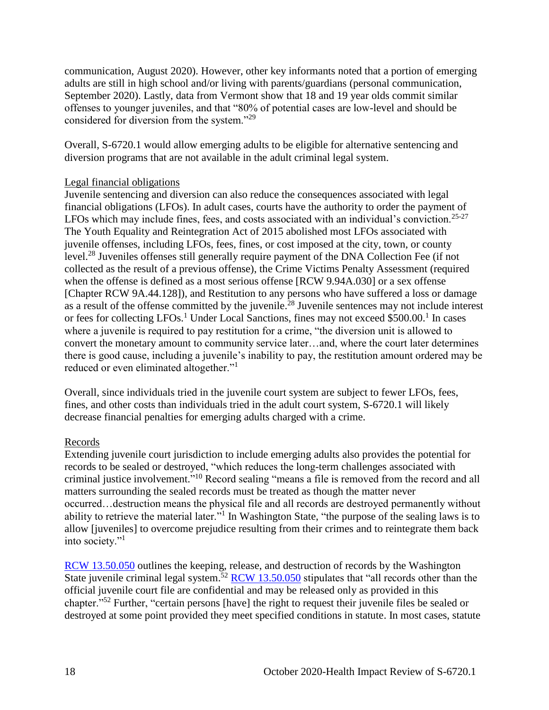communication, August 2020). However, other key informants noted that a portion of emerging adults are still in high school and/or living with parents/guardians (personal communication, September 2020). Lastly, data from Vermont show that 18 and 19 year olds commit similar offenses to younger juveniles, and that "80% of potential cases are low-level and should be considered for diversion from the system."<sup>29</sup>

Overall, S-6720.1 would allow emerging adults to be eligible for alternative sentencing and diversion programs that are not available in the adult criminal legal system.

#### Legal financial obligations

Juvenile sentencing and diversion can also reduce the consequences associated with legal financial obligations (LFOs). In adult cases, courts have the authority to order the payment of LFOs which may include fines, fees, and costs associated with an individual's conviction.<sup>25-27</sup> The Youth Equality and Reintegration Act of 2015 abolished most LFOs associated with juvenile offenses, including LFOs, fees, fines, or cost imposed at the city, town, or county level.<sup>28</sup> Juveniles offenses still generally require payment of the DNA Collection Fee (if not collected as the result of a previous offense), the Crime Victims Penalty Assessment (required when the offense is defined as a most serious offense [RCW 9.94A.030] or a sex offense [Chapter RCW 9A.44.128]), and Restitution to any persons who have suffered a loss or damage as a result of the offense committed by the juvenile.<sup>28</sup> Juvenile sentences may not include interest or fees for collecting LFOs.<sup>1</sup> Under Local Sanctions, fines may not exceed \$500.00.<sup>1</sup> In cases where a juvenile is required to pay restitution for a crime, "the diversion unit is allowed to convert the monetary amount to community service later…and, where the court later determines there is good cause, including a juvenile's inability to pay, the restitution amount ordered may be reduced or even eliminated altogether."

Overall, since individuals tried in the juvenile court system are subject to fewer LFOs, fees, fines, and other costs than individuals tried in the adult court system, S-6720.1 will likely decrease financial penalties for emerging adults charged with a crime.

#### Records

Extending juvenile court jurisdiction to include emerging adults also provides the potential for records to be sealed or destroyed, "which reduces the long-term challenges associated with criminal justice involvement." <sup>10</sup> Record sealing "means a file is removed from the record and all matters surrounding the sealed records must be treated as though the matter never occurred…destruction means the physical file and all records are destroyed permanently without ability to retrieve the material later."<sup>1</sup> In Washington State, "the purpose of the sealing laws is to allow [juveniles] to overcome prejudice resulting from their crimes and to reintegrate them back into society."<sup>1</sup>

[RCW 13.50.050](https://app.leg.wa.gov/RCW/default.aspx?cite=13.50.050) outlines the keeping, release, and destruction of records by the Washington State juvenile criminal legal system.<sup>52</sup> [RCW 13.50.050](https://app.leg.wa.gov/RCW/default.aspx?cite=13.50.050) stipulates that "all records other than the official juvenile court file are confidential and may be released only as provided in this chapter."<sup>52</sup> Further, "certain persons [have] the right to request their juvenile files be sealed or destroyed at some point provided they meet specified conditions in statute. In most cases, statute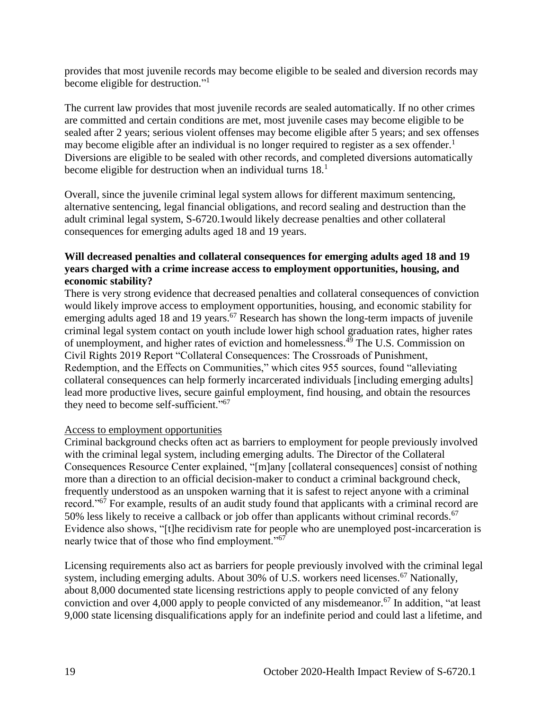provides that most juvenile records may become eligible to be sealed and diversion records may become eligible for destruction."<sup>1</sup>

The current law provides that most juvenile records are sealed automatically. If no other crimes are committed and certain conditions are met, most juvenile cases may become eligible to be sealed after 2 years; serious violent offenses may become eligible after 5 years; and sex offenses may become eligible after an individual is no longer required to register as a sex offender.<sup>1</sup> Diversions are eligible to be sealed with other records, and completed diversions automatically become eligible for destruction when an individual turns  $18<sup>1</sup>$ 

Overall, since the juvenile criminal legal system allows for different maximum sentencing, alternative sentencing, legal financial obligations, and record sealing and destruction than the adult criminal legal system, S-6720.1would likely decrease penalties and other collateral consequences for emerging adults aged 18 and 19 years.

## **Will decreased penalties and collateral consequences for emerging adults aged 18 and 19 years charged with a crime increase access to employment opportunities, housing, and economic stability?**

There is very strong evidence that decreased penalties and collateral consequences of conviction would likely improve access to employment opportunities, housing, and economic stability for emerging adults aged 18 and 19 years.<sup>67</sup> Research has shown the long-term impacts of juvenile criminal legal system contact on youth include lower high school graduation rates, higher rates of unemployment, and higher rates of eviction and homelessness. <sup>49</sup> The U.S. Commission on Civil Rights 2019 Report "Collateral Consequences: The Crossroads of Punishment, Redemption, and the Effects on Communities," which cites 955 sources, found "alleviating collateral consequences can help formerly incarcerated individuals [including emerging adults] lead more productive lives, secure gainful employment, find housing, and obtain the resources they need to become self-sufficient."<sup>67</sup>

#### Access to employment opportunities

Criminal background checks often act as barriers to employment for people previously involved with the criminal legal system, including emerging adults. The Director of the Collateral Consequences Resource Center explained, "[m]any [collateral consequences] consist of nothing more than a direction to an official decision-maker to conduct a criminal background check, frequently understood as an unspoken warning that it is safest to reject anyone with a criminal record."<sup>67</sup> For example, results of an audit study found that applicants with a criminal record are 50% less likely to receive a callback or job offer than applicants without criminal records.<sup>67</sup> Evidence also shows, "[t]he recidivism rate for people who are unemployed post-incarceration is nearly twice that of those who find employment."<sup>67</sup>

Licensing requirements also act as barriers for people previously involved with the criminal legal system, including emerging adults. About 30% of U.S. workers need licenses.<sup>67</sup> Nationally, about 8,000 documented state licensing restrictions apply to people convicted of any felony conviction and over 4,000 apply to people convicted of any misdemeanor.<sup>67</sup> In addition, "at least 9,000 state licensing disqualifications apply for an indefinite period and could last a lifetime, and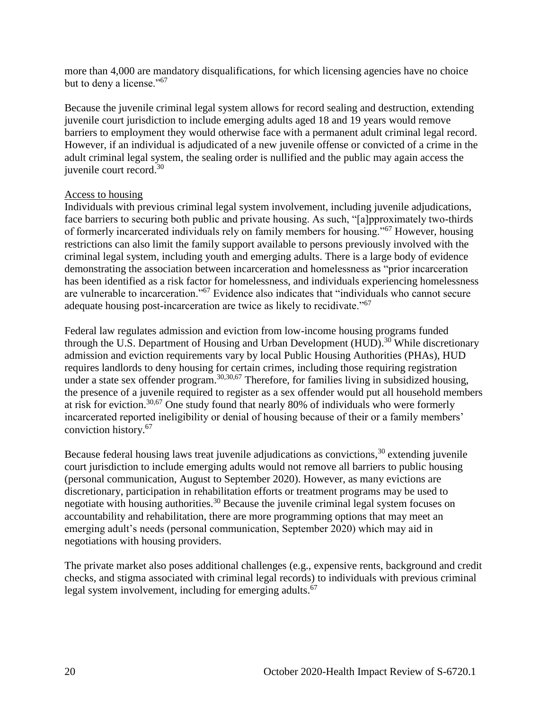more than 4,000 are mandatory disqualifications, for which licensing agencies have no choice but to deny a license."<sup>67</sup>

Because the juvenile criminal legal system allows for record sealing and destruction, extending juvenile court jurisdiction to include emerging adults aged 18 and 19 years would remove barriers to employment they would otherwise face with a permanent adult criminal legal record. However, if an individual is adjudicated of a new juvenile offense or convicted of a crime in the adult criminal legal system, the sealing order is nullified and the public may again access the iuvenile court record. $30$ 

#### Access to housing

Individuals with previous criminal legal system involvement, including juvenile adjudications, face barriers to securing both public and private housing. As such, "[a]pproximately two-thirds of formerly incarcerated individuals rely on family members for housing."<sup>67</sup> However, housing restrictions can also limit the family support available to persons previously involved with the criminal legal system, including youth and emerging adults. There is a large body of evidence demonstrating the association between incarceration and homelessness as "prior incarceration has been identified as a risk factor for homelessness, and individuals experiencing homelessness are vulnerable to incarceration."<sup>67</sup> Evidence also indicates that "individuals who cannot secure adequate housing post-incarceration are twice as likely to recidivate."<sup>67</sup>

Federal law regulates admission and eviction from low-income housing programs funded through the U.S. Department of Housing and Urban Development (HUD).<sup>30</sup> While discretionary admission and eviction requirements vary by local Public Housing Authorities (PHAs), HUD requires landlords to deny housing for certain crimes, including those requiring registration under a state sex offender program.<sup>30,30,67</sup> Therefore, for families living in subsidized housing, the presence of a juvenile required to register as a sex offender would put all household members at risk for eviction.30,67 One study found that nearly 80% of individuals who were formerly incarcerated reported ineligibility or denial of housing because of their or a family members' conviction history.<sup>67</sup>

Because federal housing laws treat juvenile adjudications as convictions,  $30$  extending juvenile court jurisdiction to include emerging adults would not remove all barriers to public housing (personal communication, August to September 2020). However, as many evictions are discretionary, participation in rehabilitation efforts or treatment programs may be used to negotiate with housing authorities.<sup>30</sup> Because the juvenile criminal legal system focuses on accountability and rehabilitation, there are more programming options that may meet an emerging adult's needs (personal communication, September 2020) which may aid in negotiations with housing providers.

The private market also poses additional challenges (e.g., expensive rents, background and credit checks, and stigma associated with criminal legal records) to individuals with previous criminal legal system involvement, including for emerging adults.<sup>67</sup>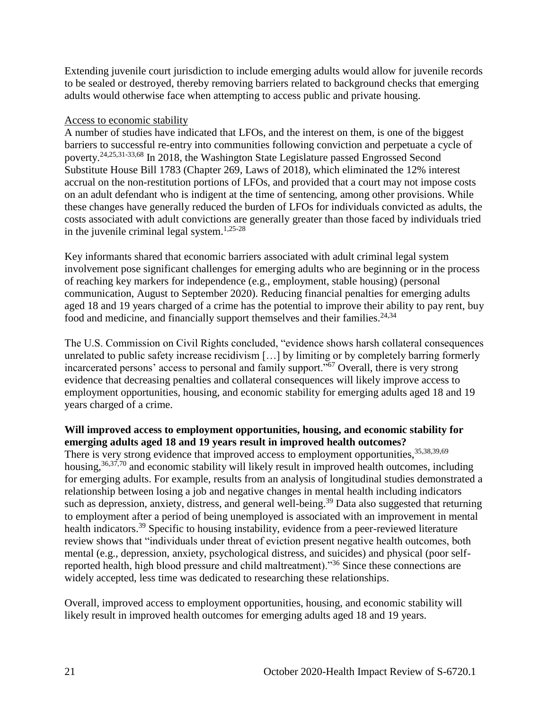Extending juvenile court jurisdiction to include emerging adults would allow for juvenile records to be sealed or destroyed, thereby removing barriers related to background checks that emerging adults would otherwise face when attempting to access public and private housing.

#### Access to economic stability

A number of studies have indicated that LFOs, and the interest on them, is one of the biggest barriers to successful re-entry into communities following conviction and perpetuate a cycle of poverty.24,25,31-33,68 In 2018, the Washington State Legislature passed Engrossed Second Substitute House Bill 1783 (Chapter 269, Laws of 2018), which eliminated the 12% interest accrual on the non-restitution portions of LFOs, and provided that a court may not impose costs on an adult defendant who is indigent at the time of sentencing, among other provisions. While these changes have generally reduced the burden of LFOs for individuals convicted as adults, the costs associated with adult convictions are generally greater than those faced by individuals tried in the juvenile criminal legal system. 1,25-28

Key informants shared that economic barriers associated with adult criminal legal system involvement pose significant challenges for emerging adults who are beginning or in the process of reaching key markers for independence (e.g., employment, stable housing) (personal communication, August to September 2020). Reducing financial penalties for emerging adults aged 18 and 19 years charged of a crime has the potential to improve their ability to pay rent, buy food and medicine, and financially support themselves and their families.<sup>24,34</sup>

The U.S. Commission on Civil Rights concluded, "evidence shows harsh collateral consequences unrelated to public safety increase recidivism […] by limiting or by completely barring formerly incarcerated persons' access to personal and family support."<sup>67</sup> Overall, there is very strong evidence that decreasing penalties and collateral consequences will likely improve access to employment opportunities, housing, and economic stability for emerging adults aged 18 and 19 years charged of a crime.

# **Will improved access to employment opportunities, housing, and economic stability for emerging adults aged 18 and 19 years result in improved health outcomes?**  There is very strong evidence that improved access to employment opportunities, 35,38,39,69

housing,<sup>36,37,70</sup> and economic stability will likely result in improved health outcomes, including for emerging adults. For example, results from an analysis of longitudinal studies demonstrated a relationship between losing a job and negative changes in mental health including indicators such as depression, anxiety, distress, and general well-being.<sup>39</sup> Data also suggested that returning to employment after a period of being unemployed is associated with an improvement in mental health indicators.<sup>39</sup> Specific to housing instability, evidence from a peer-reviewed literature review shows that "individuals under threat of eviction present negative health outcomes, both mental (e.g., depression, anxiety, psychological distress, and suicides) and physical (poor selfreported health, high blood pressure and child maltreatment)."<sup>36</sup> Since these connections are widely accepted, less time was dedicated to researching these relationships.

Overall, improved access to employment opportunities, housing, and economic stability will likely result in improved health outcomes for emerging adults aged 18 and 19 years.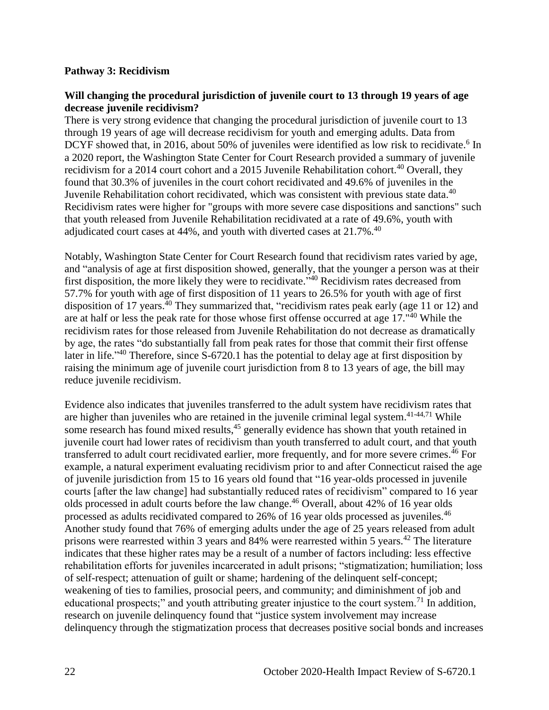#### **Pathway 3: Recidivism**

#### **Will changing the procedural jurisdiction of juvenile court to 13 through 19 years of age decrease juvenile recidivism?**

There is very strong evidence that changing the procedural jurisdiction of juvenile court to 13 through 19 years of age will decrease recidivism for youth and emerging adults. Data from DCYF showed that, in 2016, about 50% of juveniles were identified as low risk to recidivate.<sup>6</sup> In a 2020 report, the Washington State Center for Court Research provided a summary of juvenile recidivism for a 2014 court cohort and a 2015 Juvenile Rehabilitation cohort.<sup>40</sup> Overall, they found that 30.3% of juveniles in the court cohort recidivated and 49.6% of juveniles in the Juvenile Rehabilitation cohort recidivated, which was consistent with previous state data.<sup>40</sup> Recidivism rates were higher for "groups with more severe case dispositions and sanctions" such that youth released from Juvenile Rehabilitation recidivated at a rate of 49.6%, youth with adjudicated court cases at  $44\%$ , and youth with diverted cases at  $21.7\%$ .<sup>40</sup>

Notably, Washington State Center for Court Research found that recidivism rates varied by age, and "analysis of age at first disposition showed, generally, that the younger a person was at their first disposition, the more likely they were to recidivate."<sup>40</sup> Recidivism rates decreased from 57.7% for youth with age of first disposition of 11 years to 26.5% for youth with age of first disposition of 17 years.<sup>40</sup> They summarized that, "recidivism rates peak early (age 11 or 12) and are at half or less the peak rate for those whose first offense occurred at age 17."<sup>40</sup> While the recidivism rates for those released from Juvenile Rehabilitation do not decrease as dramatically by age, the rates "do substantially fall from peak rates for those that commit their first offense later in life.<sup> $,40$ </sup> Therefore, since S-6720.1 has the potential to delay age at first disposition by raising the minimum age of juvenile court jurisdiction from 8 to 13 years of age, the bill may reduce juvenile recidivism.

Evidence also indicates that juveniles transferred to the adult system have recidivism rates that are higher than juveniles who are retained in the juvenile criminal legal system.<sup>41-44,71</sup> While some research has found mixed results,<sup>45</sup> generally evidence has shown that youth retained in juvenile court had lower rates of recidivism than youth transferred to adult court, and that youth transferred to adult court recidivated earlier, more frequently, and for more severe crimes.<sup>46</sup> For example, a natural experiment evaluating recidivism prior to and after Connecticut raised the age of juvenile jurisdiction from 15 to 16 years old found that "16 year-olds processed in juvenile courts [after the law change] had substantially reduced rates of recidivism" compared to 16 year olds processed in adult courts before the law change. <sup>46</sup> Overall, about 42% of 16 year olds processed as adults recidivated compared to 26% of 16 year olds processed as juveniles.<sup>46</sup> Another study found that 76% of emerging adults under the age of 25 years released from adult prisons were rearrested within 3 years and  $84\%$  were rearrested within 5 years.<sup>42</sup> The literature indicates that these higher rates may be a result of a number of factors including: less effective rehabilitation efforts for juveniles incarcerated in adult prisons; "stigmatization; humiliation; loss of self-respect; attenuation of guilt or shame; hardening of the delinquent self-concept; weakening of ties to families, prosocial peers, and community; and diminishment of job and educational prospects;" and youth attributing greater injustice to the court system.<sup>71</sup> In addition, research on juvenile delinquency found that "justice system involvement may increase delinquency through the stigmatization process that decreases positive social bonds and increases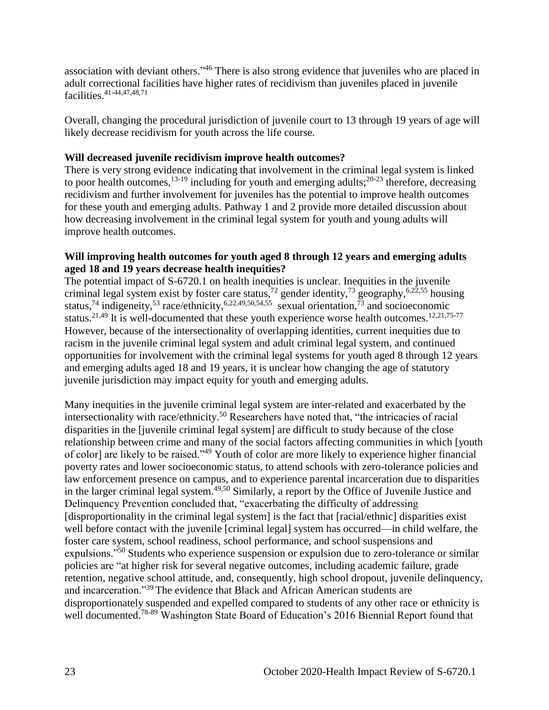association with deviant others."<sup>46</sup> There is also strong evidence that juveniles who are placed in adult correctional facilities have higher rates of recidivism than juveniles placed in juvenile facilities.41-44,47,48,71

Overall, changing the procedural jurisdiction of juvenile court to 13 through 19 years of age will likely decrease recidivism for youth across the life course.

## **Will decreased juvenile recidivism improve health outcomes?**

There is very strong evidence indicating that involvement in the criminal legal system is linked to poor health outcomes,  $^{13-19}$  including for youth and emerging adults;  $^{20-23}$  therefore, decreasing recidivism and further involvement for juveniles has the potential to improve health outcomes for these youth and emerging adults. Pathway 1 and 2 provide more detailed discussion about how decreasing involvement in the criminal legal system for youth and young adults will improve health outcomes.

#### **Will improving health outcomes for youth aged 8 through 12 years and emerging adults aged 18 and 19 years decrease health inequities?**

The potential impact of S-6720.1 on health inequities is unclear. Inequities in the juvenile criminal legal system exist by foster care status,<sup>72</sup> gender identity,<sup>73</sup> geography,<sup>6,22,55</sup> housing status,<sup>74</sup> indigeneity,<sup>53</sup> race/ethnicity,<sup>6,22,49,50,54,55</sup> sexual orientation,<sup>73</sup> and socioeconomic status.<sup>21,49</sup> It is well-documented that these youth experience worse health outcomes.<sup>12,21,75-77</sup> However, because of the intersectionality of overlapping identities, current inequities due to racism in the juvenile criminal legal system and adult criminal legal system, and continued opportunities for involvement with the criminal legal systems for youth aged 8 through 12 years and emerging adults aged 18 and 19 years, it is unclear how changing the age of statutory juvenile jurisdiction may impact equity for youth and emerging adults.

Many inequities in the juvenile criminal legal system are inter-related and exacerbated by the intersectionality with race/ethnicity.<sup>50</sup> Researchers have noted that, "the intricacies of racial disparities in the [juvenile criminal legal system] are difficult to study because of the close relationship between crime and many of the social factors affecting communities in which [youth of color] are likely to be raised."<sup>49</sup> Youth of color are more likely to experience higher financial poverty rates and lower socioeconomic status, to attend schools with zero-tolerance policies and law enforcement presence on campus, and to experience parental incarceration due to disparities in the larger criminal legal system.49,50 Similarly, a report by the Office of Juvenile Justice and Delinquency Prevention concluded that, "exacerbating the difficulty of addressing [disproportionality in the criminal legal system] is the fact that [racial/ethnic] disparities exist well before contact with the juvenile [criminal legal] system has occurred—in child welfare, the foster care system, school readiness, school performance, and school suspensions and expulsions.<sup>"50</sup> Students who experience suspension or expulsion due to zero-tolerance or similar policies are "at higher risk for several negative outcomes, including academic failure, grade retention, negative school attitude, and, consequently, high school dropout, juvenile delinquency, and incarceration."<sup>39</sup> The evidence that Black and African American students are disproportionately suspended and expelled compared to students of any other race or ethnicity is well documented.<sup>78-89</sup> Washington State Board of Education's 2016 Biennial Report found that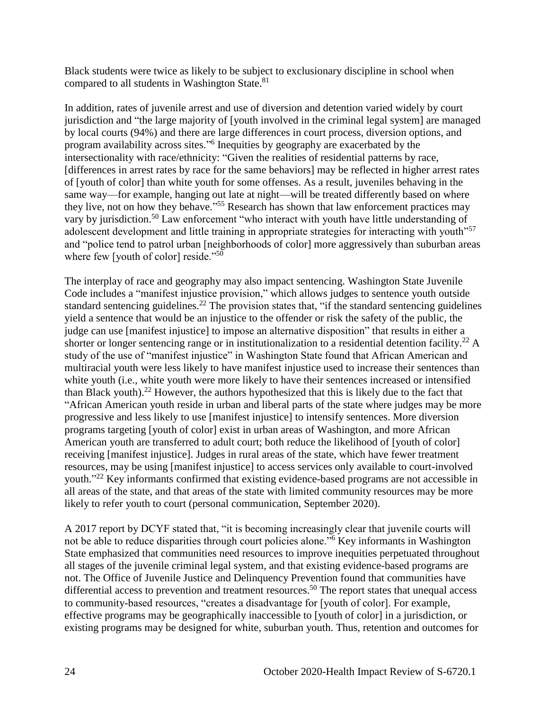Black students were twice as likely to be subject to exclusionary discipline in school when compared to all students in Washington State.<sup>81</sup>

In addition, rates of juvenile arrest and use of diversion and detention varied widely by court jurisdiction and "the large majority of [youth involved in the criminal legal system] are managed by local courts (94%) and there are large differences in court process, diversion options, and program availability across sites."<sup>6</sup> Inequities by geography are exacerbated by the intersectionality with race/ethnicity: "Given the realities of residential patterns by race, [differences in arrest rates by race for the same behaviors] may be reflected in higher arrest rates of [youth of color] than white youth for some offenses. As a result, juveniles behaving in the same way—for example, hanging out late at night—will be treated differently based on where they live, not on how they behave."<sup>55</sup> Research has shown that law enforcement practices may vary by jurisdiction.<sup>50</sup> Law enforcement "who interact with youth have little understanding of adolescent development and little training in appropriate strategies for interacting with youth<sup>157</sup> and "police tend to patrol urban [neighborhoods of color] more aggressively than suburban areas where few [youth of color] reside."<sup>50</sup>

The interplay of race and geography may also impact sentencing. Washington State Juvenile Code includes a "manifest injustice provision," which allows judges to sentence youth outside standard sentencing guidelines.<sup>22</sup> The provision states that, "if the standard sentencing guidelines yield a sentence that would be an injustice to the offender or risk the safety of the public, the judge can use [manifest injustice] to impose an alternative disposition" that results in either a shorter or longer sentencing range or in institutionalization to a residential detention facility.<sup>22</sup> A study of the use of "manifest injustice" in Washington State found that African American and multiracial youth were less likely to have manifest injustice used to increase their sentences than white youth (i.e., white youth were more likely to have their sentences increased or intensified than Black youth).<sup>22</sup> However, the authors hypothesized that this is likely due to the fact that "African American youth reside in urban and liberal parts of the state where judges may be more progressive and less likely to use [manifest injustice] to intensify sentences. More diversion programs targeting [youth of color] exist in urban areas of Washington, and more African American youth are transferred to adult court; both reduce the likelihood of [youth of color] receiving [manifest injustice]. Judges in rural areas of the state, which have fewer treatment resources, may be using [manifest injustice] to access services only available to court-involved youth."<sup>22</sup> Key informants confirmed that existing evidence-based programs are not accessible in all areas of the state, and that areas of the state with limited community resources may be more likely to refer youth to court (personal communication, September 2020).

A 2017 report by DCYF stated that, "it is becoming increasingly clear that juvenile courts will not be able to reduce disparities through court policies alone."<sup>6</sup> Key informants in Washington State emphasized that communities need resources to improve inequities perpetuated throughout all stages of the juvenile criminal legal system, and that existing evidence-based programs are not. The Office of Juvenile Justice and Delinquency Prevention found that communities have differential access to prevention and treatment resources.<sup>50</sup> The report states that unequal access to community-based resources, "creates a disadvantage for [youth of color]. For example, effective programs may be geographically inaccessible to [youth of color] in a jurisdiction, or existing programs may be designed for white, suburban youth. Thus, retention and outcomes for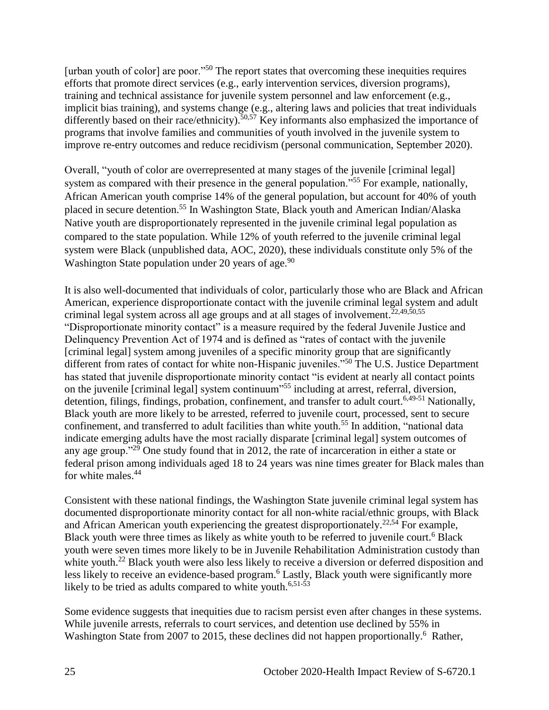[urban youth of color] are poor."<sup>50</sup> The report states that overcoming these inequities requires efforts that promote direct services (e.g., early intervention services, diversion programs), training and technical assistance for juvenile system personnel and law enforcement (e.g., implicit bias training), and systems change (e.g., altering laws and policies that treat individuals differently based on their race/ethnicity).<sup>50,57</sup> Key informants also emphasized the importance of programs that involve families and communities of youth involved in the juvenile system to improve re-entry outcomes and reduce recidivism (personal communication, September 2020).

Overall, "youth of color are overrepresented at many stages of the juvenile [criminal legal] system as compared with their presence in the general population."<sup>55</sup> For example, nationally, African American youth comprise 14% of the general population, but account for 40% of youth placed in secure detention.<sup>55</sup> In Washington State, Black youth and American Indian/Alaska Native youth are disproportionately represented in the juvenile criminal legal population as compared to the state population. While 12% of youth referred to the juvenile criminal legal system were Black (unpublished data, AOC, 2020), these individuals constitute only 5% of the Washington State population under 20 years of age. $90$ 

It is also well-documented that individuals of color, particularly those who are Black and African American, experience disproportionate contact with the juvenile criminal legal system and adult criminal legal system across all age groups and at all stages of involvement. 22,49,50,55 "Disproportionate minority contact" is a measure required by the federal Juvenile Justice and Delinquency Prevention Act of 1974 and is defined as "rates of contact with the juvenile [criminal legal] system among juveniles of a specific minority group that are significantly different from rates of contact for white non-Hispanic juveniles."<sup>50</sup> The U.S. Justice Department has stated that juvenile disproportionate minority contact "is evident at nearly all contact points on the juvenile [criminal legal] system continuum<sup>355</sup> including at arrest, referral, diversion, detention, filings, findings, probation, confinement, and transfer to adult court.<sup>6,49-51</sup> Nationally, Black youth are more likely to be arrested, referred to juvenile court, processed, sent to secure confinement, and transferred to adult facilities than white youth.<sup>55</sup> In addition, "national data indicate emerging adults have the most racially disparate [criminal legal] system outcomes of any age group."<sup>29</sup> One study found that in 2012, the rate of incarceration in either a state or federal prison among individuals aged 18 to 24 years was nine times greater for Black males than for white males.<sup>44</sup>

Consistent with these national findings, the Washington State juvenile criminal legal system has documented disproportionate minority contact for all non-white racial/ethnic groups, with Black and African American youth experiencing the greatest disproportionately.<sup>22,54</sup> For example, Black youth were three times as likely as white youth to be referred to juvenile court.<sup>6</sup> Black youth were seven times more likely to be in Juvenile Rehabilitation Administration custody than white youth.<sup>22</sup> Black youth were also less likely to receive a diversion or deferred disposition and less likely to receive an evidence-based program.<sup>6</sup> Lastly, Black youth were significantly more likely to be tried as adults compared to white youth.<sup>6,51-53</sup>

Some evidence suggests that inequities due to racism persist even after changes in these systems. While juvenile arrests, referrals to court services, and detention use declined by 55% in Washington State from 2007 to 2015, these declines did not happen proportionally.<sup>6</sup> Rather,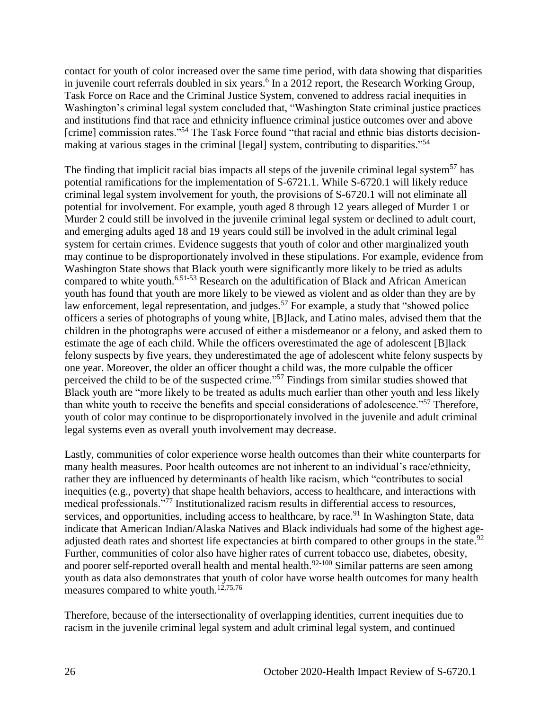contact for youth of color increased over the same time period, with data showing that disparities in juvenile court referrals doubled in six years. 6 In a 2012 report, the Research Working Group, Task Force on Race and the Criminal Justice System, convened to address racial inequities in Washington's criminal legal system concluded that, "Washington State criminal justice practices and institutions find that race and ethnicity influence criminal justice outcomes over and above [crime] commission rates."<sup>54</sup> The Task Force found "that racial and ethnic bias distorts decisionmaking at various stages in the criminal [legal] system, contributing to disparities."<sup>54</sup>

The finding that implicit racial bias impacts all steps of the juvenile criminal legal system<sup>57</sup> has potential ramifications for the implementation of S-6721.1. While S-6720.1 will likely reduce criminal legal system involvement for youth, the provisions of S-6720.1 will not eliminate all potential for involvement. For example, youth aged 8 through 12 years alleged of Murder 1 or Murder 2 could still be involved in the juvenile criminal legal system or declined to adult court, and emerging adults aged 18 and 19 years could still be involved in the adult criminal legal system for certain crimes. Evidence suggests that youth of color and other marginalized youth may continue to be disproportionately involved in these stipulations. For example, evidence from Washington State shows that Black youth were significantly more likely to be tried as adults compared to white youth.<sup>6,51-53</sup> Research on the adultification of Black and African American youth has found that youth are more likely to be viewed as violent and as older than they are by law enforcement, legal representation, and judges.<sup>57</sup> For example, a study that "showed police" officers a series of photographs of young white, [B]lack, and Latino males, advised them that the children in the photographs were accused of either a misdemeanor or a felony, and asked them to estimate the age of each child. While the officers overestimated the age of adolescent [B]lack felony suspects by five years, they underestimated the age of adolescent white felony suspects by one year. Moreover, the older an officer thought a child was, the more culpable the officer perceived the child to be of the suspected crime."<sup>57</sup> Findings from similar studies showed that Black youth are "more likely to be treated as adults much earlier than other youth and less likely than white youth to receive the benefits and special considerations of adolescence."<sup>57</sup> Therefore, youth of color may continue to be disproportionately involved in the juvenile and adult criminal legal systems even as overall youth involvement may decrease.

Lastly, communities of color experience worse health outcomes than their white counterparts for many health measures. Poor health outcomes are not inherent to an individual's race/ethnicity, rather they are influenced by determinants of health like racism, which "contributes to social inequities (e.g., poverty) that shape health behaviors, access to healthcare, and interactions with medical professionals."<sup>77</sup> Institutionalized racism results in differential access to resources, services, and opportunities, including access to healthcare, by race.<sup>91</sup> In Washington State, data indicate that American Indian/Alaska Natives and Black individuals had some of the highest ageadjusted death rates and shortest life expectancies at birth compared to other groups in the state.<sup>92</sup> Further, communities of color also have higher rates of current tobacco use, diabetes, obesity, and poorer self-reported overall health and mental health.<sup>92-100</sup> Similar patterns are seen among youth as data also demonstrates that youth of color have worse health outcomes for many health measures compared to white youth.<sup>12,75,76</sup>

Therefore, because of the intersectionality of overlapping identities, current inequities due to racism in the juvenile criminal legal system and adult criminal legal system, and continued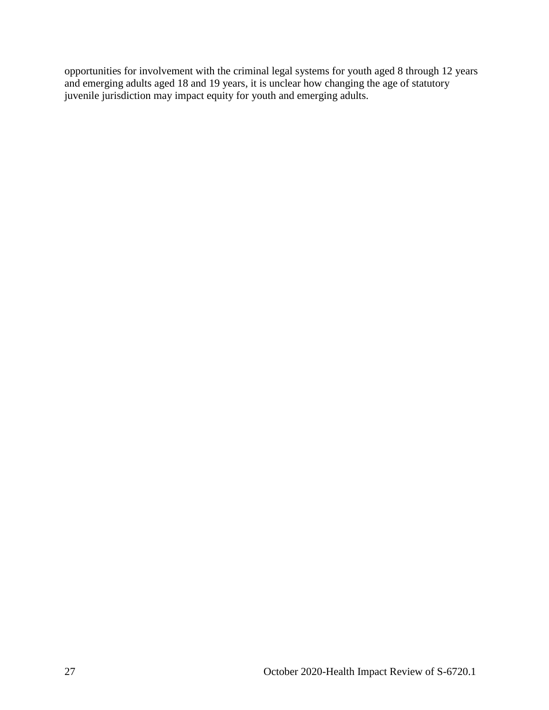<span id="page-28-0"></span>opportunities for involvement with the criminal legal systems for youth aged 8 through 12 years and emerging adults aged 18 and 19 years, it is unclear how changing the age of statutory juvenile jurisdiction may impact equity for youth and emerging adults.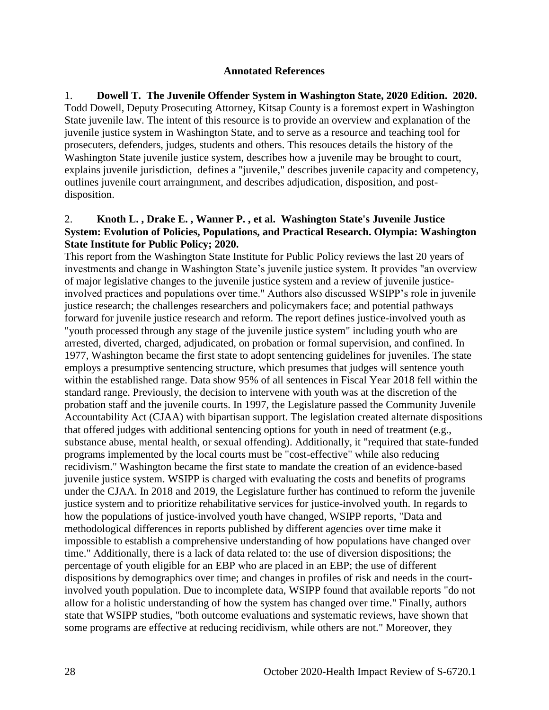#### **Annotated References**

1. **Dowell T. The Juvenile Offender System in Washington State, 2020 Edition. 2020.** Todd Dowell, Deputy Prosecuting Attorney, Kitsap County is a foremost expert in Washington State juvenile law. The intent of this resource is to provide an overview and explanation of the juvenile justice system in Washington State, and to serve as a resource and teaching tool for prosecuters, defenders, judges, students and others. This resouces details the history of the Washington State juvenile justice system, describes how a juvenile may be brought to court, explains juvenile jurisdiction, defines a "juvenile," describes juvenile capacity and competency, outlines juvenile court arraingnment, and describes adjudication, disposition, and postdisposition.

#### 2. **Knoth L. , Drake E. , Wanner P. , et al. Washington State's Juvenile Justice System: Evolution of Policies, Populations, and Practical Research. Olympia: Washington State Institute for Public Policy; 2020.**

This report from the Washington State Institute for Public Policy reviews the last 20 years of investments and change in Washington State's juvenile justice system. It provides "an overview of major legislative changes to the juvenile justice system and a review of juvenile justiceinvolved practices and populations over time." Authors also discussed WSIPP's role in juvenile justice research; the challenges researchers and policymakers face; and potential pathways forward for juvenile justice research and reform. The report defines justice-involved youth as "youth processed through any stage of the juvenile justice system" including youth who are arrested, diverted, charged, adjudicated, on probation or formal supervision, and confined. In 1977, Washington became the first state to adopt sentencing guidelines for juveniles. The state employs a presumptive sentencing structure, which presumes that judges will sentence youth within the established range. Data show 95% of all sentences in Fiscal Year 2018 fell within the standard range. Previously, the decision to intervene with youth was at the discretion of the probation staff and the juvenile courts. In 1997, the Legislature passed the Community Juvenile Accountability Act (CJAA) with bipartisan support. The legislation created alternate dispositions that offered judges with additional sentencing options for youth in need of treatment (e.g., substance abuse, mental health, or sexual offending). Additionally, it "required that state-funded programs implemented by the local courts must be "cost-effective" while also reducing recidivism." Washington became the first state to mandate the creation of an evidence-based juvenile justice system. WSIPP is charged with evaluating the costs and benefits of programs under the CJAA. In 2018 and 2019, the Legislature further has continued to reform the juvenile justice system and to prioritize rehabilitative services for justice-involved youth. In regards to how the populations of justice-involved youth have changed, WSIPP reports, "Data and methodological differences in reports published by different agencies over time make it impossible to establish a comprehensive understanding of how populations have changed over time." Additionally, there is a lack of data related to: the use of diversion dispositions; the percentage of youth eligible for an EBP who are placed in an EBP; the use of different dispositions by demographics over time; and changes in profiles of risk and needs in the courtinvolved youth population. Due to incomplete data, WSIPP found that available reports "do not allow for a holistic understanding of how the system has changed over time." Finally, authors state that WSIPP studies, "both outcome evaluations and systematic reviews, have shown that some programs are effective at reducing recidivism, while others are not." Moreover, they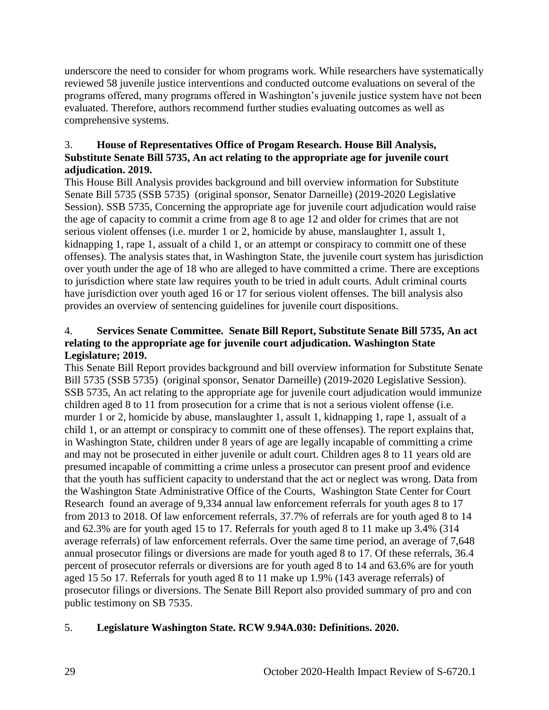underscore the need to consider for whom programs work. While researchers have systematically reviewed 58 juvenile justice interventions and conducted outcome evaluations on several of the programs offered, many programs offered in Washington's juvenile justice system have not been evaluated. Therefore, authors recommend further studies evaluating outcomes as well as comprehensive systems.

## 3. **House of Representatives Office of Progam Research. House Bill Analysis, Substitute Senate Bill 5735, An act relating to the appropriate age for juvenile court adjudication. 2019.**

This House Bill Analysis provides background and bill overview information for Substitute Senate Bill 5735 (SSB 5735) (original sponsor, Senator Darneille) (2019-2020 Legislative Session). SSB 5735, Concerning the appropriate age for juvenile court adjudication would raise the age of capacity to commit a crime from age 8 to age 12 and older for crimes that are not serious violent offenses (i.e. murder 1 or 2, homicide by abuse, manslaughter 1, assult 1, kidnapping 1, rape 1, assualt of a child 1, or an attempt or conspiracy to committ one of these offenses). The analysis states that, in Washington State, the juvenile court system has jurisdiction over youth under the age of 18 who are alleged to have committed a crime. There are exceptions to jurisdiction where state law requires youth to be tried in adult courts. Adult criminal courts have jurisdiction over youth aged 16 or 17 for serious violent offenses. The bill analysis also provides an overview of sentencing guidelines for juvenile court dispositions.

## 4. **Services Senate Committee. Senate Bill Report, Substitute Senate Bill 5735, An act relating to the appropriate age for juvenile court adjudication. Washington State Legislature; 2019.**

This Senate Bill Report provides background and bill overview information for Substitute Senate Bill 5735 (SSB 5735) (original sponsor, Senator Darneille) (2019-2020 Legislative Session). SSB 5735, An act relating to the appropriate age for juvenile court adjudication would immunize children aged 8 to 11 from prosecution for a crime that is not a serious violent offense (i.e. murder 1 or 2, homicide by abuse, manslaughter 1, assult 1, kidnapping 1, rape 1, assualt of a child 1, or an attempt or conspiracy to committ one of these offenses). The report explains that, in Washington State, children under 8 years of age are legally incapable of committing a crime and may not be prosecuted in either juvenile or adult court. Children ages 8 to 11 years old are presumed incapable of committing a crime unless a prosecutor can present proof and evidence that the youth has sufficient capacity to understand that the act or neglect was wrong. Data from the Washington State Administrative Office of the Courts, Washington State Center for Court Research found an average of 9,334 annual law enforcement referrals for youth ages 8 to 17 from 2013 to 2018. Of law enforcement referrals, 37.7% of referrals are for youth aged 8 to 14 and 62.3% are for youth aged 15 to 17. Referrals for youth aged 8 to 11 make up 3.4% (314 average referrals) of law enforcement referrals. Over the same time period, an average of 7,648 annual prosecutor filings or diversions are made for youth aged 8 to 17. Of these referrals, 36.4 percent of prosecutor referrals or diversions are for youth aged 8 to 14 and 63.6% are for youth aged 15 5o 17. Referrals for youth aged 8 to 11 make up 1.9% (143 average referrals) of prosecutor filings or diversions. The Senate Bill Report also provided summary of pro and con public testimony on SB 7535.

# 5. **Legislature Washington State. RCW 9.94A.030: Definitions. 2020.**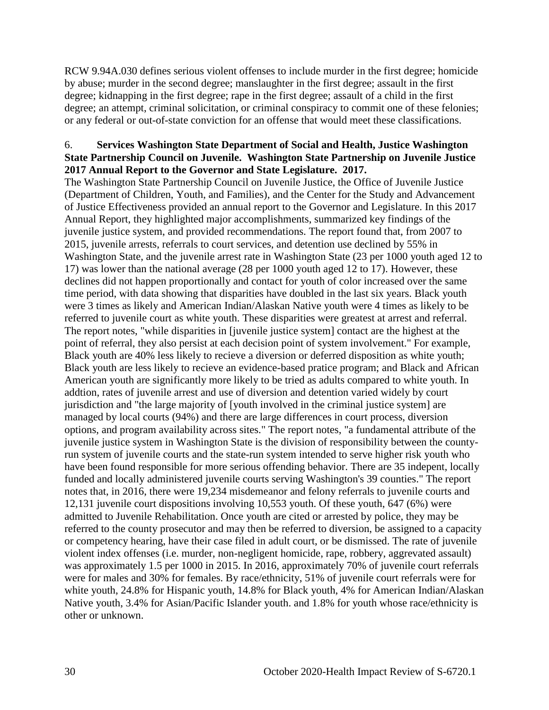RCW 9.94A.030 defines serious violent offenses to include murder in the first degree; homicide by abuse; murder in the second degree; manslaughter in the first degree; assault in the first degree; kidnapping in the first degree; rape in the first degree; assault of a child in the first degree; an attempt, criminal solicitation, or criminal conspiracy to commit one of these felonies; or any federal or out-of-state conviction for an offense that would meet these classifications.

#### 6. **Services Washington State Department of Social and Health, Justice Washington State Partnership Council on Juvenile. Washington State Partnership on Juvenile Justice 2017 Annual Report to the Governor and State Legislature. 2017.**

The Washington State Partnership Council on Juvenile Justice, the Office of Juvenile Justice (Department of Children, Youth, and Families), and the Center for the Study and Advancement of Justice Effectiveness provided an annual report to the Governor and Legislature. In this 2017 Annual Report, they highlighted major accomplishments, summarized key findings of the juvenile justice system, and provided recommendations. The report found that, from 2007 to 2015, juvenile arrests, referrals to court services, and detention use declined by 55% in Washington State, and the juvenile arrest rate in Washington State (23 per 1000 youth aged 12 to 17) was lower than the national average (28 per 1000 youth aged 12 to 17). However, these declines did not happen proportionally and contact for youth of color increased over the same time period, with data showing that disparities have doubled in the last six years. Black youth were 3 times as likely and American Indian/Alaskan Native youth were 4 times as likely to be referred to juvenile court as white youth. These disparities were greatest at arrest and referral. The report notes, "while disparities in [juvenile justice system] contact are the highest at the point of referral, they also persist at each decision point of system involvement." For example, Black youth are 40% less likely to recieve a diversion or deferred disposition as white youth; Black youth are less likely to recieve an evidence-based pratice program; and Black and African American youth are significantly more likely to be tried as adults compared to white youth. In addtion, rates of juvenile arrest and use of diversion and detention varied widely by court jurisdiction and "the large majority of [youth involved in the criminal justice system] are managed by local courts (94%) and there are large differences in court process, diversion options, and program availability across sites." The report notes, "a fundamental attribute of the juvenile justice system in Washington State is the division of responsibility between the countyrun system of juvenile courts and the state-run system intended to serve higher risk youth who have been found responsible for more serious offending behavior. There are 35 indepent, locally funded and locally administered juvenile courts serving Washington's 39 counties." The report notes that, in 2016, there were 19,234 misdemeanor and felony referrals to juvenile courts and 12,131 juvenile court dispositions involving 10,553 youth. Of these youth, 647 (6%) were admitted to Juvenile Rehabilitation. Once youth are cited or arrested by police, they may be referred to the county prosecutor and may then be referred to diversion, be assigned to a capacity or competency hearing, have their case filed in adult court, or be dismissed. The rate of juvenile violent index offenses (i.e. murder, non-negligent homicide, rape, robbery, aggrevated assault) was approximately 1.5 per 1000 in 2015. In 2016, approximately 70% of juvenile court referrals were for males and 30% for females. By race/ethnicity, 51% of juvenile court referrals were for white youth, 24.8% for Hispanic youth, 14.8% for Black youth, 4% for American Indian/Alaskan Native youth, 3.4% for Asian/Pacific Islander youth. and 1.8% for youth whose race/ethnicity is other or unknown.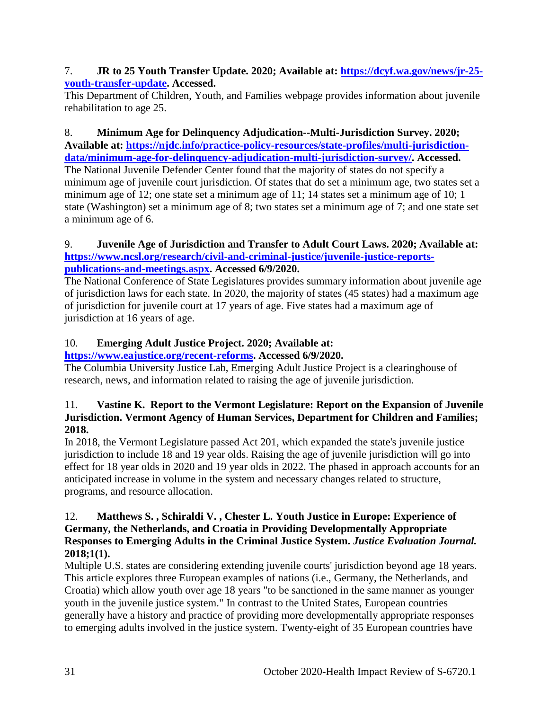## 7. **JR to 25 Youth Transfer Update. 2020; Available at: [https://dcyf.wa.gov/news/jr-25](https://dcyf.wa.gov/news/jr-25-youth-transfer-update) [youth-transfer-update.](https://dcyf.wa.gov/news/jr-25-youth-transfer-update) Accessed.**

This Department of Children, Youth, and Families webpage provides information about juvenile rehabilitation to age 25.

8. **Minimum Age for Delinquency Adjudication--Multi-Jurisdiction Survey. 2020; Available at: [https://njdc.info/practice-policy-resources/state-profiles/multi-jurisdiction](https://njdc.info/practice-policy-resources/state-profiles/multi-jurisdiction-data/minimum-age-for-delinquency-adjudication-multi-jurisdiction-survey/)[data/minimum-age-for-delinquency-adjudication-multi-jurisdiction-survey/.](https://njdc.info/practice-policy-resources/state-profiles/multi-jurisdiction-data/minimum-age-for-delinquency-adjudication-multi-jurisdiction-survey/) Accessed.**

The National Juvenile Defender Center found that the majority of states do not specify a minimum age of juvenile court jurisdiction. Of states that do set a minimum age, two states set a minimum age of 12; one state set a minimum age of 11; 14 states set a minimum age of 10; 1 state (Washington) set a minimum age of 8; two states set a minimum age of 7; and one state set a minimum age of 6.

## 9. **Juvenile Age of Jurisdiction and Transfer to Adult Court Laws. 2020; Available at: [https://www.ncsl.org/research/civil-and-criminal-justice/juvenile-justice-reports](https://www.ncsl.org/research/civil-and-criminal-justice/juvenile-justice-reports-publications-and-meetings.aspx)[publications-and-meetings.aspx.](https://www.ncsl.org/research/civil-and-criminal-justice/juvenile-justice-reports-publications-and-meetings.aspx) Accessed 6/9/2020.**

The National Conference of State Legislatures provides summary information about juvenile age of jurisdiction laws for each state. In 2020, the majority of states (45 states) had a maximum age of jurisdiction for juvenile court at 17 years of age. Five states had a maximum age of jurisdiction at 16 years of age.

# 10. **Emerging Adult Justice Project. 2020; Available at:**

# **[https://www.eajustice.org/recent-reforms.](https://www.eajustice.org/recent-reforms) Accessed 6/9/2020.**

The Columbia University Justice Lab, Emerging Adult Justice Project is a clearinghouse of research, news, and information related to raising the age of juvenile jurisdiction.

## 11. **Vastine K. Report to the Vermont Legislature: Report on the Expansion of Juvenile Jurisdiction. Vermont Agency of Human Services, Department for Children and Families; 2018.**

In 2018, the Vermont Legislature passed Act 201, which expanded the state's juvenile justice jurisdiction to include 18 and 19 year olds. Raising the age of juvenile jurisdiction will go into effect for 18 year olds in 2020 and 19 year olds in 2022. The phased in approach accounts for an anticipated increase in volume in the system and necessary changes related to structure, programs, and resource allocation.

## 12. **Matthews S. , Schiraldi V. , Chester L. Youth Justice in Europe: Experience of Germany, the Netherlands, and Croatia in Providing Developmentally Appropriate Responses to Emerging Adults in the Criminal Justice System.** *Justice Evaluation Journal.*  **2018;1(1).**

Multiple U.S. states are considering extending juvenile courts' jurisdiction beyond age 18 years. This article explores three European examples of nations (i.e., Germany, the Netherlands, and Croatia) which allow youth over age 18 years "to be sanctioned in the same manner as younger youth in the juvenile justice system." In contrast to the United States, European countries generally have a history and practice of providing more developmentally appropriate responses to emerging adults involved in the justice system. Twenty-eight of 35 European countries have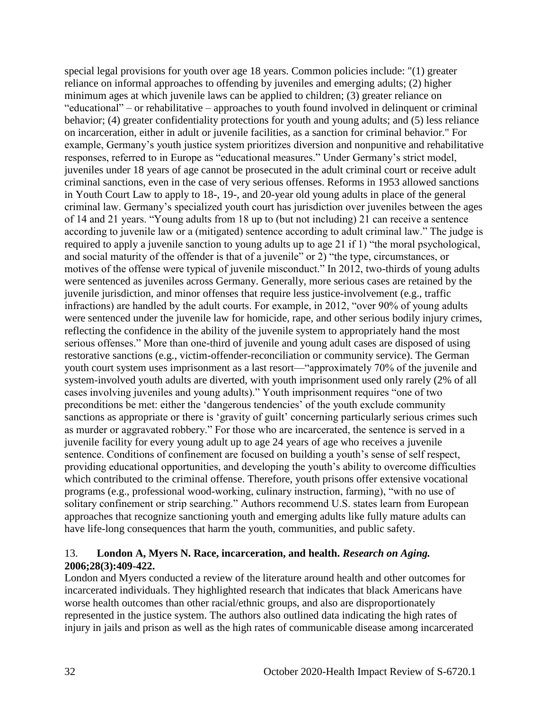special legal provisions for youth over age 18 years. Common policies include: "(1) greater reliance on informal approaches to offending by juveniles and emerging adults; (2) higher minimum ages at which juvenile laws can be applied to children; (3) greater reliance on "educational" – or rehabilitative – approaches to youth found involved in delinquent or criminal behavior; (4) greater confidentiality protections for youth and young adults; and (5) less reliance on incarceration, either in adult or juvenile facilities, as a sanction for criminal behavior." For example, Germany's youth justice system prioritizes diversion and nonpunitive and rehabilitative responses, referred to in Europe as "educational measures." Under Germany's strict model, juveniles under 18 years of age cannot be prosecuted in the adult criminal court or receive adult criminal sanctions, even in the case of very serious offenses. Reforms in 1953 allowed sanctions in Youth Court Law to apply to 18-, 19-, and 20-year old young adults in place of the general criminal law. Germany's specialized youth court has jurisdiction over juveniles between the ages of 14 and 21 years. "Young adults from 18 up to (but not including) 21 can receive a sentence according to juvenile law or a (mitigated) sentence according to adult criminal law." The judge is required to apply a juvenile sanction to young adults up to age 21 if 1) "the moral psychological, and social maturity of the offender is that of a juvenile" or 2) "the type, circumstances, or motives of the offense were typical of juvenile misconduct." In 2012, two-thirds of young adults were sentenced as juveniles across Germany. Generally, more serious cases are retained by the juvenile jurisdiction, and minor offenses that require less justice-involvement (e.g., traffic infractions) are handled by the adult courts. For example, in 2012, "over 90% of young adults were sentenced under the juvenile law for homicide, rape, and other serious bodily injury crimes, reflecting the confidence in the ability of the juvenile system to appropriately hand the most serious offenses." More than one-third of juvenile and young adult cases are disposed of using restorative sanctions (e.g., victim-offender-reconciliation or community service). The German youth court system uses imprisonment as a last resort—"approximately 70% of the juvenile and system-involved youth adults are diverted, with youth imprisonment used only rarely (2% of all cases involving juveniles and young adults)." Youth imprisonment requires "one of two preconditions be met: either the 'dangerous tendencies' of the youth exclude community sanctions as appropriate or there is 'gravity of guilt' concerning particularly serious crimes such as murder or aggravated robbery." For those who are incarcerated, the sentence is served in a juvenile facility for every young adult up to age 24 years of age who receives a juvenile sentence. Conditions of confinement are focused on building a youth's sense of self respect, providing educational opportunities, and developing the youth's ability to overcome difficulties which contributed to the criminal offense. Therefore, youth prisons offer extensive vocational programs (e.g., professional wood-working, culinary instruction, farming), "with no use of solitary confinement or strip searching." Authors recommend U.S. states learn from European approaches that recognize sanctioning youth and emerging adults like fully mature adults can have life-long consequences that harm the youth, communities, and public safety.

#### 13. **London A, Myers N. Race, incarceration, and health.** *Research on Aging.*  **2006;28(3):409-422.**

London and Myers conducted a review of the literature around health and other outcomes for incarcerated individuals. They highlighted research that indicates that black Americans have worse health outcomes than other racial/ethnic groups, and also are disproportionately represented in the justice system. The authors also outlined data indicating the high rates of injury in jails and prison as well as the high rates of communicable disease among incarcerated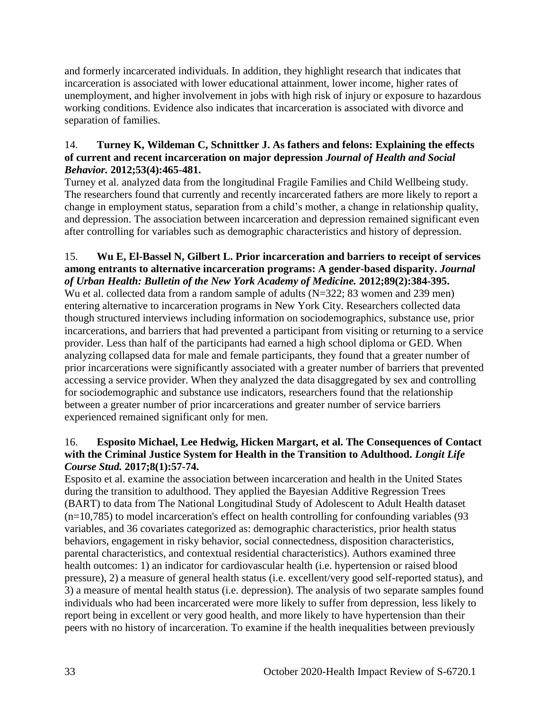and formerly incarcerated individuals. In addition, they highlight research that indicates that incarceration is associated with lower educational attainment, lower income, higher rates of unemployment, and higher involvement in jobs with high risk of injury or exposure to hazardous working conditions. Evidence also indicates that incarceration is associated with divorce and separation of families.

## 14. **Turney K, Wildeman C, Schnittker J. As fathers and felons: Explaining the effects of current and recent incarceration on major depression** *Journal of Health and Social Behavior.* **2012;53(4):465-481.**

Turney et al. analyzed data from the longitudinal Fragile Families and Child Wellbeing study. The researchers found that currently and recently incarcerated fathers are more likely to report a change in employment status, separation from a child's mother, a change in relationship quality, and depression. The association between incarceration and depression remained significant even after controlling for variables such as demographic characteristics and history of depression.

## 15. **Wu E, El-Bassel N, Gilbert L. Prior incarceration and barriers to receipt of services among entrants to alternative incarceration programs: A gender-based disparity.** *Journal of Urban Health: Bulletin of the New York Academy of Medicine.* **2012;89(2):384-395.**

Wu et al. collected data from a random sample of adults (N=322; 83 women and 239 men) entering alternative to incarceration programs in New York City. Researchers collected data though structured interviews including information on sociodemographics, substance use, prior incarcerations, and barriers that had prevented a participant from visiting or returning to a service provider. Less than half of the participants had earned a high school diploma or GED. When analyzing collapsed data for male and female participants, they found that a greater number of prior incarcerations were significantly associated with a greater number of barriers that prevented accessing a service provider. When they analyzed the data disaggregated by sex and controlling for sociodemographic and substance use indicators, researchers found that the relationship between a greater number of prior incarcerations and greater number of service barriers experienced remained significant only for men.

## 16. **Esposito Michael, Lee Hedwig, Hicken Margart, et al. The Consequences of Contact with the Criminal Justice System for Health in the Transition to Adulthood.** *Longit Life Course Stud.* **2017;8(1):57-74.**

Esposito et al. examine the association between incarceration and health in the United States during the transition to adulthood. They applied the Bayesian Additive Regression Trees (BART) to data from The National Longitudinal Study of Adolescent to Adult Health dataset  $(n=10,785)$  to model incarceration's effect on health controlling for confounding variables (93) variables, and 36 covariates categorized as: demographic characteristics, prior health status behaviors, engagement in risky behavior, social connectedness, disposition characteristics, parental characteristics, and contextual residential characteristics). Authors examined three health outcomes: 1) an indicator for cardiovascular health (i.e. hypertension or raised blood pressure), 2) a measure of general health status (i.e. excellent/very good self-reported status), and 3) a measure of mental health status (i.e. depression). The analysis of two separate samples found individuals who had been incarcerated were more likely to suffer from depression, less likely to report being in excellent or very good health, and more likely to have hypertension than their peers with no history of incarceration. To examine if the health inequalities between previously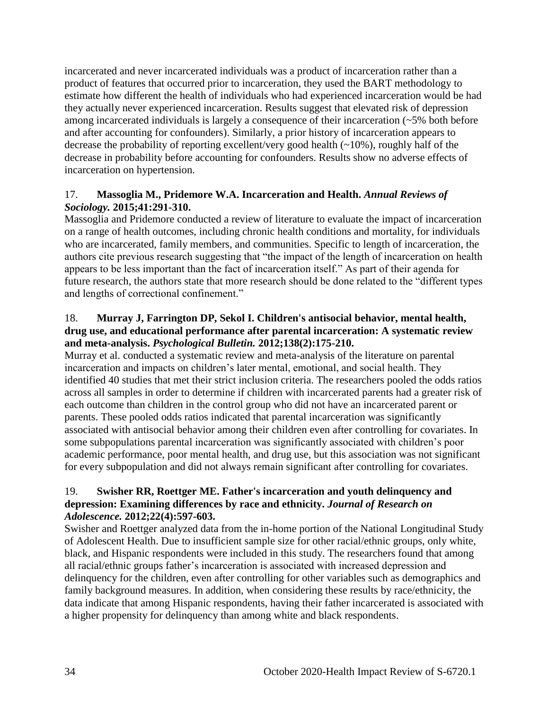incarcerated and never incarcerated individuals was a product of incarceration rather than a product of features that occurred prior to incarceration, they used the BART methodology to estimate how different the health of individuals who had experienced incarceration would be had they actually never experienced incarceration. Results suggest that elevated risk of depression among incarcerated individuals is largely a consequence of their incarceration (~5% both before and after accounting for confounders). Similarly, a prior history of incarceration appears to decrease the probability of reporting excellent/very good health (~10%), roughly half of the decrease in probability before accounting for confounders. Results show no adverse effects of incarceration on hypertension.

## 17. **Massoglia M., Pridemore W.A. Incarceration and Health.** *Annual Reviews of Sociology.* **2015;41:291-310.**

Massoglia and Pridemore conducted a review of literature to evaluate the impact of incarceration on a range of health outcomes, including chronic health conditions and mortality, for individuals who are incarcerated, family members, and communities. Specific to length of incarceration, the authors cite previous research suggesting that "the impact of the length of incarceration on health appears to be less important than the fact of incarceration itself." As part of their agenda for future research, the authors state that more research should be done related to the "different types and lengths of correctional confinement."

#### 18. **Murray J, Farrington DP, Sekol I. Children's antisocial behavior, mental health, drug use, and educational performance after parental incarceration: A systematic review and meta-analysis.** *Psychological Bulletin.* **2012;138(2):175-210.**

Murray et al. conducted a systematic review and meta-analysis of the literature on parental incarceration and impacts on children's later mental, emotional, and social health. They identified 40 studies that met their strict inclusion criteria. The researchers pooled the odds ratios across all samples in order to determine if children with incarcerated parents had a greater risk of each outcome than children in the control group who did not have an incarcerated parent or parents. These pooled odds ratios indicated that parental incarceration was significantly associated with antisocial behavior among their children even after controlling for covariates. In some subpopulations parental incarceration was significantly associated with children's poor academic performance, poor mental health, and drug use, but this association was not significant for every subpopulation and did not always remain significant after controlling for covariates.

## 19. **Swisher RR, Roettger ME. Father's incarceration and youth delinquency and depression: Examining differences by race and ethnicity.** *Journal of Research on Adolescence.* **2012;22(4):597-603.**

Swisher and Roettger analyzed data from the in-home portion of the National Longitudinal Study of Adolescent Health. Due to insufficient sample size for other racial/ethnic groups, only white, black, and Hispanic respondents were included in this study. The researchers found that among all racial/ethnic groups father's incarceration is associated with increased depression and delinquency for the children, even after controlling for other variables such as demographics and family background measures. In addition, when considering these results by race/ethnicity, the data indicate that among Hispanic respondents, having their father incarcerated is associated with a higher propensity for delinquency than among white and black respondents.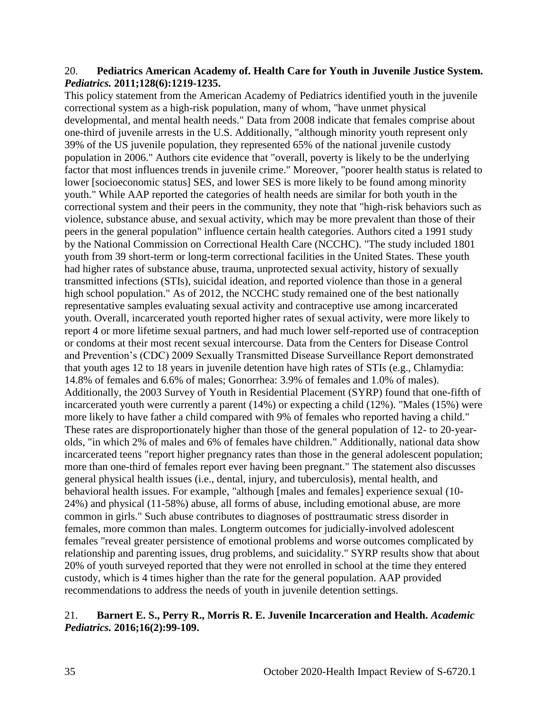#### 20. **Pediatrics American Academy of. Health Care for Youth in Juvenile Justice System.**  *Pediatrics.* **2011;128(6):1219-1235.**

This policy statement from the American Academy of Pediatrics identified youth in the juvenile correctional system as a high-risk population, many of whom, "have unmet physical developmental, and mental health needs." Data from 2008 indicate that females comprise about one-third of juvenile arrests in the U.S. Additionally, "although minority youth represent only 39% of the US juvenile population, they represented 65% of the national juvenile custody population in 2006." Authors cite evidence that "overall, poverty is likely to be the underlying factor that most influences trends in juvenile crime." Moreover, "poorer health status is related to lower [socioeconomic status] SES, and lower SES is more likely to be found among minority youth." While AAP reported the categories of health needs are similar for both youth in the correctional system and their peers in the community, they note that "high-risk behaviors such as violence, substance abuse, and sexual activity, which may be more prevalent than those of their peers in the general population" influence certain health categories. Authors cited a 1991 study by the National Commission on Correctional Health Care (NCCHC). "The study included 1801 youth from 39 short-term or long-term correctional facilities in the United States. These youth had higher rates of substance abuse, trauma, unprotected sexual activity, history of sexually transmitted infections (STIs), suicidal ideation, and reported violence than those in a general high school population." As of 2012, the NCCHC study remained one of the best nationally representative samples evaluating sexual activity and contraceptive use among incarcerated youth. Overall, incarcerated youth reported higher rates of sexual activity, were more likely to report 4 or more lifetime sexual partners, and had much lower self-reported use of contraception or condoms at their most recent sexual intercourse. Data from the Centers for Disease Control and Prevention's (CDC) 2009 Sexually Transmitted Disease Surveillance Report demonstrated that youth ages 12 to 18 years in juvenile detention have high rates of STIs (e.g., Chlamydia: 14.8% of females and 6.6% of males; Gonorrhea: 3.9% of females and 1.0% of males). Additionally, the 2003 Survey of Youth in Residential Placement (SYRP) found that one-fifth of incarcerated youth were currently a parent (14%) or expecting a child (12%). "Males (15%) were more likely to have father a child compared with 9% of females who reported having a child." These rates are disproportionately higher than those of the general population of 12- to 20-yearolds, "in which 2% of males and 6% of females have children." Additionally, national data show incarcerated teens "report higher pregnancy rates than those in the general adolescent population; more than one-third of females report ever having been pregnant." The statement also discusses general physical health issues (i.e., dental, injury, and tuberculosis), mental health, and behavioral health issues. For example, "although [males and females] experience sexual (10- 24%) and physical (11-58%) abuse, all forms of abuse, including emotional abuse, are more common in girls." Such abuse contributes to diagnoses of posttraumatic stress disorder in females, more common than males. Longterm outcomes for judicially-involved adolescent females "reveal greater persistence of emotional problems and worse outcomes complicated by relationship and parenting issues, drug problems, and suicidality." SYRP results show that about 20% of youth surveyed reported that they were not enrolled in school at the time they entered custody, which is 4 times higher than the rate for the general population. AAP provided recommendations to address the needs of youth in juvenile detention settings.

#### 21. **Barnert E. S., Perry R., Morris R. E. Juvenile Incarceration and Health.** *Academic Pediatrics.* **2016;16(2):99-109.**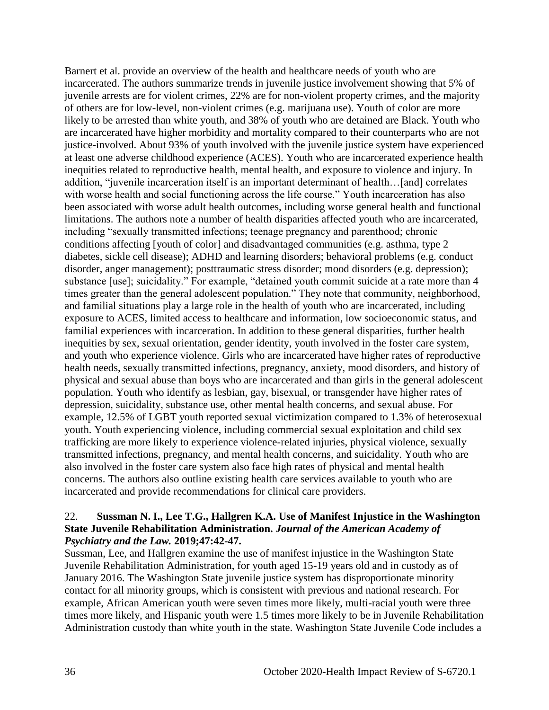Barnert et al. provide an overview of the health and healthcare needs of youth who are incarcerated. The authors summarize trends in juvenile justice involvement showing that 5% of juvenile arrests are for violent crimes, 22% are for non-violent property crimes, and the majority of others are for low-level, non-violent crimes (e.g. marijuana use). Youth of color are more likely to be arrested than white youth, and 38% of youth who are detained are Black. Youth who are incarcerated have higher morbidity and mortality compared to their counterparts who are not justice-involved. About 93% of youth involved with the juvenile justice system have experienced at least one adverse childhood experience (ACES). Youth who are incarcerated experience health inequities related to reproductive health, mental health, and exposure to violence and injury. In addition, "juvenile incarceration itself is an important determinant of health…[and] correlates with worse health and social functioning across the life course." Youth incarceration has also been associated with worse adult health outcomes, including worse general health and functional limitations. The authors note a number of health disparities affected youth who are incarcerated, including "sexually transmitted infections; teenage pregnancy and parenthood; chronic conditions affecting [youth of color] and disadvantaged communities (e.g. asthma, type 2 diabetes, sickle cell disease); ADHD and learning disorders; behavioral problems (e.g. conduct disorder, anger management); posttraumatic stress disorder; mood disorders (e.g. depression); substance [use]; suicidality." For example, "detained youth commit suicide at a rate more than 4 times greater than the general adolescent population." They note that community, neighborhood, and familial situations play a large role in the health of youth who are incarcerated, including exposure to ACES, limited access to healthcare and information, low socioeconomic status, and familial experiences with incarceration. In addition to these general disparities, further health inequities by sex, sexual orientation, gender identity, youth involved in the foster care system, and youth who experience violence. Girls who are incarcerated have higher rates of reproductive health needs, sexually transmitted infections, pregnancy, anxiety, mood disorders, and history of physical and sexual abuse than boys who are incarcerated and than girls in the general adolescent population. Youth who identify as lesbian, gay, bisexual, or transgender have higher rates of depression, suicidality, substance use, other mental health concerns, and sexual abuse. For example, 12.5% of LGBT youth reported sexual victimization compared to 1.3% of heterosexual youth. Youth experiencing violence, including commercial sexual exploitation and child sex trafficking are more likely to experience violence-related injuries, physical violence, sexually transmitted infections, pregnancy, and mental health concerns, and suicidality. Youth who are also involved in the foster care system also face high rates of physical and mental health concerns. The authors also outline existing health care services available to youth who are incarcerated and provide recommendations for clinical care providers.

#### 22. **Sussman N. I., Lee T.G., Hallgren K.A. Use of Manifest Injustice in the Washington State Juvenile Rehabilitation Administration.** *Journal of the American Academy of Psychiatry and the Law.* **2019;47:42-47.**

Sussman, Lee, and Hallgren examine the use of manifest injustice in the Washington State Juvenile Rehabilitation Administration, for youth aged 15-19 years old and in custody as of January 2016. The Washington State juvenile justice system has disproportionate minority contact for all minority groups, which is consistent with previous and national research. For example, African American youth were seven times more likely, multi-racial youth were three times more likely, and Hispanic youth were 1.5 times more likely to be in Juvenile Rehabilitation Administration custody than white youth in the state. Washington State Juvenile Code includes a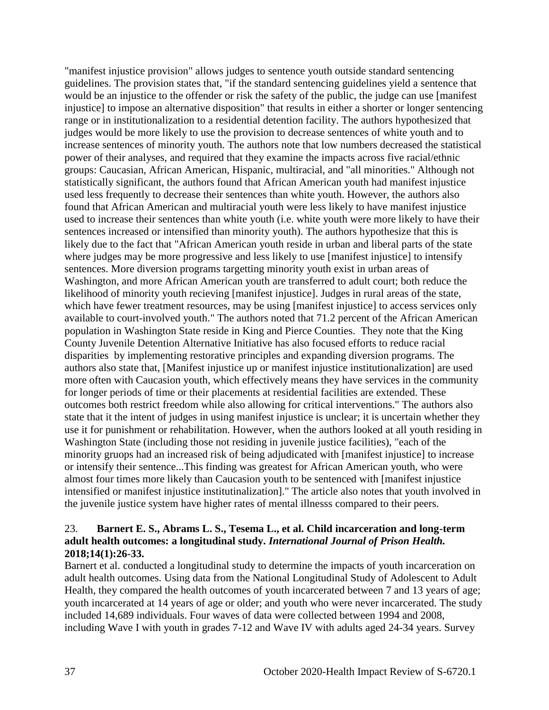"manifest injustice provision" allows judges to sentence youth outside standard sentencing guidelines. The provision states that, "if the standard sentencing guidelines yield a sentence that would be an injustice to the offender or risk the safety of the public, the judge can use [manifest injustice] to impose an alternative disposition" that results in either a shorter or longer sentencing range or in institutionalization to a residential detention facility. The authors hypothesized that judges would be more likely to use the provision to decrease sentences of white youth and to increase sentences of minority youth. The authors note that low numbers decreased the statistical power of their analyses, and required that they examine the impacts across five racial/ethnic groups: Caucasian, African American, Hispanic, multiracial, and "all minorities." Although not statistically significant, the authors found that African American youth had manifest injustice used less frequently to decrease their sentences than white youth. However, the authors also found that African American and multiracial youth were less likely to have manifest injustice used to increase their sentences than white youth (i.e. white youth were more likely to have their sentences increased or intensified than minority youth). The authors hypothesize that this is likely due to the fact that "African American youth reside in urban and liberal parts of the state where judges may be more progressive and less likely to use [manifest injustice] to intensify sentences. More diversion programs targetting minority youth exist in urban areas of Washington, and more African American youth are transferred to adult court; both reduce the likelihood of minority youth recieving [manifest injustice]. Judges in rural areas of the state, which have fewer treatment resources, may be using [manifest injustice] to access services only available to court-involved youth." The authors noted that 71.2 percent of the African American population in Washington State reside in King and Pierce Counties. They note that the King County Juvenile Detention Alternative Initiative has also focused efforts to reduce racial disparities by implementing restorative principles and expanding diversion programs. The authors also state that, [Manifest injustice up or manifest injustice institutionalization] are used more often with Caucasion youth, which effectively means they have services in the community for longer periods of time or their placements at residential facilities are extended. These outcomes both restrict freedom while also allowing for critical interventions." The authors also state that it the intent of judges in using manifest injustice is unclear; it is uncertain whether they use it for punishment or rehabilitation. However, when the authors looked at all youth residing in Washington State (including those not residing in juvenile justice facilities), "each of the minority gruops had an increased risk of being adjudicated with [manifest injustice] to increase or intensify their sentence...This finding was greatest for African American youth, who were almost four times more likely than Caucasion youth to be sentenced with [manifest injustice intensified or manifest injustice institutinalization]." The article also notes that youth involved in the juvenile justice system have higher rates of mental illnesss compared to their peers.

## 23. **Barnert E. S., Abrams L. S., Tesema L., et al. Child incarceration and long-term adult health outcomes: a longitudinal study.** *International Journal of Prison Health.*  **2018;14(1):26-33.**

Barnert et al. conducted a longitudinal study to determine the impacts of youth incarceration on adult health outcomes. Using data from the National Longitudinal Study of Adolescent to Adult Health, they compared the health outcomes of youth incarcerated between 7 and 13 years of age; youth incarcerated at 14 years of age or older; and youth who were never incarcerated. The study included 14,689 individuals. Four waves of data were collected between 1994 and 2008, including Wave I with youth in grades 7-12 and Wave IV with adults aged 24-34 years. Survey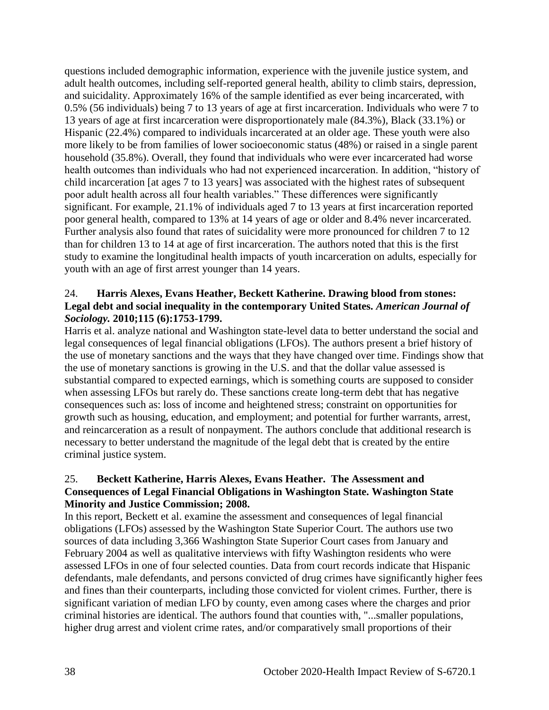questions included demographic information, experience with the juvenile justice system, and adult health outcomes, including self-reported general health, ability to climb stairs, depression, and suicidality. Approximately 16% of the sample identified as ever being incarcerated, with 0.5% (56 individuals) being 7 to 13 years of age at first incarceration. Individuals who were 7 to 13 years of age at first incarceration were disproportionately male (84.3%), Black (33.1%) or Hispanic (22.4%) compared to individuals incarcerated at an older age. These youth were also more likely to be from families of lower socioeconomic status (48%) or raised in a single parent household (35.8%). Overall, they found that individuals who were ever incarcerated had worse health outcomes than individuals who had not experienced incarceration. In addition, "history of child incarceration [at ages 7 to 13 years] was associated with the highest rates of subsequent poor adult health across all four health variables." These differences were significantly significant. For example, 21.1% of individuals aged 7 to 13 years at first incarceration reported poor general health, compared to 13% at 14 years of age or older and 8.4% never incarcerated. Further analysis also found that rates of suicidality were more pronounced for children 7 to 12 than for children 13 to 14 at age of first incarceration. The authors noted that this is the first study to examine the longitudinal health impacts of youth incarceration on adults, especially for youth with an age of first arrest younger than 14 years.

#### 24. **Harris Alexes, Evans Heather, Beckett Katherine. Drawing blood from stones: Legal debt and social inequality in the contemporary United States.** *American Journal of Sociology.* **2010;115 (6):1753-1799.**

Harris et al. analyze national and Washington state-level data to better understand the social and legal consequences of legal financial obligations (LFOs). The authors present a brief history of the use of monetary sanctions and the ways that they have changed over time. Findings show that the use of monetary sanctions is growing in the U.S. and that the dollar value assessed is substantial compared to expected earnings, which is something courts are supposed to consider when assessing LFOs but rarely do. These sanctions create long-term debt that has negative consequences such as: loss of income and heightened stress; constraint on opportunities for growth such as housing, education, and employment; and potential for further warrants, arrest, and reincarceration as a result of nonpayment. The authors conclude that additional research is necessary to better understand the magnitude of the legal debt that is created by the entire criminal justice system.

## 25. **Beckett Katherine, Harris Alexes, Evans Heather. The Assessment and Consequences of Legal Financial Obligations in Washington State. Washington State Minority and Justice Commission; 2008.**

In this report, Beckett et al. examine the assessment and consequences of legal financial obligations (LFOs) assessed by the Washington State Superior Court. The authors use two sources of data including 3,366 Washington State Superior Court cases from January and February 2004 as well as qualitative interviews with fifty Washington residents who were assessed LFOs in one of four selected counties. Data from court records indicate that Hispanic defendants, male defendants, and persons convicted of drug crimes have significantly higher fees and fines than their counterparts, including those convicted for violent crimes. Further, there is significant variation of median LFO by county, even among cases where the charges and prior criminal histories are identical. The authors found that counties with, "...smaller populations, higher drug arrest and violent crime rates, and/or comparatively small proportions of their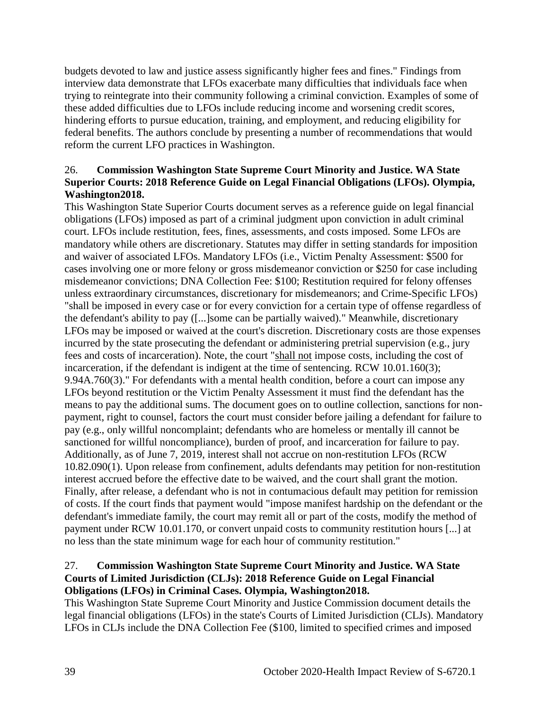budgets devoted to law and justice assess significantly higher fees and fines." Findings from interview data demonstrate that LFOs exacerbate many difficulties that individuals face when trying to reintegrate into their community following a criminal conviction. Examples of some of these added difficulties due to LFOs include reducing income and worsening credit scores, hindering efforts to pursue education, training, and employment, and reducing eligibility for federal benefits. The authors conclude by presenting a number of recommendations that would reform the current LFO practices in Washington.

## 26. **Commission Washington State Supreme Court Minority and Justice. WA State Superior Courts: 2018 Reference Guide on Legal Financial Obligations (LFOs). Olympia, Washington2018.**

This Washington State Superior Courts document serves as a reference guide on legal financial obligations (LFOs) imposed as part of a criminal judgment upon conviction in adult criminal court. LFOs include restitution, fees, fines, assessments, and costs imposed. Some LFOs are mandatory while others are discretionary. Statutes may differ in setting standards for imposition and waiver of associated LFOs. Mandatory LFOs (i.e., Victim Penalty Assessment: \$500 for cases involving one or more felony or gross misdemeanor conviction or \$250 for case including misdemeanor convictions; DNA Collection Fee: \$100; Restitution required for felony offenses unless extraordinary circumstances, discretionary for misdemeanors; and Crime-Specific LFOs) "shall be imposed in every case or for every conviction for a certain type of offense regardless of the defendant's ability to pay ([...]some can be partially waived)." Meanwhile, discretionary LFOs may be imposed or waived at the court's discretion. Discretionary costs are those expenses incurred by the state prosecuting the defendant or administering pretrial supervision (e.g., jury fees and costs of incarceration). Note, the court "shall not impose costs, including the cost of incarceration, if the defendant is indigent at the time of sentencing. RCW 10.01.160(3); 9.94A.760(3)." For defendants with a mental health condition, before a court can impose any LFOs beyond restitution or the Victim Penalty Assessment it must find the defendant has the means to pay the additional sums. The document goes on to outline collection, sanctions for nonpayment, right to counsel, factors the court must consider before jailing a defendant for failure to pay (e.g., only willful noncomplaint; defendants who are homeless or mentally ill cannot be sanctioned for willful noncompliance), burden of proof, and incarceration for failure to pay. Additionally, as of June 7, 2019, interest shall not accrue on non-restitution LFOs (RCW 10.82.090(1). Upon release from confinement, adults defendants may petition for non-restitution interest accrued before the effective date to be waived, and the court shall grant the motion. Finally, after release, a defendant who is not in contumacious default may petition for remission of costs. If the court finds that payment would "impose manifest hardship on the defendant or the defendant's immediate family, the court may remit all or part of the costs, modify the method of payment under RCW 10.01.170, or convert unpaid costs to community restitution hours [...] at no less than the state minimum wage for each hour of community restitution."

## 27. **Commission Washington State Supreme Court Minority and Justice. WA State Courts of Limited Jurisdiction (CLJs): 2018 Reference Guide on Legal Financial Obligations (LFOs) in Criminal Cases. Olympia, Washington2018.**

This Washington State Supreme Court Minority and Justice Commission document details the legal financial obligations (LFOs) in the state's Courts of Limited Jurisdiction (CLJs). Mandatory LFOs in CLJs include the DNA Collection Fee (\$100, limited to specified crimes and imposed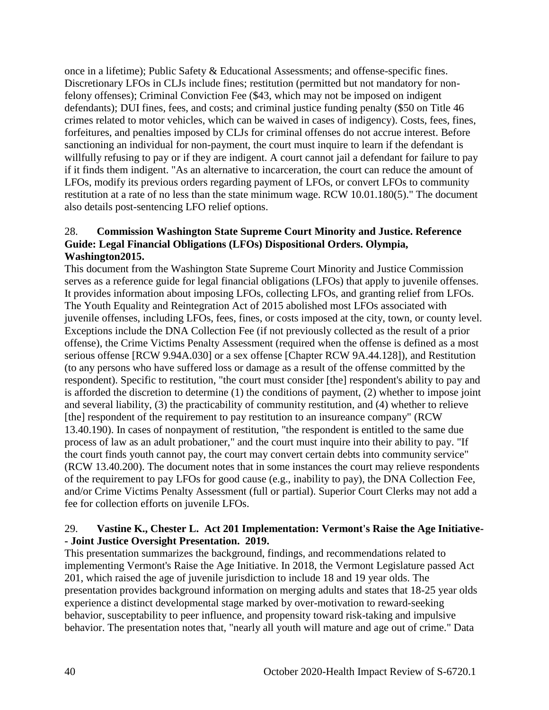once in a lifetime); Public Safety & Educational Assessments; and offense-specific fines. Discretionary LFOs in CLJs include fines; restitution (permitted but not mandatory for nonfelony offenses); Criminal Conviction Fee (\$43, which may not be imposed on indigent defendants); DUI fines, fees, and costs; and criminal justice funding penalty (\$50 on Title 46 crimes related to motor vehicles, which can be waived in cases of indigency). Costs, fees, fines, forfeitures, and penalties imposed by CLJs for criminal offenses do not accrue interest. Before sanctioning an individual for non-payment, the court must inquire to learn if the defendant is willfully refusing to pay or if they are indigent. A court cannot jail a defendant for failure to pay if it finds them indigent. "As an alternative to incarceration, the court can reduce the amount of LFOs, modify its previous orders regarding payment of LFOs, or convert LFOs to community restitution at a rate of no less than the state minimum wage. RCW 10.01.180(5)." The document also details post-sentencing LFO relief options.

## 28. **Commission Washington State Supreme Court Minority and Justice. Reference Guide: Legal Financial Obligations (LFOs) Dispositional Orders. Olympia, Washington2015.**

This document from the Washington State Supreme Court Minority and Justice Commission serves as a reference guide for legal financial obligations (LFOs) that apply to juvenile offenses. It provides information about imposing LFOs, collecting LFOs, and granting relief from LFOs. The Youth Equality and Reintegration Act of 2015 abolished most LFOs associated with juvenile offenses, including LFOs, fees, fines, or costs imposed at the city, town, or county level. Exceptions include the DNA Collection Fee (if not previously collected as the result of a prior offense), the Crime Victims Penalty Assessment (required when the offense is defined as a most serious offense [RCW 9.94A.030] or a sex offense [Chapter RCW 9A.44.128]), and Restitution (to any persons who have suffered loss or damage as a result of the offense committed by the respondent). Specific to restitution, "the court must consider [the] respondent's ability to pay and is afforded the discretion to determine (1) the conditions of payment, (2) whether to impose joint and several liability, (3) the practicability of community restitution, and (4) whether to relieve [the] respondent of the requirement to pay restitution to an insureance company" (RCW) 13.40.190). In cases of nonpayment of restitution, "the respondent is entitled to the same due process of law as an adult probationer," and the court must inquire into their ability to pay. "If the court finds youth cannot pay, the court may convert certain debts into community service" (RCW 13.40.200). The document notes that in some instances the court may relieve respondents of the requirement to pay LFOs for good cause (e.g., inability to pay), the DNA Collection Fee, and/or Crime Victims Penalty Assessment (full or partial). Superior Court Clerks may not add a fee for collection efforts on juvenile LFOs.

## 29. **Vastine K., Chester L. Act 201 Implementation: Vermont's Raise the Age Initiative- - Joint Justice Oversight Presentation. 2019.**

This presentation summarizes the background, findings, and recommendations related to implementing Vermont's Raise the Age Initiative. In 2018, the Vermont Legislature passed Act 201, which raised the age of juvenile jurisdiction to include 18 and 19 year olds. The presentation provides background information on merging adults and states that 18-25 year olds experience a distinct developmental stage marked by over-motivation to reward-seeking behavior, susceptability to peer influence, and propensity toward risk-taking and impulsive behavior. The presentation notes that, "nearly all youth will mature and age out of crime." Data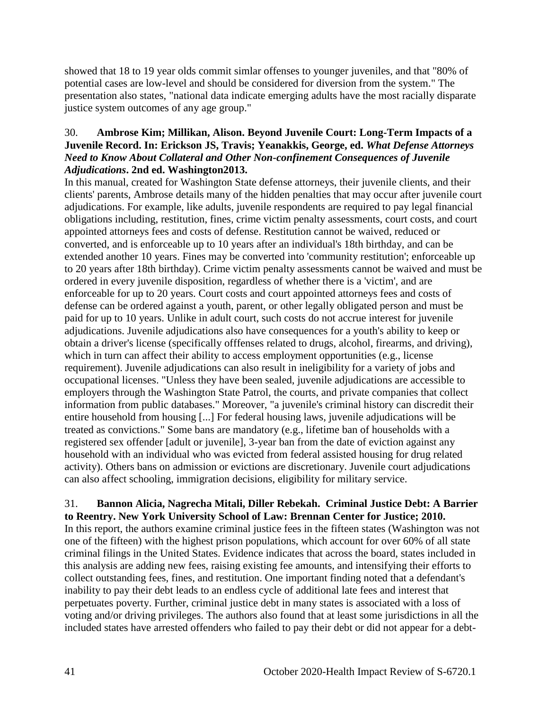showed that 18 to 19 year olds commit simlar offenses to younger juveniles, and that "80% of potential cases are low-level and should be considered for diversion from the system." The presentation also states, "national data indicate emerging adults have the most racially disparate justice system outcomes of any age group."

## 30. **Ambrose Kim; Millikan, Alison. Beyond Juvenile Court: Long-Term Impacts of a Juvenile Record. In: Erickson JS, Travis; Yeanakkis, George, ed.** *What Defense Attorneys Need to Know About Collateral and Other Non-confinement Consequences of Juvenile Adjudications***. 2nd ed. Washington2013.**

In this manual, created for Washington State defense attorneys, their juvenile clients, and their clients' parents, Ambrose details many of the hidden penalties that may occur after juvenile court adjudications. For example, like adults, juvenile respondents are required to pay legal financial obligations including, restitution, fines, crime victim penalty assessments, court costs, and court appointed attorneys fees and costs of defense. Restitution cannot be waived, reduced or converted, and is enforceable up to 10 years after an individual's 18th birthday, and can be extended another 10 years. Fines may be converted into 'community restitution'; enforceable up to 20 years after 18th birthday). Crime victim penalty assessments cannot be waived and must be ordered in every juvenile disposition, regardless of whether there is a 'victim', and are enforceable for up to 20 years. Court costs and court appointed attorneys fees and costs of defense can be ordered against a youth, parent, or other legally obligated person and must be paid for up to 10 years. Unlike in adult court, such costs do not accrue interest for juvenile adjudications. Juvenile adjudications also have consequences for a youth's ability to keep or obtain a driver's license (specifically offfenses related to drugs, alcohol, firearms, and driving), which in turn can affect their ability to access employment opportunities (e.g., license requirement). Juvenile adjudications can also result in ineligibility for a variety of jobs and occupational licenses. "Unless they have been sealed, juvenile adjudications are accessible to employers through the Washington State Patrol, the courts, and private companies that collect information from public databases." Moreover, "a juvenile's criminal history can discredit their entire household from housing [...] For federal housing laws, juvenile adjudications will be treated as convictions." Some bans are mandatory (e.g., lifetime ban of households with a registered sex offender [adult or juvenile], 3-year ban from the date of eviction against any household with an individual who was evicted from federal assisted housing for drug related activity). Others bans on admission or evictions are discretionary. Juvenile court adjudications can also affect schooling, immigration decisions, eligibility for military service.

#### 31. **Bannon Alicia, Nagrecha Mitali, Diller Rebekah. Criminal Justice Debt: A Barrier to Reentry. New York University School of Law: Brennan Center for Justice; 2010.**

In this report, the authors examine criminal justice fees in the fifteen states (Washington was not one of the fifteen) with the highest prison populations, which account for over 60% of all state criminal filings in the United States. Evidence indicates that across the board, states included in this analysis are adding new fees, raising existing fee amounts, and intensifying their efforts to collect outstanding fees, fines, and restitution. One important finding noted that a defendant's inability to pay their debt leads to an endless cycle of additional late fees and interest that perpetuates poverty. Further, criminal justice debt in many states is associated with a loss of voting and/or driving privileges. The authors also found that at least some jurisdictions in all the included states have arrested offenders who failed to pay their debt or did not appear for a debt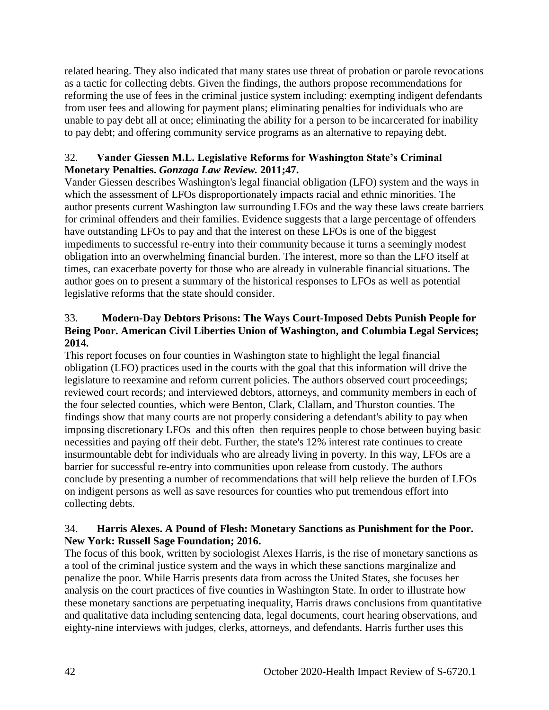related hearing. They also indicated that many states use threat of probation or parole revocations as a tactic for collecting debts. Given the findings, the authors propose recommendations for reforming the use of fees in the criminal justice system including: exempting indigent defendants from user fees and allowing for payment plans; eliminating penalties for individuals who are unable to pay debt all at once; eliminating the ability for a person to be incarcerated for inability to pay debt; and offering community service programs as an alternative to repaying debt.

## 32. **Vander Giessen M.L. Legislative Reforms for Washington State's Criminal Monetary Penalties.** *Gonzaga Law Review.* **2011;47.**

Vander Giessen describes Washington's legal financial obligation (LFO) system and the ways in which the assessment of LFOs disproportionately impacts racial and ethnic minorities. The author presents current Washington law surrounding LFOs and the way these laws create barriers for criminal offenders and their families. Evidence suggests that a large percentage of offenders have outstanding LFOs to pay and that the interest on these LFOs is one of the biggest impediments to successful re-entry into their community because it turns a seemingly modest obligation into an overwhelming financial burden. The interest, more so than the LFO itself at times, can exacerbate poverty for those who are already in vulnerable financial situations. The author goes on to present a summary of the historical responses to LFOs as well as potential legislative reforms that the state should consider.

## 33. **Modern-Day Debtors Prisons: The Ways Court-Imposed Debts Punish People for Being Poor. American Civil Liberties Union of Washington, and Columbia Legal Services; 2014.**

This report focuses on four counties in Washington state to highlight the legal financial obligation (LFO) practices used in the courts with the goal that this information will drive the legislature to reexamine and reform current policies. The authors observed court proceedings; reviewed court records; and interviewed debtors, attorneys, and community members in each of the four selected counties, which were Benton, Clark, Clallam, and Thurston counties. The findings show that many courts are not properly considering a defendant's ability to pay when imposing discretionary LFOs and this often then requires people to chose between buying basic necessities and paying off their debt. Further, the state's 12% interest rate continues to create insurmountable debt for individuals who are already living in poverty. In this way, LFOs are a barrier for successful re-entry into communities upon release from custody. The authors conclude by presenting a number of recommendations that will help relieve the burden of LFOs on indigent persons as well as save resources for counties who put tremendous effort into collecting debts.

## 34. **Harris Alexes. A Pound of Flesh: Monetary Sanctions as Punishment for the Poor. New York: Russell Sage Foundation; 2016.**

The focus of this book, written by sociologist Alexes Harris, is the rise of monetary sanctions as a tool of the criminal justice system and the ways in which these sanctions marginalize and penalize the poor. While Harris presents data from across the United States, she focuses her analysis on the court practices of five counties in Washington State. In order to illustrate how these monetary sanctions are perpetuating inequality, Harris draws conclusions from quantitative and qualitative data including sentencing data, legal documents, court hearing observations, and eighty-nine interviews with judges, clerks, attorneys, and defendants. Harris further uses this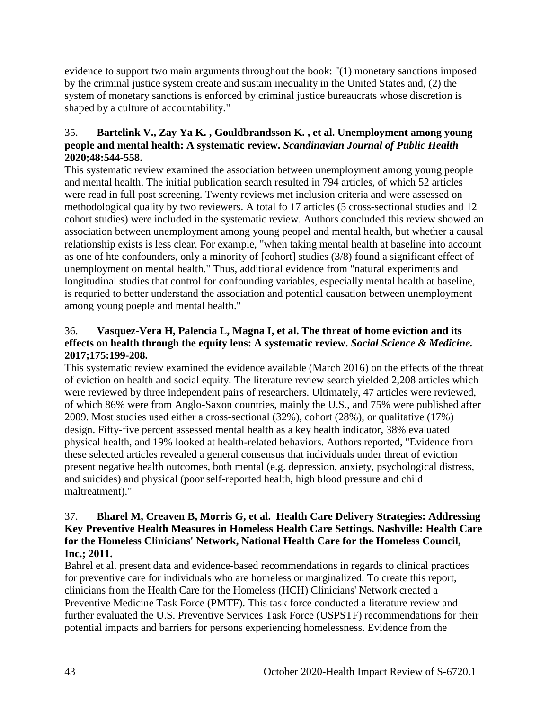evidence to support two main arguments throughout the book: "(1) monetary sanctions imposed by the criminal justice system create and sustain inequality in the United States and, (2) the system of monetary sanctions is enforced by criminal justice bureaucrats whose discretion is shaped by a culture of accountability."

## 35. **Bartelink V., Zay Ya K. , Gouldbrandsson K. , et al. Unemployment among young people and mental health: A systematic review.** *Scandinavian Journal of Public Health*  **2020;48:544-558.**

This systematic review examined the association between unemployment among young people and mental health. The initial publication search resulted in 794 articles, of which 52 articles were read in full post screening. Twenty reviews met inclusion criteria and were assessed on methodological quality by two reviewers. A total fo 17 articles (5 cross-sectional studies and 12 cohort studies) were included in the systematic review. Authors concluded this review showed an association between unemployment among young peopel and mental health, but whether a causal relationship exists is less clear. For example, "when taking mental health at baseline into account as one of hte confounders, only a minority of [cohort] studies (3/8) found a significant effect of unemployment on mental health." Thus, additional evidence from "natural experiments and longitudinal studies that control for confounding variables, especially mental health at baseline, is requried to better understand the association and potential causation between unemployment among young poeple and mental health."

## 36. **Vasquez-Vera H, Palencia L, Magna I, et al. The threat of home eviction and its effects on health through the equity lens: A systematic review.** *Social Science & Medicine.*  **2017;175:199-208.**

This systematic review examined the evidence available (March 2016) on the effects of the threat of eviction on health and social equity. The literature review search yielded 2,208 articles which were reviewed by three independent pairs of researchers. Ultimately, 47 articles were reviewed, of which 86% were from Anglo-Saxon countries, mainly the U.S., and 75% were published after 2009. Most studies used either a cross-sectional (32%), cohort (28%), or qualitative (17%) design. Fifty-five percent assessed mental health as a key health indicator, 38% evaluated physical health, and 19% looked at health-related behaviors. Authors reported, "Evidence from these selected articles revealed a general consensus that individuals under threat of eviction present negative health outcomes, both mental (e.g. depression, anxiety, psychological distress, and suicides) and physical (poor self-reported health, high blood pressure and child maltreatment)."

## 37. **Bharel M, Creaven B, Morris G, et al. Health Care Delivery Strategies: Addressing Key Preventive Health Measures in Homeless Health Care Settings. Nashville: Health Care for the Homeless Clinicians' Network, National Health Care for the Homeless Council, Inc.; 2011.**

Bahrel et al. present data and evidence-based recommendations in regards to clinical practices for preventive care for individuals who are homeless or marginalized. To create this report, clinicians from the Health Care for the Homeless (HCH) Clinicians' Network created a Preventive Medicine Task Force (PMTF). This task force conducted a literature review and further evaluated the U.S. Preventive Services Task Force (USPSTF) recommendations for their potential impacts and barriers for persons experiencing homelessness. Evidence from the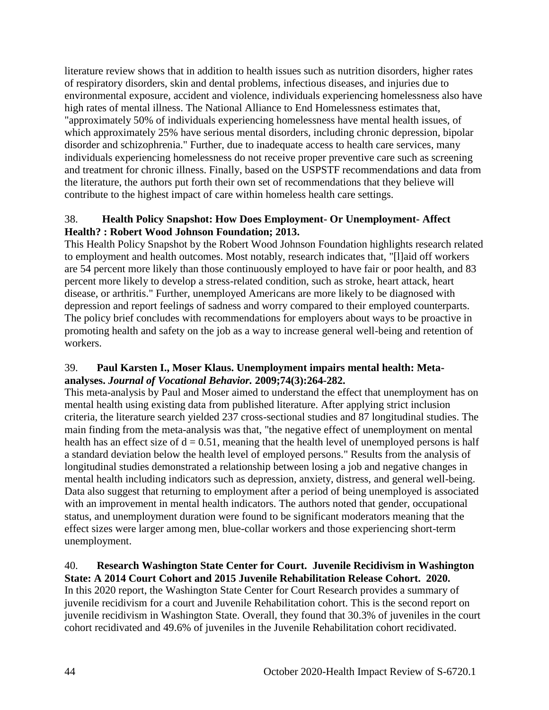literature review shows that in addition to health issues such as nutrition disorders, higher rates of respiratory disorders, skin and dental problems, infectious diseases, and injuries due to environmental exposure, accident and violence, individuals experiencing homelessness also have high rates of mental illness. The National Alliance to End Homelessness estimates that, "approximately 50% of individuals experiencing homelessness have mental health issues, of which approximately 25% have serious mental disorders, including chronic depression, bipolar disorder and schizophrenia." Further, due to inadequate access to health care services, many individuals experiencing homelessness do not receive proper preventive care such as screening and treatment for chronic illness. Finally, based on the USPSTF recommendations and data from the literature, the authors put forth their own set of recommendations that they believe will contribute to the highest impact of care within homeless health care settings.

## 38. **Health Policy Snapshot: How Does Employment- Or Unemployment- Affect Health? : Robert Wood Johnson Foundation; 2013.**

This Health Policy Snapshot by the Robert Wood Johnson Foundation highlights research related to employment and health outcomes. Most notably, research indicates that, "[l]aid off workers are 54 percent more likely than those continuously employed to have fair or poor health, and 83 percent more likely to develop a stress-related condition, such as stroke, heart attack, heart disease, or arthritis." Further, unemployed Americans are more likely to be diagnosed with depression and report feelings of sadness and worry compared to their employed counterparts. The policy brief concludes with recommendations for employers about ways to be proactive in promoting health and safety on the job as a way to increase general well-being and retention of workers.

## 39. **Paul Karsten I., Moser Klaus. Unemployment impairs mental health: Metaanalyses.** *Journal of Vocational Behavior.* **2009;74(3):264-282.**

This meta-analysis by Paul and Moser aimed to understand the effect that unemployment has on mental health using existing data from published literature. After applying strict inclusion criteria, the literature search yielded 237 cross-sectional studies and 87 longitudinal studies. The main finding from the meta-analysis was that, "the negative effect of unemployment on mental health has an effect size of  $d = 0.51$ , meaning that the health level of unemployed persons is half a standard deviation below the health level of employed persons." Results from the analysis of longitudinal studies demonstrated a relationship between losing a job and negative changes in mental health including indicators such as depression, anxiety, distress, and general well-being. Data also suggest that returning to employment after a period of being unemployed is associated with an improvement in mental health indicators. The authors noted that gender, occupational status, and unemployment duration were found to be significant moderators meaning that the effect sizes were larger among men, blue-collar workers and those experiencing short-term unemployment.

#### 40. **Research Washington State Center for Court. Juvenile Recidivism in Washington State: A 2014 Court Cohort and 2015 Juvenile Rehabilitation Release Cohort. 2020.**

In this 2020 report, the Washington State Center for Court Research provides a summary of juvenile recidivism for a court and Juvenile Rehabilitation cohort. This is the second report on juvenile recidivism in Washington State. Overall, they found that 30.3% of juveniles in the court cohort recidivated and 49.6% of juveniles in the Juvenile Rehabilitation cohort recidivated.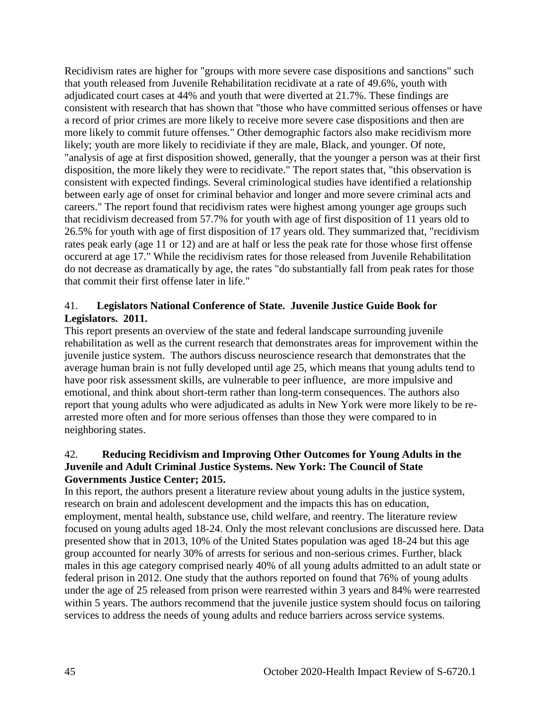Recidivism rates are higher for "groups with more severe case dispositions and sanctions" such that youth released from Juvenile Rehabilitation recidivate at a rate of 49.6%, youth with adjudicated court cases at 44% and youth that were diverted at 21.7%. These findings are consistent with research that has shown that "those who have committed serious offenses or have a record of prior crimes are more likely to receive more severe case dispositions and then are more likely to commit future offenses." Other demographic factors also make recidivism more likely; youth are more likely to recidiviate if they are male, Black, and younger. Of note, "analysis of age at first disposition showed, generally, that the younger a person was at their first disposition, the more likely they were to recidivate." The report states that, "this observation is consistent with expected findings. Several criminological studies have identified a relationship between early age of onset for criminal behavior and longer and more severe criminal acts and careers." The report found that recidivism rates were highest among younger age groups such that recidivism decreased from 57.7% for youth with age of first disposition of 11 years old to 26.5% for youth with age of first disposition of 17 years old. They summarized that, "recidivism rates peak early (age 11 or 12) and are at half or less the peak rate for those whose first offense occurerd at age 17." While the recidivism rates for those released from Juvenile Rehabilitation do not decrease as dramatically by age, the rates "do substantially fall from peak rates for those that commit their first offense later in life."

## 41. **Legislators National Conference of State. Juvenile Justice Guide Book for Legislators. 2011.**

This report presents an overview of the state and federal landscape surrounding juvenile rehabilitation as well as the current research that demonstrates areas for improvement within the juvenile justice system. The authors discuss neuroscience research that demonstrates that the average human brain is not fully developed until age 25, which means that young adults tend to have poor risk assessment skills, are vulnerable to peer influence, are more impulsive and emotional, and think about short-term rather than long-term consequences. The authors also report that young adults who were adjudicated as adults in New York were more likely to be rearrested more often and for more serious offenses than those they were compared to in neighboring states.

#### 42. **Reducing Recidivism and Improving Other Outcomes for Young Adults in the Juvenile and Adult Criminal Justice Systems. New York: The Council of State Governments Justice Center; 2015.**

In this report, the authors present a literature review about young adults in the justice system, research on brain and adolescent development and the impacts this has on education, employment, mental health, substance use, child welfare, and reentry. The literature review focused on young adults aged 18-24. Only the most relevant conclusions are discussed here. Data presented show that in 2013, 10% of the United States population was aged 18-24 but this age group accounted for nearly 30% of arrests for serious and non-serious crimes. Further, black males in this age category comprised nearly 40% of all young adults admitted to an adult state or federal prison in 2012. One study that the authors reported on found that 76% of young adults under the age of 25 released from prison were rearrested within 3 years and 84% were rearrested within 5 years. The authors recommend that the juvenile justice system should focus on tailoring services to address the needs of young adults and reduce barriers across service systems.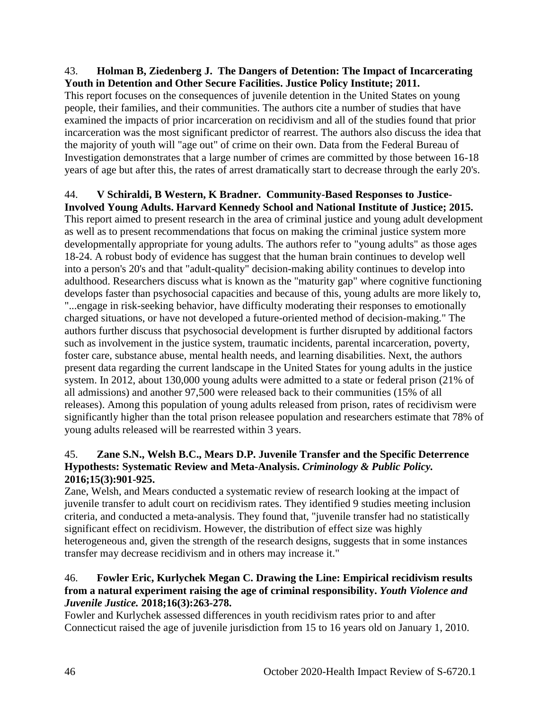#### 43. **Holman B, Ziedenberg J. The Dangers of Detention: The Impact of Incarcerating Youth in Detention and Other Secure Facilities. Justice Policy Institute; 2011.**

This report focuses on the consequences of juvenile detention in the United States on young people, their families, and their communities. The authors cite a number of studies that have examined the impacts of prior incarceration on recidivism and all of the studies found that prior incarceration was the most significant predictor of rearrest. The authors also discuss the idea that the majority of youth will "age out" of crime on their own. Data from the Federal Bureau of Investigation demonstrates that a large number of crimes are committed by those between 16-18 years of age but after this, the rates of arrest dramatically start to decrease through the early 20's.

# 44. **V Schiraldi, B Western, K Bradner. Community-Based Responses to Justice-**

**Involved Young Adults. Harvard Kennedy School and National Institute of Justice; 2015.** This report aimed to present research in the area of criminal justice and young adult development as well as to present recommendations that focus on making the criminal justice system more developmentally appropriate for young adults. The authors refer to "young adults" as those ages 18-24. A robust body of evidence has suggest that the human brain continues to develop well into a person's 20's and that "adult-quality" decision-making ability continues to develop into adulthood. Researchers discuss what is known as the "maturity gap" where cognitive functioning develops faster than psychosocial capacities and because of this, young adults are more likely to, "...engage in risk-seeking behavior, have difficulty moderating their responses to emotionally charged situations, or have not developed a future-oriented method of decision-making." The authors further discuss that psychosocial development is further disrupted by additional factors such as involvement in the justice system, traumatic incidents, parental incarceration, poverty, foster care, substance abuse, mental health needs, and learning disabilities. Next, the authors present data regarding the current landscape in the United States for young adults in the justice system. In 2012, about 130,000 young adults were admitted to a state or federal prison (21% of all admissions) and another 97,500 were released back to their communities (15% of all releases). Among this population of young adults released from prison, rates of recidivism were significantly higher than the total prison releasee population and researchers estimate that 78% of young adults released will be rearrested within 3 years.

## 45. **Zane S.N., Welsh B.C., Mears D.P. Juvenile Transfer and the Specific Deterrence Hypothests: Systematic Review and Meta-Analysis.** *Criminology & Public Policy.*  **2016;15(3):901-925.**

Zane, Welsh, and Mears conducted a systematic review of research looking at the impact of juvenile transfer to adult court on recidivism rates. They identified 9 studies meeting inclusion criteria, and conducted a meta-analysis. They found that, "juvenile transfer had no statistically significant effect on recidivism. However, the distribution of effect size was highly heterogeneous and, given the strength of the research designs, suggests that in some instances transfer may decrease recidivism and in others may increase it."

#### 46. **Fowler Eric, Kurlychek Megan C. Drawing the Line: Empirical recidivism results from a natural experiment raising the age of criminal responsibility.** *Youth Violence and Juvenile Justice.* **2018;16(3):263-278.**

Fowler and Kurlychek assessed differences in youth recidivism rates prior to and after Connecticut raised the age of juvenile jurisdiction from 15 to 16 years old on January 1, 2010.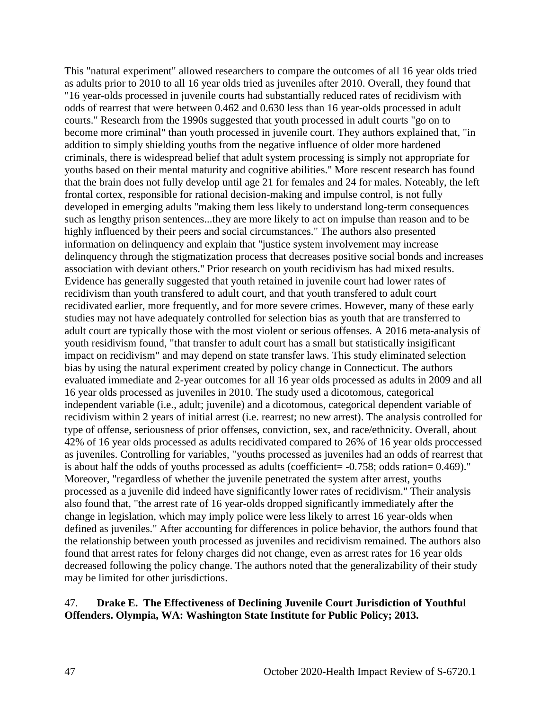This "natural experiment" allowed researchers to compare the outcomes of all 16 year olds tried as adults prior to 2010 to all 16 year olds tried as juveniles after 2010. Overall, they found that "16 year-olds processed in juvenile courts had substantially reduced rates of recidivism with odds of rearrest that were between 0.462 and 0.630 less than 16 year-olds processed in adult courts." Research from the 1990s suggested that youth processed in adult courts "go on to become more criminal" than youth processed in juvenile court. They authors explained that, "in addition to simply shielding youths from the negative influence of older more hardened criminals, there is widespread belief that adult system processing is simply not appropriate for youths based on their mental maturity and cognitive abilities." More rescent research has found that the brain does not fully develop until age 21 for females and 24 for males. Noteably, the left frontal cortex, responsible for rational decision-making and impulse control, is not fully developed in emerging adults "making them less likely to understand long-term consequences such as lengthy prison sentences...they are more likely to act on impulse than reason and to be highly influenced by their peers and social circumstances." The authors also presented information on delinquency and explain that "justice system involvement may increase delinquency through the stigmatization process that decreases positive social bonds and increases association with deviant others." Prior research on youth recidivism has had mixed results. Evidence has generally suggested that youth retained in juvenile court had lower rates of recidivism than youth transfered to adult court, and that youth transfered to adult court recidivated earlier, more frequently, and for more severe crimes. However, many of these early studies may not have adequately controlled for selection bias as youth that are transferred to adult court are typically those with the most violent or serious offenses. A 2016 meta-analysis of youth residivism found, "that transfer to adult court has a small but statistically insigificant impact on recidivism" and may depend on state transfer laws. This study eliminated selection bias by using the natural experiment created by policy change in Connecticut. The authors evaluated immediate and 2-year outcomes for all 16 year olds processed as adults in 2009 and all 16 year olds processed as juveniles in 2010. The study used a dicotomous, categorical independent variable (i.e., adult; juvenile) and a dicotomous, categorical dependent variable of recidivism within 2 years of initial arrest (i.e. rearrest; no new arrest). The analysis controlled for type of offense, seriousness of prior offenses, conviction, sex, and race/ethnicity. Overall, about 42% of 16 year olds processed as adults recidivated compared to 26% of 16 year olds proccessed as juveniles. Controlling for variables, "youths processed as juveniles had an odds of rearrest that is about half the odds of youths processed as adults (coefficient=  $-0.758$ ; odds ration= 0.469)." Moreover, "regardless of whether the juvenile penetrated the system after arrest, youths processed as a juvenile did indeed have significantly lower rates of recidivism." Their analysis also found that, "the arrest rate of 16 year-olds dropped significantly immediately after the change in legislation, which may imply police were less likely to arrest 16 year-olds when defined as juveniles." After accounting for differences in police behavior, the authors found that the relationship between youth processed as juveniles and recidivism remained. The authors also found that arrest rates for felony charges did not change, even as arrest rates for 16 year olds decreased following the policy change. The authors noted that the generalizability of their study may be limited for other jurisdictions.

#### 47. **Drake E. The Effectiveness of Declining Juvenile Court Jurisdiction of Youthful Offenders. Olympia, WA: Washington State Institute for Public Policy; 2013.**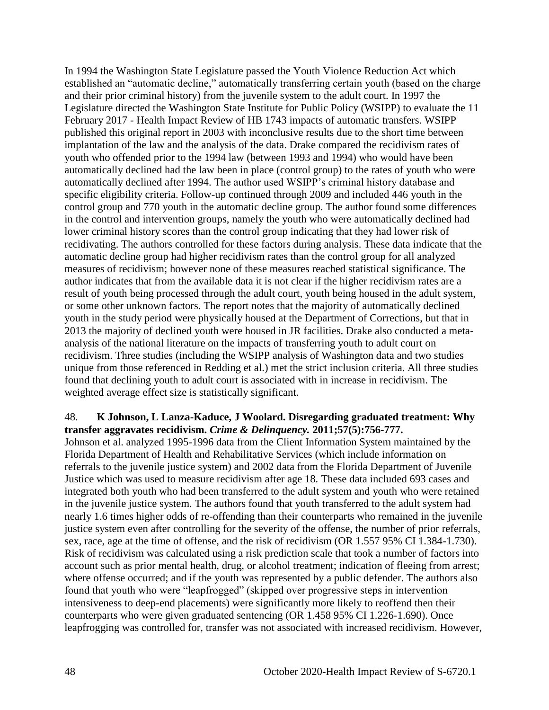In 1994 the Washington State Legislature passed the Youth Violence Reduction Act which established an "automatic decline," automatically transferring certain youth (based on the charge and their prior criminal history) from the juvenile system to the adult court. In 1997 the Legislature directed the Washington State Institute for Public Policy (WSIPP) to evaluate the 11 February 2017 - Health Impact Review of HB 1743 impacts of automatic transfers. WSIPP published this original report in 2003 with inconclusive results due to the short time between implantation of the law and the analysis of the data. Drake compared the recidivism rates of youth who offended prior to the 1994 law (between 1993 and 1994) who would have been automatically declined had the law been in place (control group) to the rates of youth who were automatically declined after 1994. The author used WSIPP's criminal history database and specific eligibility criteria. Follow-up continued through 2009 and included 446 youth in the control group and 770 youth in the automatic decline group. The author found some differences in the control and intervention groups, namely the youth who were automatically declined had lower criminal history scores than the control group indicating that they had lower risk of recidivating. The authors controlled for these factors during analysis. These data indicate that the automatic decline group had higher recidivism rates than the control group for all analyzed measures of recidivism; however none of these measures reached statistical significance. The author indicates that from the available data it is not clear if the higher recidivism rates are a result of youth being processed through the adult court, youth being housed in the adult system, or some other unknown factors. The report notes that the majority of automatically declined youth in the study period were physically housed at the Department of Corrections, but that in 2013 the majority of declined youth were housed in JR facilities. Drake also conducted a metaanalysis of the national literature on the impacts of transferring youth to adult court on recidivism. Three studies (including the WSIPP analysis of Washington data and two studies unique from those referenced in Redding et al.) met the strict inclusion criteria. All three studies found that declining youth to adult court is associated with in increase in recidivism. The weighted average effect size is statistically significant.

#### 48. **K Johnson, L Lanza-Kaduce, J Woolard. Disregarding graduated treatment: Why transfer aggravates recidivism.** *Crime & Delinquency.* **2011;57(5):756-777.**

Johnson et al. analyzed 1995-1996 data from the Client Information System maintained by the Florida Department of Health and Rehabilitative Services (which include information on referrals to the juvenile justice system) and 2002 data from the Florida Department of Juvenile Justice which was used to measure recidivism after age 18. These data included 693 cases and integrated both youth who had been transferred to the adult system and youth who were retained in the juvenile justice system. The authors found that youth transferred to the adult system had nearly 1.6 times higher odds of re-offending than their counterparts who remained in the juvenile justice system even after controlling for the severity of the offense, the number of prior referrals, sex, race, age at the time of offense, and the risk of recidivism (OR 1.557 95% CI 1.384-1.730). Risk of recidivism was calculated using a risk prediction scale that took a number of factors into account such as prior mental health, drug, or alcohol treatment; indication of fleeing from arrest; where offense occurred; and if the youth was represented by a public defender. The authors also found that youth who were "leapfrogged" (skipped over progressive steps in intervention intensiveness to deep-end placements) were significantly more likely to reoffend then their counterparts who were given graduated sentencing (OR 1.458 95% CI 1.226-1.690). Once leapfrogging was controlled for, transfer was not associated with increased recidivism. However,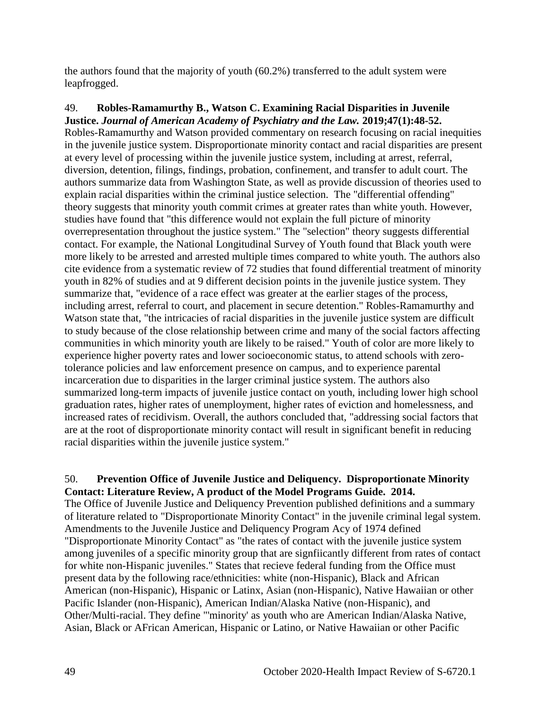the authors found that the majority of youth (60.2%) transferred to the adult system were leapfrogged.

49. **Robles-Ramamurthy B., Watson C. Examining Racial Disparities in Juvenile Justice.** *Journal of American Academy of Psychiatry and the Law.* **2019;47(1):48-52.** Robles-Ramamurthy and Watson provided commentary on research focusing on racial inequities in the juvenile justice system. Disproportionate minority contact and racial disparities are present at every level of processing within the juvenile justice system, including at arrest, referral, diversion, detention, filings, findings, probation, confinement, and transfer to adult court. The authors summarize data from Washington State, as well as provide discussion of theories used to explain racial disparities within the criminal justice selection. The "differential offending" theory suggests that minority youth commit crimes at greater rates than white youth. However, studies have found that "this difference would not explain the full picture of minority overrepresentation throughout the justice system." The "selection" theory suggests differential contact. For example, the National Longitudinal Survey of Youth found that Black youth were more likely to be arrested and arrested multiple times compared to white youth. The authors also cite evidence from a systematic review of 72 studies that found differential treatment of minority youth in 82% of studies and at 9 different decision points in the juvenile justice system. They summarize that, "evidence of a race effect was greater at the earlier stages of the process, including arrest, referral to court, and placement in secure detention." Robles-Ramamurthy and Watson state that, "the intricacies of racial disparities in the juvenile justice system are difficult to study because of the close relationship between crime and many of the social factors affecting communities in which minority youth are likely to be raised." Youth of color are more likely to experience higher poverty rates and lower socioeconomic status, to attend schools with zerotolerance policies and law enforcement presence on campus, and to experience parental incarceration due to disparities in the larger criminal justice system. The authors also summarized long-term impacts of juvenile justice contact on youth, including lower high school graduation rates, higher rates of unemployment, higher rates of eviction and homelessness, and increased rates of recidivism. Overall, the authors concluded that, "addressing social factors that are at the root of disproportionate minority contact will result in significant benefit in reducing racial disparities within the juvenile justice system."

## 50. **Prevention Office of Juvenile Justice and Deliquency. Disproportionate Minority Contact: Literature Review, A product of the Model Programs Guide. 2014.**

The Office of Juvenile Justice and Deliquency Prevention published definitions and a summary of literature related to "Disproportionate Minority Contact" in the juvenile criminal legal system. Amendments to the Juvenile Justice and Deliquency Program Acy of 1974 defined "Disproportionate Minority Contact" as "the rates of contact with the juvenile justice system among juveniles of a specific minority group that are signfiicantly different from rates of contact for white non-Hispanic juveniles." States that recieve federal funding from the Office must present data by the following race/ethnicities: white (non-Hispanic), Black and African American (non-Hispanic), Hispanic or Latinx, Asian (non-Hispanic), Native Hawaiian or other Pacific Islander (non-Hispanic), American Indian/Alaska Native (non-Hispanic), and Other/Multi-racial. They define "'minority' as youth who are American Indian/Alaska Native, Asian, Black or AFrican American, Hispanic or Latino, or Native Hawaiian or other Pacific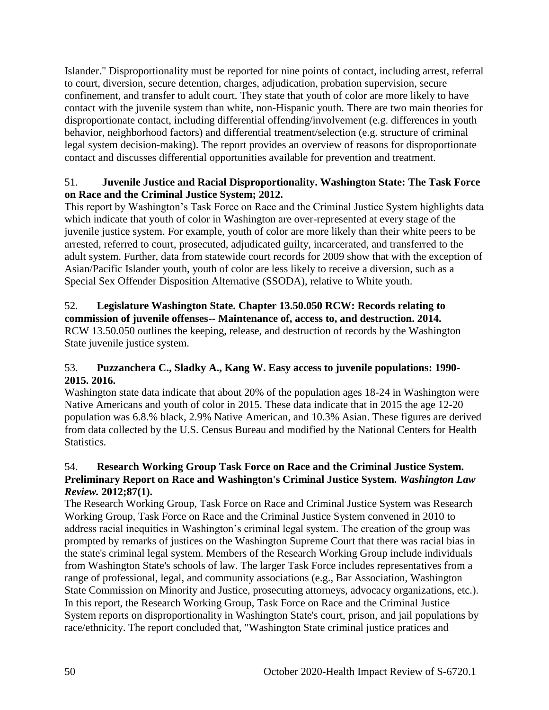Islander." Disproportionality must be reported for nine points of contact, including arrest, referral to court, diversion, secure detention, charges, adjudication, probation supervision, secure confinement, and transfer to adult court. They state that youth of color are more likely to have contact with the juvenile system than white, non-Hispanic youth. There are two main theories for disproportionate contact, including differential offending/involvement (e.g. differences in youth behavior, neighborhood factors) and differential treatment/selection (e.g. structure of criminal legal system decision-making). The report provides an overview of reasons for disproportionate contact and discusses differential opportunities available for prevention and treatment.

## 51. **Juvenile Justice and Racial Disproportionality. Washington State: The Task Force on Race and the Criminal Justice System; 2012.**

This report by Washington's Task Force on Race and the Criminal Justice System highlights data which indicate that youth of color in Washington are over-represented at every stage of the juvenile justice system. For example, youth of color are more likely than their white peers to be arrested, referred to court, prosecuted, adjudicated guilty, incarcerated, and transferred to the adult system. Further, data from statewide court records for 2009 show that with the exception of Asian/Pacific Islander youth, youth of color are less likely to receive a diversion, such as a Special Sex Offender Disposition Alternative (SSODA), relative to White youth.

## 52. **Legislature Washington State. Chapter 13.50.050 RCW: Records relating to commission of juvenile offenses-- Maintenance of, access to, and destruction. 2014.** RCW 13.50.050 outlines the keeping, release, and destruction of records by the Washington State juvenile justice system.

# 53. **Puzzanchera C., Sladky A., Kang W. Easy access to juvenile populations: 1990- 2015. 2016.**

Washington state data indicate that about 20% of the population ages 18-24 in Washington were Native Americans and youth of color in 2015. These data indicate that in 2015 the age 12-20 population was 6.8.% black, 2.9% Native American, and 10.3% Asian. These figures are derived from data collected by the U.S. Census Bureau and modified by the National Centers for Health Statistics.

# 54. **Research Working Group Task Force on Race and the Criminal Justice System. Preliminary Report on Race and Washington's Criminal Justice System.** *Washington Law Review.* **2012;87(1).**

The Research Working Group, Task Force on Race and Criminal Justice System was Research Working Group, Task Force on Race and the Criminal Justice System convened in 2010 to address racial inequities in Washington's criminal legal system. The creation of the group was prompted by remarks of justices on the Washington Supreme Court that there was racial bias in the state's criminal legal system. Members of the Research Working Group include individuals from Washington State's schools of law. The larger Task Force includes representatives from a range of professional, legal, and community associations (e.g., Bar Association, Washington State Commission on Minority and Justice, prosecuting attorneys, advocacy organizations, etc.). In this report, the Research Working Group, Task Force on Race and the Criminal Justice System reports on disproportionality in Washington State's court, prison, and jail populations by race/ethnicity. The report concluded that, "Washington State criminal justice pratices and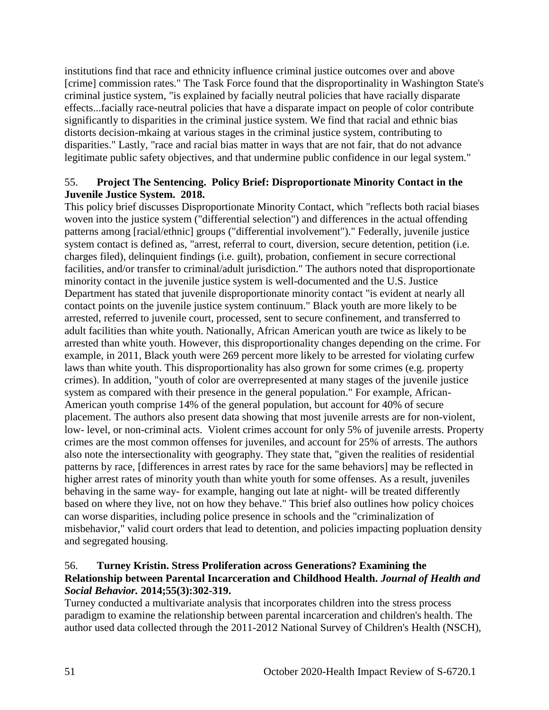institutions find that race and ethnicity influence criminal justice outcomes over and above [crime] commission rates." The Task Force found that the disproportinality in Washington State's criminal justice system, "is explained by facially neutral policies that have racially disparate effects...facially race-neutral policies that have a disparate impact on people of color contribute significantly to disparities in the criminal justice system. We find that racial and ethnic bias distorts decision-mkaing at various stages in the criminal justice system, contributing to disparities." Lastly, "race and racial bias matter in ways that are not fair, that do not advance legitimate public safety objectives, and that undermine public confidence in our legal system."

## 55. **Project The Sentencing. Policy Brief: Disproportionate Minority Contact in the Juvenile Justice System. 2018.**

This policy brief discusses Disproportionate Minority Contact, which "reflects both racial biases woven into the justice system ("differential selection") and differences in the actual offending patterns among [racial/ethnic] groups ("differential involvement")." Federally, juvenile justice system contact is defined as, "arrest, referral to court, diversion, secure detention, petition (i.e. charges filed), delinquient findings (i.e. guilt), probation, confiement in secure correctional facilities, and/or transfer to criminal/adult jurisdiction." The authors noted that disproportionate minority contact in the juvenile justice system is well-documented and the U.S. Justice Department has stated that juvenile disproportionate minority contact "is evident at nearly all contact points on the juvenile justice system continuum." Black youth are more likely to be arrested, referred to juvenile court, processed, sent to secure confinement, and transferred to adult facilities than white youth. Nationally, African American youth are twice as likely to be arrested than white youth. However, this disproportionality changes depending on the crime. For example, in 2011, Black youth were 269 percent more likely to be arrested for violating curfew laws than white youth. This disproportionality has also grown for some crimes (e.g. property crimes). In addition, "youth of color are overrepresented at many stages of the juvenile justice system as compared with their presence in the general population." For example, African-American youth comprise 14% of the general population, but account for 40% of secure placement. The authors also present data showing that most juvenile arrests are for non-violent, low- level, or non-criminal acts. Violent crimes account for only 5% of juvenile arrests. Property crimes are the most common offenses for juveniles, and account for 25% of arrests. The authors also note the intersectionality with geography. They state that, "given the realities of residential patterns by race, [differences in arrest rates by race for the same behaviors] may be reflected in higher arrest rates of minority youth than white youth for some offenses. As a result, juveniles behaving in the same way- for example, hanging out late at night- will be treated differently based on where they live, not on how they behave." This brief also outlines how policy choices can worse disparities, including police presence in schools and the "criminalization of misbehavior," valid court orders that lead to detention, and policies impacting popluation density and segregated housing.

## 56. **Turney Kristin. Stress Proliferation across Generations? Examining the Relationship between Parental Incarceration and Childhood Health.** *Journal of Health and Social Behavior.* **2014;55(3):302-319.**

Turney conducted a multivariate analysis that incorporates children into the stress process paradigm to examine the relationship between parental incarceration and children's health. The author used data collected through the 2011-2012 National Survey of Children's Health (NSCH),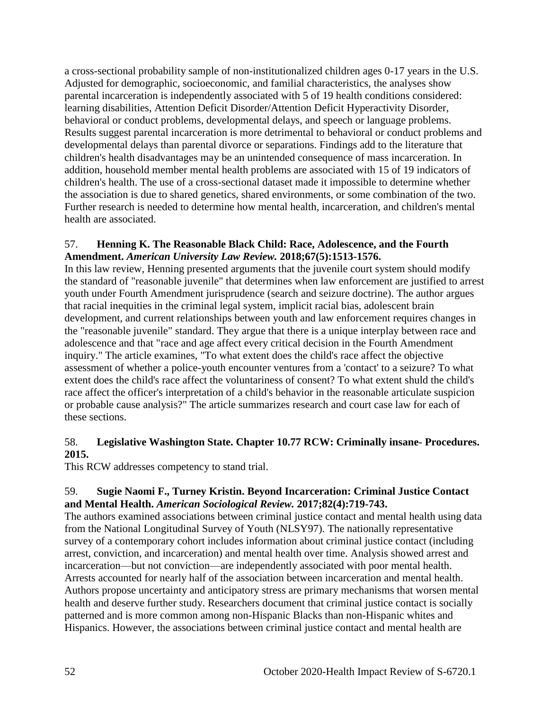a cross-sectional probability sample of non-institutionalized children ages 0-17 years in the U.S. Adjusted for demographic, socioeconomic, and familial characteristics, the analyses show parental incarceration is independently associated with 5 of 19 health conditions considered: learning disabilities, Attention Deficit Disorder/Attention Deficit Hyperactivity Disorder, behavioral or conduct problems, developmental delays, and speech or language problems. Results suggest parental incarceration is more detrimental to behavioral or conduct problems and developmental delays than parental divorce or separations. Findings add to the literature that children's health disadvantages may be an unintended consequence of mass incarceration. In addition, household member mental health problems are associated with 15 of 19 indicators of children's health. The use of a cross-sectional dataset made it impossible to determine whether the association is due to shared genetics, shared environments, or some combination of the two. Further research is needed to determine how mental health, incarceration, and children's mental health are associated.

## 57. **Henning K. The Reasonable Black Child: Race, Adolescence, and the Fourth Amendment.** *American University Law Review.* **2018;67(5):1513-1576.**

In this law review, Henning presented arguments that the juvenile court system should modify the standard of "reasonable juvenile" that determines when law enforcement are justified to arrest youth under Fourth Amendment jurisprudence (search and seizure doctrine). The author argues that racial inequities in the criminal legal system, implicit racial bias, adolescent brain development, and current relationships between youth and law enforcement requires changes in the "reasonable juvenile" standard. They argue that there is a unique interplay between race and adolescence and that "race and age affect every critical decision in the Fourth Amendment inquiry." The article examines, "To what extent does the child's race affect the objective assessment of whether a police-youth encounter ventures from a 'contact' to a seizure? To what extent does the child's race affect the voluntariness of consent? To what extent shuld the child's race affect the officer's interpretation of a child's behavior in the reasonable articulate suspicion or probable cause analysis?" The article summarizes research and court case law for each of these sections.

## 58. **Legislative Washington State. Chapter 10.77 RCW: Criminally insane- Procedures. 2015.**

This RCW addresses competency to stand trial.

## 59. **Sugie Naomi F., Turney Kristin. Beyond Incarceration: Criminal Justice Contact and Mental Health.** *American Sociological Review.* **2017;82(4):719-743.**

The authors examined associations between criminal justice contact and mental health using data from the National Longitudinal Survey of Youth (NLSY97). The nationally representative survey of a contemporary cohort includes information about criminal justice contact (including arrest, conviction, and incarceration) and mental health over time. Analysis showed arrest and incarceration—but not conviction—are independently associated with poor mental health. Arrests accounted for nearly half of the association between incarceration and mental health. Authors propose uncertainty and anticipatory stress are primary mechanisms that worsen mental health and deserve further study. Researchers document that criminal justice contact is socially patterned and is more common among non-Hispanic Blacks than non-Hispanic whites and Hispanics. However, the associations between criminal justice contact and mental health are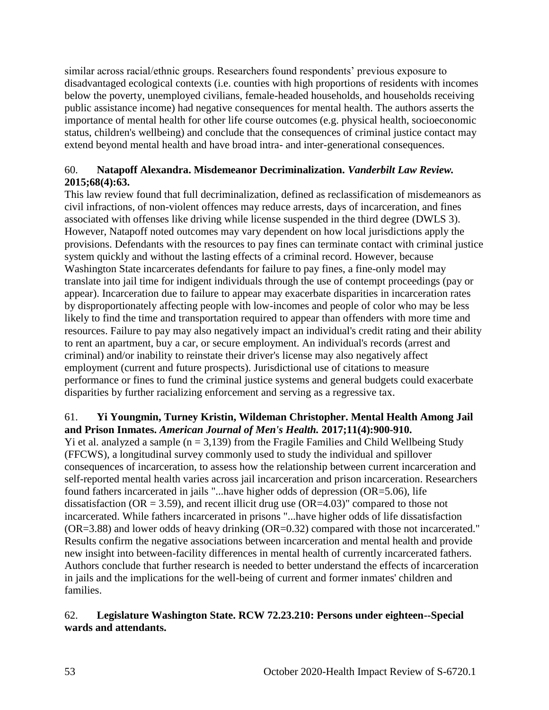similar across racial/ethnic groups. Researchers found respondents' previous exposure to disadvantaged ecological contexts (i.e. counties with high proportions of residents with incomes below the poverty, unemployed civilians, female-headed households, and households receiving public assistance income) had negative consequences for mental health. The authors asserts the importance of mental health for other life course outcomes (e.g. physical health, socioeconomic status, children's wellbeing) and conclude that the consequences of criminal justice contact may extend beyond mental health and have broad intra- and inter-generational consequences.

# 60. **Natapoff Alexandra. Misdemeanor Decriminalization.** *Vanderbilt Law Review.*  **2015;68(4):63.**

This law review found that full decriminalization, defined as reclassification of misdemeanors as civil infractions, of non-violent offences may reduce arrests, days of incarceration, and fines associated with offenses like driving while license suspended in the third degree (DWLS 3). However, Natapoff noted outcomes may vary dependent on how local jurisdictions apply the provisions. Defendants with the resources to pay fines can terminate contact with criminal justice system quickly and without the lasting effects of a criminal record. However, because Washington State incarcerates defendants for failure to pay fines, a fine-only model may translate into jail time for indigent individuals through the use of contempt proceedings (pay or appear). Incarceration due to failure to appear may exacerbate disparities in incarceration rates by disproportionately affecting people with low-incomes and people of color who may be less likely to find the time and transportation required to appear than offenders with more time and resources. Failure to pay may also negatively impact an individual's credit rating and their ability to rent an apartment, buy a car, or secure employment. An individual's records (arrest and criminal) and/or inability to reinstate their driver's license may also negatively affect employment (current and future prospects). Jurisdictional use of citations to measure performance or fines to fund the criminal justice systems and general budgets could exacerbate disparities by further racializing enforcement and serving as a regressive tax.

## 61. **Yi Youngmin, Turney Kristin, Wildeman Christopher. Mental Health Among Jail and Prison Inmates.** *American Journal of Men's Health.* **2017;11(4):900-910.**

Yi et al. analyzed a sample  $(n = 3,139)$  from the Fragile Families and Child Wellbeing Study (FFCWS), a longitudinal survey commonly used to study the individual and spillover consequences of incarceration, to assess how the relationship between current incarceration and self-reported mental health varies across jail incarceration and prison incarceration. Researchers found fathers incarcerated in jails "...have higher odds of depression (OR=5.06), life dissatisfaction ( $OR = 3.59$ ), and recent illicit drug use ( $OR = 4.03$ )" compared to those not incarcerated. While fathers incarcerated in prisons "...have higher odds of life dissatisfaction (OR=3.88) and lower odds of heavy drinking (OR=0.32) compared with those not incarcerated." Results confirm the negative associations between incarceration and mental health and provide new insight into between-facility differences in mental health of currently incarcerated fathers. Authors conclude that further research is needed to better understand the effects of incarceration in jails and the implications for the well-being of current and former inmates' children and families.

## 62. **Legislature Washington State. RCW 72.23.210: Persons under eighteen--Special wards and attendants.**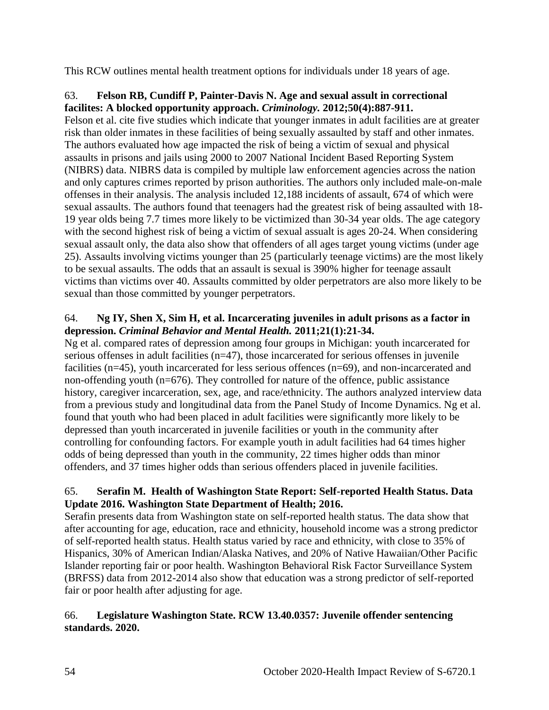This RCW outlines mental health treatment options for individuals under 18 years of age.

## 63. **Felson RB, Cundiff P, Painter-Davis N. Age and sexual assult in correctional facilites: A blocked opportunity approach.** *Criminology.* **2012;50(4):887-911.**

Felson et al. cite five studies which indicate that younger inmates in adult facilities are at greater risk than older inmates in these facilities of being sexually assaulted by staff and other inmates. The authors evaluated how age impacted the risk of being a victim of sexual and physical assaults in prisons and jails using 2000 to 2007 National Incident Based Reporting System (NIBRS) data. NIBRS data is compiled by multiple law enforcement agencies across the nation and only captures crimes reported by prison authorities. The authors only included male-on-male offenses in their analysis. The analysis included 12,188 incidents of assault, 674 of which were sexual assaults. The authors found that teenagers had the greatest risk of being assaulted with 18- 19 year olds being 7.7 times more likely to be victimized than 30-34 year olds. The age category with the second highest risk of being a victim of sexual assualt is ages 20-24. When considering sexual assault only, the data also show that offenders of all ages target young victims (under age 25). Assaults involving victims younger than 25 (particularly teenage victims) are the most likely to be sexual assaults. The odds that an assault is sexual is 390% higher for teenage assault victims than victims over 40. Assaults committed by older perpetrators are also more likely to be sexual than those committed by younger perpetrators.

## 64. **Ng IY, Shen X, Sim H, et al. Incarcerating juveniles in adult prisons as a factor in depression.** *Criminal Behavior and Mental Health.* **2011;21(1):21-34.**

Ng et al. compared rates of depression among four groups in Michigan: youth incarcerated for serious offenses in adult facilities (n=47), those incarcerated for serious offenses in juvenile facilities (n=45), youth incarcerated for less serious offences (n=69), and non-incarcerated and non-offending youth (n=676). They controlled for nature of the offence, public assistance history, caregiver incarceration, sex, age, and race/ethnicity. The authors analyzed interview data from a previous study and longitudinal data from the Panel Study of Income Dynamics. Ng et al. found that youth who had been placed in adult facilities were significantly more likely to be depressed than youth incarcerated in juvenile facilities or youth in the community after controlling for confounding factors. For example youth in adult facilities had 64 times higher odds of being depressed than youth in the community, 22 times higher odds than minor offenders, and 37 times higher odds than serious offenders placed in juvenile facilities.

# 65. **Serafin M. Health of Washington State Report: Self-reported Health Status. Data Update 2016. Washington State Department of Health; 2016.**

Serafin presents data from Washington state on self-reported health status. The data show that after accounting for age, education, race and ethnicity, household income was a strong predictor of self-reported health status. Health status varied by race and ethnicity, with close to 35% of Hispanics, 30% of American Indian/Alaska Natives, and 20% of Native Hawaiian/Other Pacific Islander reporting fair or poor health. Washington Behavioral Risk Factor Surveillance System (BRFSS) data from 2012-2014 also show that education was a strong predictor of self-reported fair or poor health after adjusting for age.

# 66. **Legislature Washington State. RCW 13.40.0357: Juvenile offender sentencing standards. 2020.**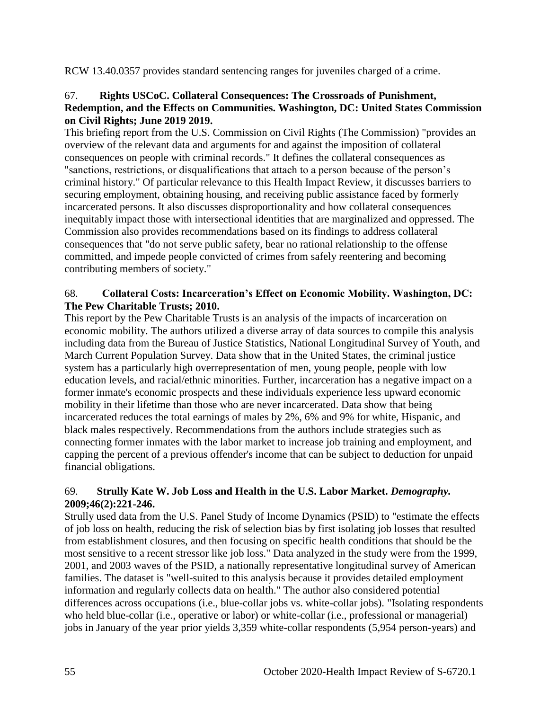RCW 13.40.0357 provides standard sentencing ranges for juveniles charged of a crime.

## 67. **Rights USCoC. Collateral Consequences: The Crossroads of Punishment, Redemption, and the Effects on Communities. Washington, DC: United States Commission on Civil Rights; June 2019 2019.**

This briefing report from the U.S. Commission on Civil Rights (The Commission) "provides an overview of the relevant data and arguments for and against the imposition of collateral consequences on people with criminal records." It defines the collateral consequences as "sanctions, restrictions, or disqualifications that attach to a person because of the person's criminal history." Of particular relevance to this Health Impact Review, it discusses barriers to securing employment, obtaining housing, and receiving public assistance faced by formerly incarcerated persons. It also discusses disproportionality and how collateral consequences inequitably impact those with intersectional identities that are marginalized and oppressed. The Commission also provides recommendations based on its findings to address collateral consequences that "do not serve public safety, bear no rational relationship to the offense committed, and impede people convicted of crimes from safely reentering and becoming contributing members of society."

## 68. **Collateral Costs: Incarceration's Effect on Economic Mobility. Washington, DC: The Pew Charitable Trusts; 2010.**

This report by the Pew Charitable Trusts is an analysis of the impacts of incarceration on economic mobility. The authors utilized a diverse array of data sources to compile this analysis including data from the Bureau of Justice Statistics, National Longitudinal Survey of Youth, and March Current Population Survey. Data show that in the United States, the criminal justice system has a particularly high overrepresentation of men, young people, people with low education levels, and racial/ethnic minorities. Further, incarceration has a negative impact on a former inmate's economic prospects and these individuals experience less upward economic mobility in their lifetime than those who are never incarcerated. Data show that being incarcerated reduces the total earnings of males by 2%, 6% and 9% for white, Hispanic, and black males respectively. Recommendations from the authors include strategies such as connecting former inmates with the labor market to increase job training and employment, and capping the percent of a previous offender's income that can be subject to deduction for unpaid financial obligations.

## 69. **Strully Kate W. Job Loss and Health in the U.S. Labor Market.** *Demography.*  **2009;46(2):221-246.**

Strully used data from the U.S. Panel Study of Income Dynamics (PSID) to "estimate the effects of job loss on health, reducing the risk of selection bias by first isolating job losses that resulted from establishment closures, and then focusing on specific health conditions that should be the most sensitive to a recent stressor like job loss." Data analyzed in the study were from the 1999, 2001, and 2003 waves of the PSID, a nationally representative longitudinal survey of American families. The dataset is "well-suited to this analysis because it provides detailed employment information and regularly collects data on health." The author also considered potential differences across occupations (i.e., blue-collar jobs vs. white-collar jobs). "Isolating respondents who held blue-collar (i.e., operative or labor) or white-collar (i.e., professional or managerial) jobs in January of the year prior yields 3,359 white-collar respondents (5,954 person-years) and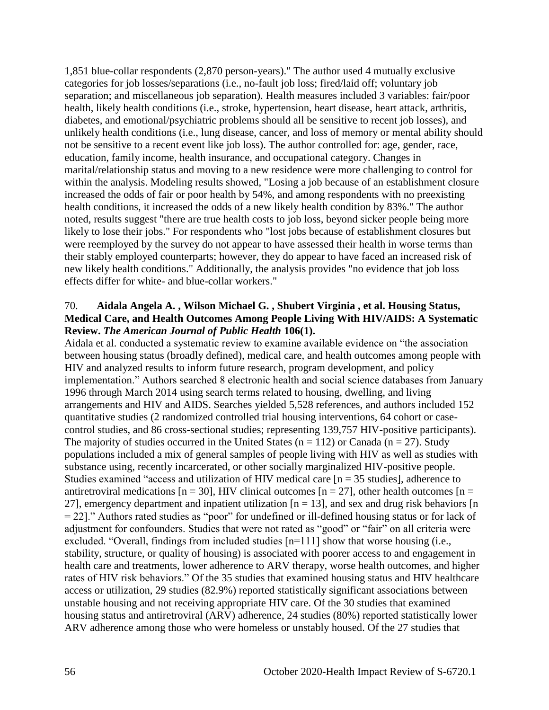1,851 blue-collar respondents (2,870 person-years)." The author used 4 mutually exclusive categories for job losses/separations (i.e., no-fault job loss; fired/laid off; voluntary job separation; and miscellaneous job separation). Health measures included 3 variables: fair/poor health, likely health conditions (i.e., stroke, hypertension, heart disease, heart attack, arthritis, diabetes, and emotional/psychiatric problems should all be sensitive to recent job losses), and unlikely health conditions (i.e., lung disease, cancer, and loss of memory or mental ability should not be sensitive to a recent event like job loss). The author controlled for: age, gender, race, education, family income, health insurance, and occupational category. Changes in marital/relationship status and moving to a new residence were more challenging to control for within the analysis. Modeling results showed, "Losing a job because of an establishment closure increased the odds of fair or poor health by 54%, and among respondents with no preexisting health conditions, it increased the odds of a new likely health condition by 83%." The author noted, results suggest "there are true health costs to job loss, beyond sicker people being more likely to lose their jobs." For respondents who "lost jobs because of establishment closures but were reemployed by the survey do not appear to have assessed their health in worse terms than their stably employed counterparts; however, they do appear to have faced an increased risk of new likely health conditions." Additionally, the analysis provides "no evidence that job loss effects differ for white- and blue-collar workers."

#### 70. **Aidala Angela A. , Wilson Michael G. , Shubert Virginia , et al. Housing Status, Medical Care, and Health Outcomes Among People Living With HIV/AIDS: A Systematic Review.** *The American Journal of Public Health* **106(1).**

Aidala et al. conducted a systematic review to examine available evidence on "the association between housing status (broadly defined), medical care, and health outcomes among people with HIV and analyzed results to inform future research, program development, and policy implementation." Authors searched 8 electronic health and social science databases from January 1996 through March 2014 using search terms related to housing, dwelling, and living arrangements and HIV and AIDS. Searches yielded 5,528 references, and authors included 152 quantitative studies (2 randomized controlled trial housing interventions, 64 cohort or casecontrol studies, and 86 cross-sectional studies; representing 139,757 HIV-positive participants). The majority of studies occurred in the United States ( $n = 112$ ) or Canada ( $n = 27$ ). Study populations included a mix of general samples of people living with HIV as well as studies with substance using, recently incarcerated, or other socially marginalized HIV-positive people. Studies examined "access and utilization of HIV medical care  $[n = 35$  studies], adherence to antiretroviral medications  $[n = 30]$ , HIV clinical outcomes  $[n = 27]$ , other health outcomes  $[n = 10]$ 27], emergency department and inpatient utilization  $[n = 13]$ , and sex and drug risk behaviors  $[n]$ = 22]." Authors rated studies as "poor" for undefined or ill-defined housing status or for lack of adjustment for confounders. Studies that were not rated as "good" or "fair" on all criteria were excluded. "Overall, findings from included studies [n=111] show that worse housing (i.e., stability, structure, or quality of housing) is associated with poorer access to and engagement in health care and treatments, lower adherence to ARV therapy, worse health outcomes, and higher rates of HIV risk behaviors." Of the 35 studies that examined housing status and HIV healthcare access or utilization, 29 studies (82.9%) reported statistically significant associations between unstable housing and not receiving appropriate HIV care. Of the 30 studies that examined housing status and antiretroviral (ARV) adherence, 24 studies (80%) reported statistically lower ARV adherence among those who were homeless or unstably housed. Of the 27 studies that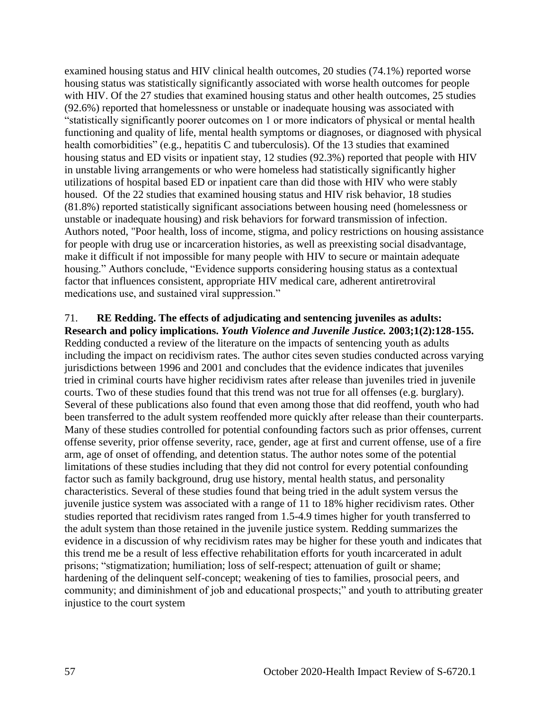examined housing status and HIV clinical health outcomes, 20 studies (74.1%) reported worse housing status was statistically significantly associated with worse health outcomes for people with HIV. Of the 27 studies that examined housing status and other health outcomes, 25 studies (92.6%) reported that homelessness or unstable or inadequate housing was associated with "statistically significantly poorer outcomes on 1 or more indicators of physical or mental health functioning and quality of life, mental health symptoms or diagnoses, or diagnosed with physical health comorbidities" (e.g., hepatitis C and tuberculosis). Of the 13 studies that examined housing status and ED visits or inpatient stay, 12 studies (92.3%) reported that people with HIV in unstable living arrangements or who were homeless had statistically significantly higher utilizations of hospital based ED or inpatient care than did those with HIV who were stably housed. Of the 22 studies that examined housing status and HIV risk behavior, 18 studies (81.8%) reported statistically significant associations between housing need (homelessness or unstable or inadequate housing) and risk behaviors for forward transmission of infection. Authors noted, "Poor health, loss of income, stigma, and policy restrictions on housing assistance for people with drug use or incarceration histories, as well as preexisting social disadvantage, make it difficult if not impossible for many people with HIV to secure or maintain adequate housing." Authors conclude, "Evidence supports considering housing status as a contextual factor that influences consistent, appropriate HIV medical care, adherent antiretroviral medications use, and sustained viral suppression."

#### 71. **RE Redding. The effects of adjudicating and sentencing juveniles as adults: Research and policy implications.** *Youth Violence and Juvenile Justice.* **2003;1(2):128-155.**

Redding conducted a review of the literature on the impacts of sentencing youth as adults including the impact on recidivism rates. The author cites seven studies conducted across varying jurisdictions between 1996 and 2001 and concludes that the evidence indicates that juveniles tried in criminal courts have higher recidivism rates after release than juveniles tried in juvenile courts. Two of these studies found that this trend was not true for all offenses (e.g. burglary). Several of these publications also found that even among those that did reoffend, youth who had been transferred to the adult system reoffended more quickly after release than their counterparts. Many of these studies controlled for potential confounding factors such as prior offenses, current offense severity, prior offense severity, race, gender, age at first and current offense, use of a fire arm, age of onset of offending, and detention status. The author notes some of the potential limitations of these studies including that they did not control for every potential confounding factor such as family background, drug use history, mental health status, and personality characteristics. Several of these studies found that being tried in the adult system versus the juvenile justice system was associated with a range of 11 to 18% higher recidivism rates. Other studies reported that recidivism rates ranged from 1.5-4.9 times higher for youth transferred to the adult system than those retained in the juvenile justice system. Redding summarizes the evidence in a discussion of why recidivism rates may be higher for these youth and indicates that this trend me be a result of less effective rehabilitation efforts for youth incarcerated in adult prisons; "stigmatization; humiliation; loss of self-respect; attenuation of guilt or shame; hardening of the delinquent self-concept; weakening of ties to families, prosocial peers, and community; and diminishment of job and educational prospects;" and youth to attributing greater injustice to the court system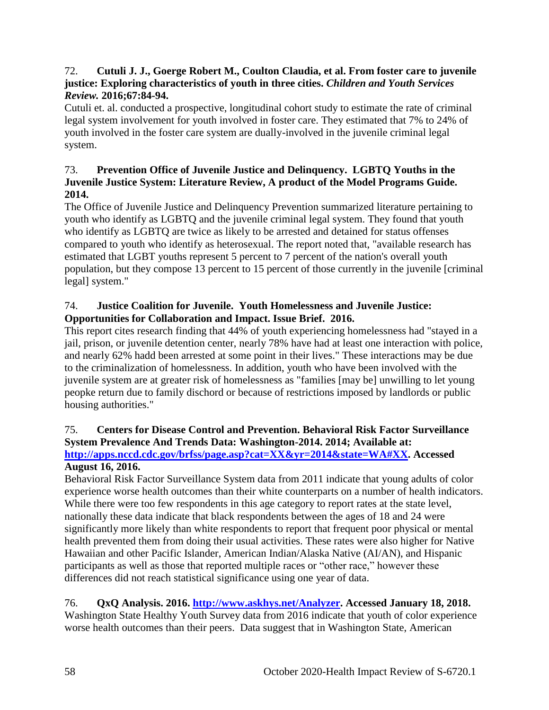#### 72. **Cutuli J. J., Goerge Robert M., Coulton Claudia, et al. From foster care to juvenile justice: Exploring characteristics of youth in three cities.** *Children and Youth Services Review.* **2016;67:84-94.**

Cutuli et. al. conducted a prospective, longitudinal cohort study to estimate the rate of criminal legal system involvement for youth involved in foster care. They estimated that 7% to 24% of youth involved in the foster care system are dually-involved in the juvenile criminal legal system.

## 73. **Prevention Office of Juvenile Justice and Delinquency. LGBTQ Youths in the Juvenile Justice System: Literature Review, A product of the Model Programs Guide. 2014.**

The Office of Juvenile Justice and Delinquency Prevention summarized literature pertaining to youth who identify as LGBTQ and the juvenile criminal legal system. They found that youth who identify as LGBTQ are twice as likely to be arrested and detained for status offenses compared to youth who identify as heterosexual. The report noted that, "available research has estimated that LGBT youths represent 5 percent to 7 percent of the nation's overall youth population, but they compose 13 percent to 15 percent of those currently in the juvenile [criminal legal] system."

# 74. **Justice Coalition for Juvenile. Youth Homelessness and Juvenile Justice: Opportunities for Collaboration and Impact. Issue Brief. 2016.**

This report cites research finding that 44% of youth experiencing homelessness had "stayed in a jail, prison, or juvenile detention center, nearly 78% have had at least one interaction with police, and nearly 62% hadd been arrested at some point in their lives." These interactions may be due to the criminalization of homelessness. In addition, youth who have been involved with the juvenile system are at greater risk of homelessness as "families [may be] unwilling to let young peopke return due to family dischord or because of restrictions imposed by landlords or public housing authorities."

# 75. **Centers for Disease Control and Prevention. Behavioral Risk Factor Surveillance System Prevalence And Trends Data: Washington-2014. 2014; Available at:**

**[http://apps.nccd.cdc.gov/brfss/page.asp?cat=XX&yr=2014&state=WA#XX.](http://apps.nccd.cdc.gov/brfss/page.asp?cat=XX&yr=2014&state=WA#XX) Accessed August 16, 2016.**

Behavioral Risk Factor Surveillance System data from 2011 indicate that young adults of color experience worse health outcomes than their white counterparts on a number of health indicators. While there were too few respondents in this age category to report rates at the state level, nationally these data indicate that black respondents between the ages of 18 and 24 were significantly more likely than white respondents to report that frequent poor physical or mental health prevented them from doing their usual activities. These rates were also higher for Native Hawaiian and other Pacific Islander, American Indian/Alaska Native (AI/AN), and Hispanic participants as well as those that reported multiple races or "other race," however these differences did not reach statistical significance using one year of data.

# 76. **QxQ Analysis. 2016. [http://www.askhys.net/Analyzer.](http://www.askhys.net/Analyzer) Accessed January 18, 2018.**

Washington State Healthy Youth Survey data from 2016 indicate that youth of color experience worse health outcomes than their peers. Data suggest that in Washington State, American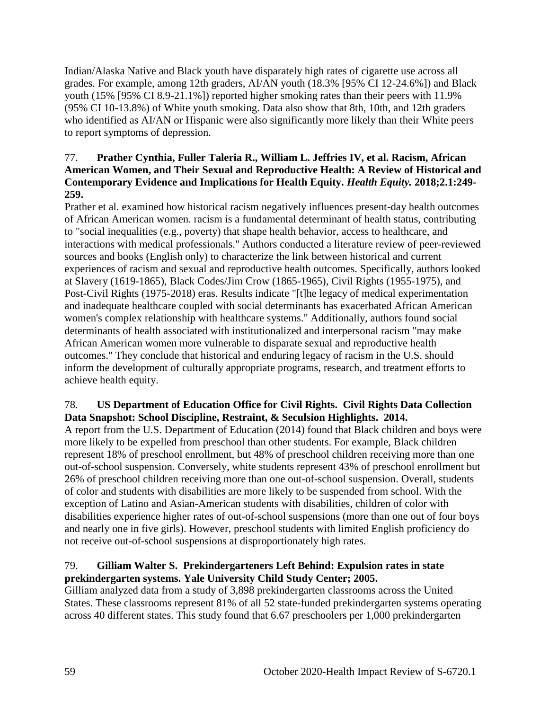Indian/Alaska Native and Black youth have disparately high rates of cigarette use across all grades. For example, among 12th graders, AI/AN youth (18.3% [95% CI 12-24.6%]) and Black youth (15% [95% CI 8.9-21.1%]) reported higher smoking rates than their peers with 11.9% (95% CI 10-13.8%) of White youth smoking. Data also show that 8th, 10th, and 12th graders who identified as AI/AN or Hispanic were also significantly more likely than their White peers to report symptoms of depression.

## 77. **Prather Cynthia, Fuller Taleria R., William L. Jeffries IV, et al. Racism, African American Women, and Their Sexual and Reproductive Health: A Review of Historical and Contemporary Evidence and Implications for Health Equity.** *Health Equity.* **2018;2.1:249- 259.**

Prather et al. examined how historical racism negatively influences present-day health outcomes of African American women. racism is a fundamental determinant of health status, contributing to "social inequalities (e.g., poverty) that shape health behavior, access to healthcare, and interactions with medical professionals." Authors conducted a literature review of peer-reviewed sources and books (English only) to characterize the link between historical and current experiences of racism and sexual and reproductive health outcomes. Specifically, authors looked at Slavery (1619-1865), Black Codes/Jim Crow (1865-1965), Civil Rights (1955-1975), and Post-Civil Rights (1975-2018) eras. Results indicate "[t]he legacy of medical experimentation and inadequate healthcare coupled with social determinants has exacerbated African American women's complex relationship with healthcare systems." Additionally, authors found social determinants of health associated with institutionalized and interpersonal racism "may make African American women more vulnerable to disparate sexual and reproductive health outcomes." They conclude that historical and enduring legacy of racism in the U.S. should inform the development of culturally appropriate programs, research, and treatment efforts to achieve health equity.

## 78. **US Department of Education Office for Civil Rights. Civil Rights Data Collection Data Snapshot: School Discipline, Restraint, & Seculsion Highlights. 2014.**

A report from the U.S. Department of Education (2014) found that Black children and boys were more likely to be expelled from preschool than other students. For example, Black children represent 18% of preschool enrollment, but 48% of preschool children receiving more than one out-of-school suspension. Conversely, white students represent 43% of preschool enrollment but 26% of preschool children receiving more than one out-of-school suspension. Overall, students of color and students with disabilities are more likely to be suspended from school. With the exception of Latino and Asian-American students with disabilities, children of color with disabilities experience higher rates of out-of-school suspensions (more than one out of four boys and nearly one in five girls). However, preschool students with limited English proficiency do not receive out-of-school suspensions at disproportionately high rates.

## 79. **Gilliam Walter S. Prekindergarteners Left Behind: Expulsion rates in state prekindergarten systems. Yale University Child Study Center; 2005.**

Gilliam analyzed data from a study of 3,898 prekindergarten classrooms across the United States. These classrooms represent 81% of all 52 state-funded prekindergarten systems operating across 40 different states. This study found that 6.67 preschoolers per 1,000 prekindergarten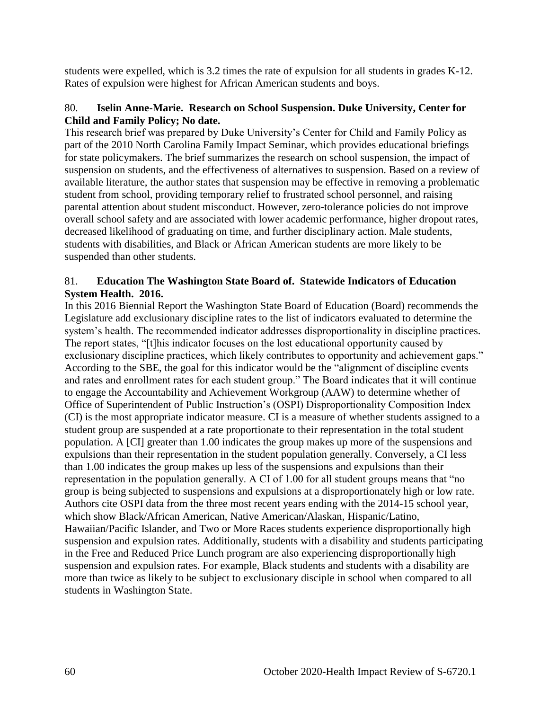students were expelled, which is 3.2 times the rate of expulsion for all students in grades K-12. Rates of expulsion were highest for African American students and boys.

#### 80. **Iselin Anne-Marie. Research on School Suspension. Duke University, Center for Child and Family Policy; No date.**

This research brief was prepared by Duke University's Center for Child and Family Policy as part of the 2010 North Carolina Family Impact Seminar, which provides educational briefings for state policymakers. The brief summarizes the research on school suspension, the impact of suspension on students, and the effectiveness of alternatives to suspension. Based on a review of available literature, the author states that suspension may be effective in removing a problematic student from school, providing temporary relief to frustrated school personnel, and raising parental attention about student misconduct. However, zero-tolerance policies do not improve overall school safety and are associated with lower academic performance, higher dropout rates, decreased likelihood of graduating on time, and further disciplinary action. Male students, students with disabilities, and Black or African American students are more likely to be suspended than other students.

## 81. **Education The Washington State Board of. Statewide Indicators of Education System Health. 2016.**

In this 2016 Biennial Report the Washington State Board of Education (Board) recommends the Legislature add exclusionary discipline rates to the list of indicators evaluated to determine the system's health. The recommended indicator addresses disproportionality in discipline practices. The report states, "[t]his indicator focuses on the lost educational opportunity caused by exclusionary discipline practices, which likely contributes to opportunity and achievement gaps." According to the SBE, the goal for this indicator would be the "alignment of discipline events and rates and enrollment rates for each student group." The Board indicates that it will continue to engage the Accountability and Achievement Workgroup (AAW) to determine whether of Office of Superintendent of Public Instruction's (OSPI) Disproportionality Composition Index (CI) is the most appropriate indicator measure. CI is a measure of whether students assigned to a student group are suspended at a rate proportionate to their representation in the total student population. A [CI] greater than 1.00 indicates the group makes up more of the suspensions and expulsions than their representation in the student population generally. Conversely, a CI less than 1.00 indicates the group makes up less of the suspensions and expulsions than their representation in the population generally. A CI of 1.00 for all student groups means that "no group is being subjected to suspensions and expulsions at a disproportionately high or low rate. Authors cite OSPI data from the three most recent years ending with the 2014-15 school year, which show Black/African American, Native American/Alaskan, Hispanic/Latino, Hawaiian/Pacific Islander, and Two or More Races students experience disproportionally high suspension and expulsion rates. Additionally, students with a disability and students participating in the Free and Reduced Price Lunch program are also experiencing disproportionally high suspension and expulsion rates. For example, Black students and students with a disability are more than twice as likely to be subject to exclusionary disciple in school when compared to all students in Washington State.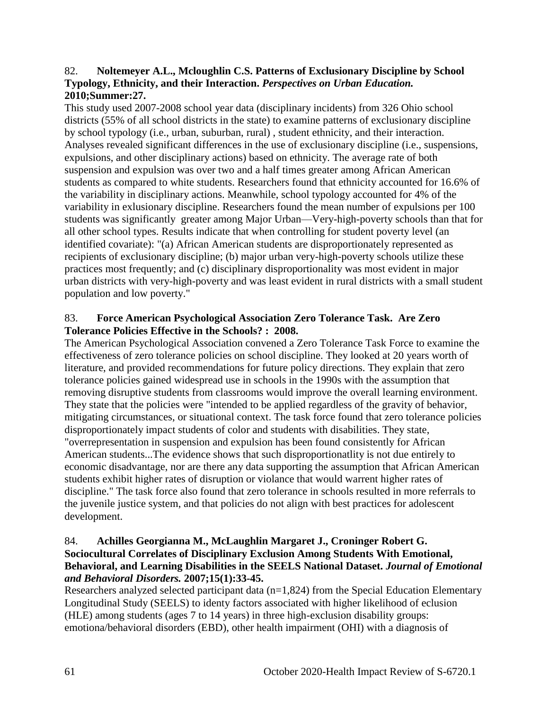#### 82. **Noltemeyer A.L., Mcloughlin C.S. Patterns of Exclusionary Discipline by School Typology, Ethnicity, and their Interaction.** *Perspectives on Urban Education.*  **2010;Summer:27.**

This study used 2007-2008 school year data (disciplinary incidents) from 326 Ohio school districts (55% of all school districts in the state) to examine patterns of exclusionary discipline by school typology (i.e., urban, suburban, rural) , student ethnicity, and their interaction. Analyses revealed significant differences in the use of exclusionary discipline (i.e., suspensions, expulsions, and other disciplinary actions) based on ethnicity. The average rate of both suspension and expulsion was over two and a half times greater among African American students as compared to white students. Researchers found that ethnicity accounted for 16.6% of the variability in disciplinary actions. Meanwhile, school typology accounted for 4% of the variability in exlusionary discipline. Researchers found the mean number of expulsions per 100 students was significantly greater among Major Urban—Very-high-poverty schools than that for all other school types. Results indicate that when controlling for student poverty level (an identified covariate): "(a) African American students are disproportionately represented as recipients of exclusionary discipline; (b) major urban very-high-poverty schools utilize these practices most frequently; and (c) disciplinary disproportionality was most evident in major urban districts with very-high-poverty and was least evident in rural districts with a small student population and low poverty."

#### 83. **Force American Psychological Association Zero Tolerance Task. Are Zero Tolerance Policies Effective in the Schools? : 2008.**

The American Psychological Association convened a Zero Tolerance Task Force to examine the effectiveness of zero tolerance policies on school discipline. They looked at 20 years worth of literature, and provided recommendations for future policy directions. They explain that zero tolerance policies gained widespread use in schools in the 1990s with the assumption that removing disruptive students from classrooms would improve the overall learning environment. They state that the policies were "intended to be applied regardless of the gravity of behavior, mitigating circumstances, or situational context. The task force found that zero tolerance policies disproportionately impact students of color and students with disabilities. They state, "overrepresentation in suspension and expulsion has been found consistently for African American students...The evidence shows that such disproportionatlity is not due entirely to economic disadvantage, nor are there any data supporting the assumption that African American students exhibit higher rates of disruption or violance that would warrent higher rates of discipline." The task force also found that zero tolerance in schools resulted in more referrals to the juvenile justice system, and that policies do not align with best practices for adolescent development.

## 84. **Achilles Georgianna M., McLaughlin Margaret J., Croninger Robert G. Sociocultural Correlates of Disciplinary Exclusion Among Students With Emotional, Behavioral, and Learning Disabilities in the SEELS National Dataset.** *Journal of Emotional and Behavioral Disorders.* **2007;15(1):33-45.**

Researchers analyzed selected participant data  $(n=1,824)$  from the Special Education Elementary Longitudinal Study (SEELS) to identy factors associated with higher likelihood of eclusion (HLE) among students (ages 7 to 14 years) in three high-exclusion disability groups: emotiona/behavioral disorders (EBD), other health impairment (OHI) with a diagnosis of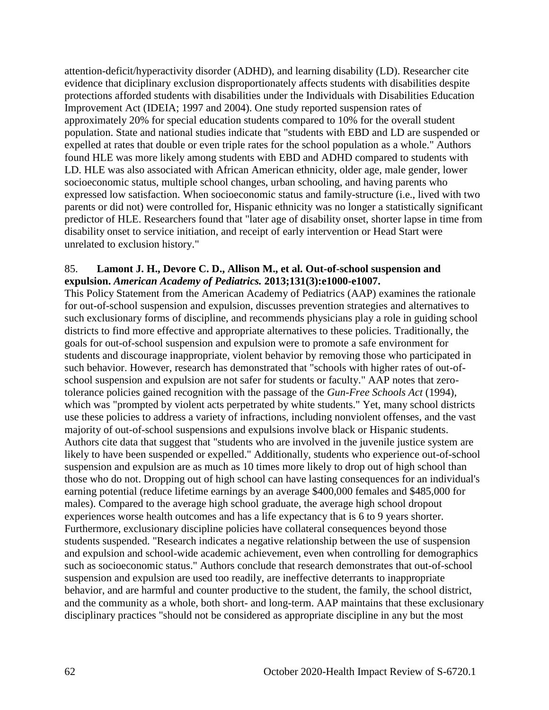attention-deficit/hyperactivity disorder (ADHD), and learning disability (LD). Researcher cite evidence that diciplinary exclusion disproportionately affects students with disabilities despite protections afforded students with disabilities under the Individuals with Disabilities Education Improvement Act (IDEIA; 1997 and 2004). One study reported suspension rates of approximately 20% for special education students compared to 10% for the overall student population. State and national studies indicate that "students with EBD and LD are suspended or expelled at rates that double or even triple rates for the school population as a whole." Authors found HLE was more likely among students with EBD and ADHD compared to students with LD. HLE was also associated with African American ethnicity, older age, male gender, lower socioeconomic status, multiple school changes, urban schooling, and having parents who expressed low satisfaction. When socioeconomic status and family-structure (i.e., lived with two parents or did not) were controlled for, Hispanic ethnicity was no longer a statistically significant predictor of HLE. Researchers found that "later age of disability onset, shorter lapse in time from disability onset to service initiation, and receipt of early intervention or Head Start were unrelated to exclusion history."

#### 85. **Lamont J. H., Devore C. D., Allison M., et al. Out-of-school suspension and expulsion.** *American Academy of Pediatrics.* **2013;131(3):e1000-e1007.**

This Policy Statement from the American Academy of Pediatrics (AAP) examines the rationale for out-of-school suspension and expulsion, discusses prevention strategies and alternatives to such exclusionary forms of discipline, and recommends physicians play a role in guiding school districts to find more effective and appropriate alternatives to these policies. Traditionally, the goals for out-of-school suspension and expulsion were to promote a safe environment for students and discourage inappropriate, violent behavior by removing those who participated in such behavior. However, research has demonstrated that "schools with higher rates of out-ofschool suspension and expulsion are not safer for students or faculty." AAP notes that zerotolerance policies gained recognition with the passage of the *Gun-Free Schools Act* (1994), which was "prompted by violent acts perpetrated by white students." Yet, many school districts use these policies to address a variety of infractions, including nonviolent offenses, and the vast majority of out-of-school suspensions and expulsions involve black or Hispanic students. Authors cite data that suggest that "students who are involved in the juvenile justice system are likely to have been suspended or expelled." Additionally, students who experience out-of-school suspension and expulsion are as much as 10 times more likely to drop out of high school than those who do not. Dropping out of high school can have lasting consequences for an individual's earning potential (reduce lifetime earnings by an average \$400,000 females and \$485,000 for males). Compared to the average high school graduate, the average high school dropout experiences worse health outcomes and has a life expectancy that is 6 to 9 years shorter. Furthermore, exclusionary discipline policies have collateral consequences beyond those students suspended. "Research indicates a negative relationship between the use of suspension and expulsion and school-wide academic achievement, even when controlling for demographics such as socioeconomic status." Authors conclude that research demonstrates that out-of-school suspension and expulsion are used too readily, are ineffective deterrants to inappropriate behavior, and are harmful and counter productive to the student, the family, the school district, and the community as a whole, both short- and long-term. AAP maintains that these exclusionary disciplinary practices "should not be considered as appropriate discipline in any but the most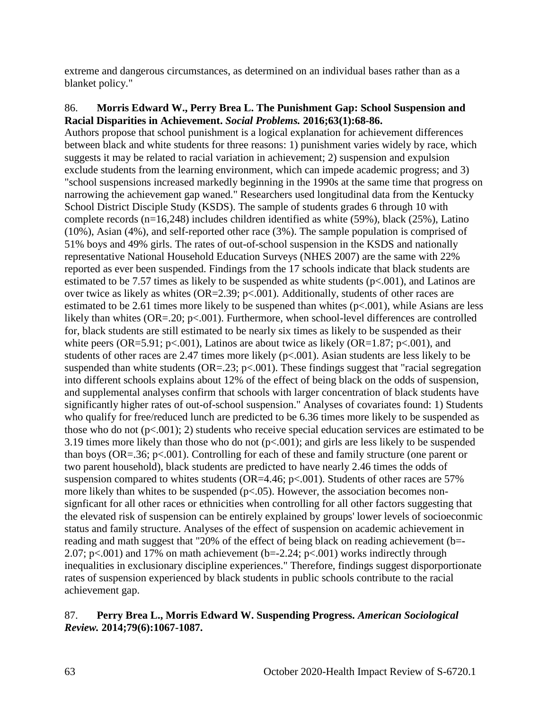extreme and dangerous circumstances, as determined on an individual bases rather than as a blanket policy."

#### 86. **Morris Edward W., Perry Brea L. The Punishment Gap: School Suspension and Racial Disparities in Achievement.** *Social Problems.* **2016;63(1):68-86.**

Authors propose that school punishment is a logical explanation for achievement differences between black and white students for three reasons: 1) punishment varies widely by race, which suggests it may be related to racial variation in achievement; 2) suspension and expulsion exclude students from the learning environment, which can impede academic progress; and 3) "school suspensions increased markedly beginning in the 1990s at the same time that progress on narrowing the achievement gap waned." Researchers used longitudinal data from the Kentucky School District Disciple Study (KSDS). The sample of students grades 6 through 10 with complete records (n=16,248) includes children identified as white (59%), black (25%), Latino (10%), Asian (4%), and self-reported other race (3%). The sample population is comprised of 51% boys and 49% girls. The rates of out-of-school suspension in the KSDS and nationally representative National Household Education Surveys (NHES 2007) are the same with 22% reported as ever been suspended. Findings from the 17 schools indicate that black students are estimated to be 7.57 times as likely to be suspended as white students  $(p<.001)$ , and Latinos are over twice as likely as whites ( $OR=2.39$ ;  $p<.001$ ). Additionally, students of other races are estimated to be 2.61 times more likely to be suspened than whites (p<.001), while Asians are less likely than whites (OR=.20; p<.001). Furthermore, when school-level differences are controlled for, black students are still estimated to be nearly six times as likely to be suspended as their white peers (OR=5.91; p<.001), Latinos are about twice as likely (OR=1.87; p<.001), and students of other races are 2.47 times more likely  $(p<.001)$ . Asian students are less likely to be suspended than white students ( $OR = .23$ ;  $p < .001$ ). These findings suggest that "racial segregation" into different schools explains about 12% of the effect of being black on the odds of suspension, and supplemental analyses confirm that schools with larger concentration of black students have significantly higher rates of out-of-school suspension." Analyses of covariates found: 1) Students who qualify for free/reduced lunch are predicted to be 6.36 times more likely to be suspended as those who do not  $(p< 0.001)$ ; 2) students who receive special education services are estimated to be 3.19 times more likely than those who do not  $(p<.001)$ ; and girls are less likely to be suspended than boys (OR=.36; p<.001). Controlling for each of these and family structure (one parent or two parent household), black students are predicted to have nearly 2.46 times the odds of suspension compared to whites students (OR=4.46;  $p<.001$ ). Students of other races are 57% more likely than whites to be suspended ( $p<0.05$ ). However, the association becomes nonsignficant for all other races or ethnicities when controlling for all other factors suggesting that the elevated risk of suspension can be entirely explained by groups' lower levels of socioeconmic status and family structure. Analyses of the effect of suspension on academic achievement in reading and math suggest that "20% of the effect of being black on reading achievement (b=- 2.07; p $\lt$ .001) and 17% on math achievement (b=-2.24; p $\lt$ .001) works indirectly through inequalities in exclusionary discipline experiences." Therefore, findings suggest disporportionate rates of suspension experienced by black students in public schools contribute to the racial achievement gap.

## 87. **Perry Brea L., Morris Edward W. Suspending Progress.** *American Sociological Review.* **2014;79(6):1067-1087.**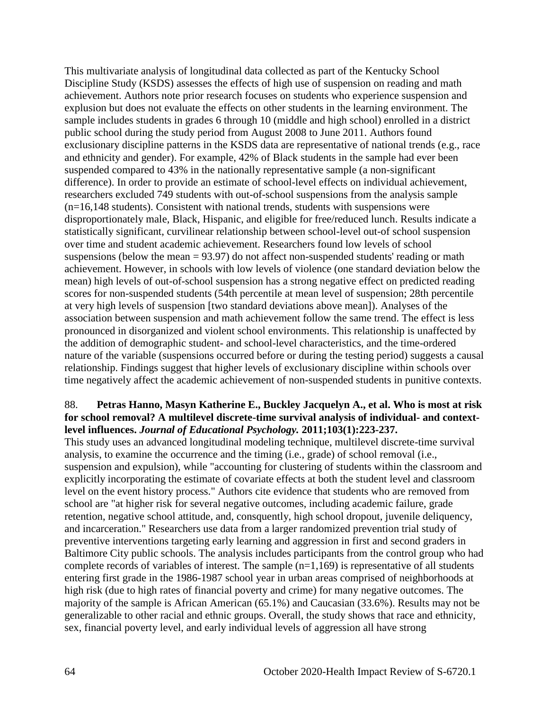This multivariate analysis of longitudinal data collected as part of the Kentucky School Discipline Study (KSDS) assesses the effects of high use of suspension on reading and math achievement. Authors note prior research focuses on students who experience suspension and explusion but does not evaluate the effects on other students in the learning environment. The sample includes students in grades 6 through 10 (middle and high school) enrolled in a district public school during the study period from August 2008 to June 2011. Authors found exclusionary discipline patterns in the KSDS data are representative of national trends (e.g., race and ethnicity and gender). For example, 42% of Black students in the sample had ever been suspended compared to 43% in the nationally representative sample (a non-significant difference). In order to provide an estimate of school-level effects on individual achievement, researchers excluded 749 students with out-of-school suspensions from the analysis sample (n=16,148 students). Consistent with national trends, students with suspensions were disproportionately male, Black, Hispanic, and eligible for free/reduced lunch. Results indicate a statistically significant, curvilinear relationship between school-level out-of school suspension over time and student academic achievement. Researchers found low levels of school suspensions (below the mean = 93.97) do not affect non-suspended students' reading or math achievement. However, in schools with low levels of violence (one standard deviation below the mean) high levels of out-of-school suspension has a strong negative effect on predicted reading scores for non-suspended students (54th percentile at mean level of suspension; 28th percentile at very high levels of suspension [two standard deviations above mean]). Analyses of the association between suspension and math achievement follow the same trend. The effect is less pronounced in disorganized and violent school environments. This relationship is unaffected by the addition of demographic student- and school-level characteristics, and the time-ordered nature of the variable (suspensions occurred before or during the testing period) suggests a causal relationship. Findings suggest that higher levels of exclusionary discipline within schools over time negatively affect the academic achievement of non-suspended students in punitive contexts.

## 88. **Petras Hanno, Masyn Katherine E., Buckley Jacquelyn A., et al. Who is most at risk for school removal? A multilevel discrete-time survival analysis of individual- and contextlevel influences.** *Journal of Educational Psychology.* **2011;103(1):223-237.**

This study uses an advanced longitudinal modeling technique, multilevel discrete-time survival analysis, to examine the occurrence and the timing (i.e., grade) of school removal (i.e., suspension and expulsion), while "accounting for clustering of students within the classroom and explicitly incorporating the estimate of covariate effects at both the student level and classroom level on the event history process." Authors cite evidence that students who are removed from school are "at higher risk for several negative outcomes, including academic failure, grade retention, negative school attitude, and, consquently, high school dropout, juvenile deliquency, and incarceration." Researchers use data from a larger randomized prevention trial study of preventive interventions targeting early learning and aggression in first and second graders in Baltimore City public schools. The analysis includes participants from the control group who had complete records of variables of interest. The sample  $(n=1,169)$  is representative of all students entering first grade in the 1986-1987 school year in urban areas comprised of neighborhoods at high risk (due to high rates of financial poverty and crime) for many negative outcomes. The majority of the sample is African American (65.1%) and Caucasian (33.6%). Results may not be generalizable to other racial and ethnic groups. Overall, the study shows that race and ethnicity, sex, financial poverty level, and early individual levels of aggression all have strong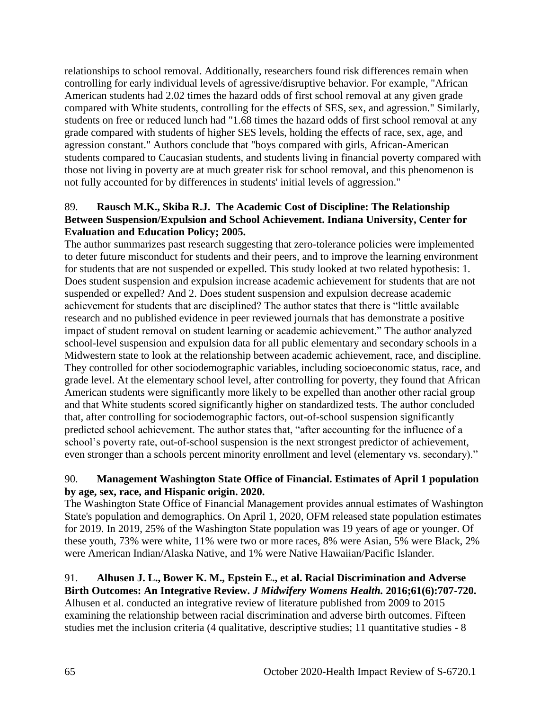relationships to school removal. Additionally, researchers found risk differences remain when controlling for early individual levels of agressive/disruptive behavior. For example, "African American students had 2.02 times the hazard odds of first school removal at any given grade compared with White students, controlling for the effects of SES, sex, and agression." Similarly, students on free or reduced lunch had "1.68 times the hazard odds of first school removal at any grade compared with students of higher SES levels, holding the effects of race, sex, age, and agression constant." Authors conclude that "boys compared with girls, African-American students compared to Caucasian students, and students living in financial poverty compared with those not living in poverty are at much greater risk for school removal, and this phenomenon is not fully accounted for by differences in students' initial levels of aggression."

## 89. **Rausch M.K., Skiba R.J. The Academic Cost of Discipline: The Relationship Between Suspension/Expulsion and School Achievement. Indiana University, Center for Evaluation and Education Policy; 2005.**

The author summarizes past research suggesting that zero-tolerance policies were implemented to deter future misconduct for students and their peers, and to improve the learning environment for students that are not suspended or expelled. This study looked at two related hypothesis: 1. Does student suspension and expulsion increase academic achievement for students that are not suspended or expelled? And 2. Does student suspension and expulsion decrease academic achievement for students that are disciplined? The author states that there is "little available research and no published evidence in peer reviewed journals that has demonstrate a positive impact of student removal on student learning or academic achievement." The author analyzed school-level suspension and expulsion data for all public elementary and secondary schools in a Midwestern state to look at the relationship between academic achievement, race, and discipline. They controlled for other sociodemographic variables, including socioeconomic status, race, and grade level. At the elementary school level, after controlling for poverty, they found that African American students were significantly more likely to be expelled than another other racial group and that White students scored significantly higher on standardized tests. The author concluded that, after controlling for sociodemographic factors, out-of-school suspension significantly predicted school achievement. The author states that, "after accounting for the influence of a school's poverty rate, out-of-school suspension is the next strongest predictor of achievement, even stronger than a schools percent minority enrollment and level (elementary vs. secondary)."

## 90. **Management Washington State Office of Financial. Estimates of April 1 population by age, sex, race, and Hispanic origin. 2020.**

The Washington State Office of Financial Management provides annual estimates of Washington State's population and demographics. On April 1, 2020, OFM released state population estimates for 2019. In 2019, 25% of the Washington State population was 19 years of age or younger. Of these youth, 73% were white, 11% were two or more races, 8% were Asian, 5% were Black, 2% were American Indian/Alaska Native, and 1% were Native Hawaiian/Pacific Islander.

#### 91. **Alhusen J. L., Bower K. M., Epstein E., et al. Racial Discrimination and Adverse Birth Outcomes: An Integrative Review.** *J Midwifery Womens Health.* **2016;61(6):707-720.**

Alhusen et al. conducted an integrative review of literature published from 2009 to 2015 examining the relationship between racial discrimination and adverse birth outcomes. Fifteen studies met the inclusion criteria (4 qualitative, descriptive studies; 11 quantitative studies - 8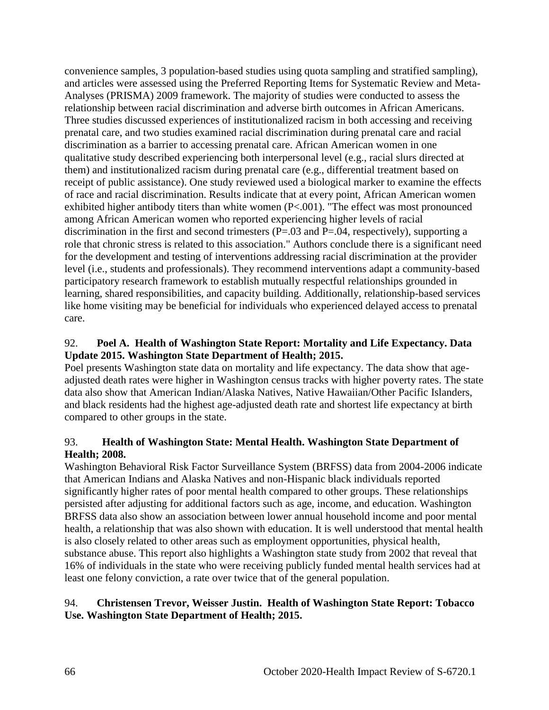convenience samples, 3 population-based studies using quota sampling and stratified sampling), and articles were assessed using the Preferred Reporting Items for Systematic Review and Meta-Analyses (PRISMA) 2009 framework. The majority of studies were conducted to assess the relationship between racial discrimination and adverse birth outcomes in African Americans. Three studies discussed experiences of institutionalized racism in both accessing and receiving prenatal care, and two studies examined racial discrimination during prenatal care and racial discrimination as a barrier to accessing prenatal care. African American women in one qualitative study described experiencing both interpersonal level (e.g., racial slurs directed at them) and institutionalized racism during prenatal care (e.g., differential treatment based on receipt of public assistance). One study reviewed used a biological marker to examine the effects of race and racial discrimination. Results indicate that at every point, African American women exhibited higher antibody titers than white women (P<.001). "The effect was most pronounced among African American women who reported experiencing higher levels of racial discrimination in the first and second trimesters (P=.03 and P=.04, respectively), supporting a role that chronic stress is related to this association." Authors conclude there is a significant need for the development and testing of interventions addressing racial discrimination at the provider level (i.e., students and professionals). They recommend interventions adapt a community-based participatory research framework to establish mutually respectful relationships grounded in learning, shared responsibilities, and capacity building. Additionally, relationship-based services like home visiting may be beneficial for individuals who experienced delayed access to prenatal care.

## 92. **Poel A. Health of Washington State Report: Mortality and Life Expectancy. Data Update 2015. Washington State Department of Health; 2015.**

Poel presents Washington state data on mortality and life expectancy. The data show that ageadjusted death rates were higher in Washington census tracks with higher poverty rates. The state data also show that American Indian/Alaska Natives, Native Hawaiian/Other Pacific Islanders, and black residents had the highest age-adjusted death rate and shortest life expectancy at birth compared to other groups in the state.

## 93. **Health of Washington State: Mental Health. Washington State Department of Health; 2008.**

Washington Behavioral Risk Factor Surveillance System (BRFSS) data from 2004-2006 indicate that American Indians and Alaska Natives and non-Hispanic black individuals reported significantly higher rates of poor mental health compared to other groups. These relationships persisted after adjusting for additional factors such as age, income, and education. Washington BRFSS data also show an association between lower annual household income and poor mental health, a relationship that was also shown with education. It is well understood that mental health is also closely related to other areas such as employment opportunities, physical health, substance abuse. This report also highlights a Washington state study from 2002 that reveal that 16% of individuals in the state who were receiving publicly funded mental health services had at least one felony conviction, a rate over twice that of the general population.

# 94. **Christensen Trevor, Weisser Justin. Health of Washington State Report: Tobacco Use. Washington State Department of Health; 2015.**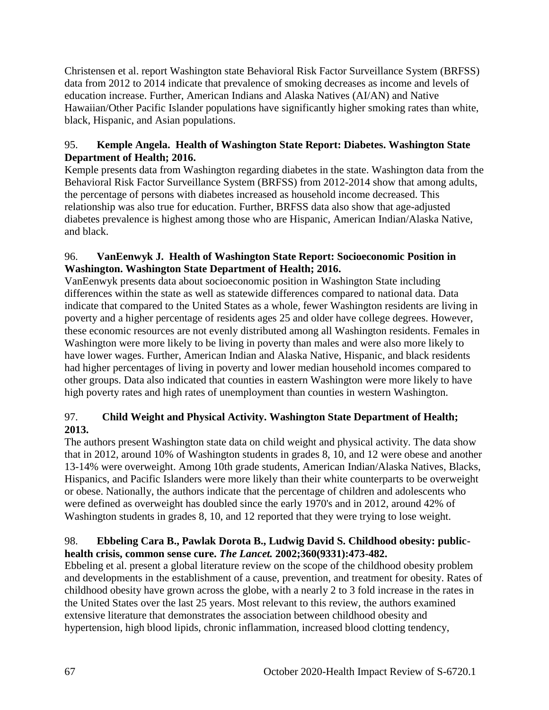Christensen et al. report Washington state Behavioral Risk Factor Surveillance System (BRFSS) data from 2012 to 2014 indicate that prevalence of smoking decreases as income and levels of education increase. Further, American Indians and Alaska Natives (AI/AN) and Native Hawaiian/Other Pacific Islander populations have significantly higher smoking rates than white, black, Hispanic, and Asian populations.

## 95. **Kemple Angela. Health of Washington State Report: Diabetes. Washington State Department of Health; 2016.**

Kemple presents data from Washington regarding diabetes in the state. Washington data from the Behavioral Risk Factor Surveillance System (BRFSS) from 2012-2014 show that among adults, the percentage of persons with diabetes increased as household income decreased. This relationship was also true for education. Further, BRFSS data also show that age-adjusted diabetes prevalence is highest among those who are Hispanic, American Indian/Alaska Native, and black.

## 96. **VanEenwyk J. Health of Washington State Report: Socioeconomic Position in Washington. Washington State Department of Health; 2016.**

VanEenwyk presents data about socioeconomic position in Washington State including differences within the state as well as statewide differences compared to national data. Data indicate that compared to the United States as a whole, fewer Washington residents are living in poverty and a higher percentage of residents ages 25 and older have college degrees. However, these economic resources are not evenly distributed among all Washington residents. Females in Washington were more likely to be living in poverty than males and were also more likely to have lower wages. Further, American Indian and Alaska Native, Hispanic, and black residents had higher percentages of living in poverty and lower median household incomes compared to other groups. Data also indicated that counties in eastern Washington were more likely to have high poverty rates and high rates of unemployment than counties in western Washington.

# 97. **Child Weight and Physical Activity. Washington State Department of Health; 2013.**

The authors present Washington state data on child weight and physical activity. The data show that in 2012, around 10% of Washington students in grades 8, 10, and 12 were obese and another 13-14% were overweight. Among 10th grade students, American Indian/Alaska Natives, Blacks, Hispanics, and Pacific Islanders were more likely than their white counterparts to be overweight or obese. Nationally, the authors indicate that the percentage of children and adolescents who were defined as overweight has doubled since the early 1970's and in 2012, around 42% of Washington students in grades 8, 10, and 12 reported that they were trying to lose weight.

# 98. **Ebbeling Cara B., Pawlak Dorota B., Ludwig David S. Childhood obesity: publichealth crisis, common sense cure.** *The Lancet.* **2002;360(9331):473-482.**

Ebbeling et al. present a global literature review on the scope of the childhood obesity problem and developments in the establishment of a cause, prevention, and treatment for obesity. Rates of childhood obesity have grown across the globe, with a nearly 2 to 3 fold increase in the rates in the United States over the last 25 years. Most relevant to this review, the authors examined extensive literature that demonstrates the association between childhood obesity and hypertension, high blood lipids, chronic inflammation, increased blood clotting tendency,